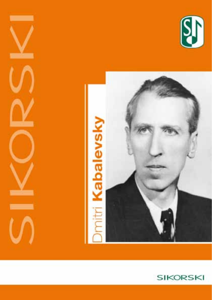





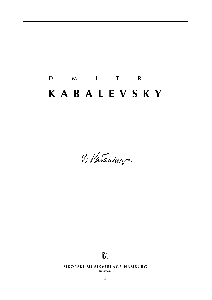# D M I T R I **k a b a l e v s k y**

O Katandery-



**SIKORSKI MUSIKVERLAGE HAMBURG** 

**sik 4/5654**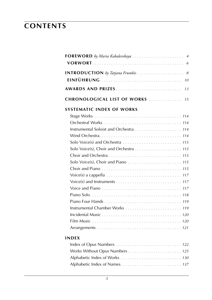## **contents**

| <b>FOREWORD</b> by Maria Kabalevskaya  4                                                                      |
|---------------------------------------------------------------------------------------------------------------|
| 8<br>10                                                                                                       |
| AWARDS AND PRIZES<br>13                                                                                       |
| CHRONOLOGICAL LIST OF WORKS<br>15                                                                             |
| <b>SYSTEMATIC INDEX OF WORKS</b>                                                                              |
|                                                                                                               |
|                                                                                                               |
|                                                                                                               |
|                                                                                                               |
|                                                                                                               |
|                                                                                                               |
|                                                                                                               |
|                                                                                                               |
|                                                                                                               |
| Voice(s) a cappella $\ldots \ldots \ldots \ldots \ldots \ldots \ldots \ldots \ldots \ldots \ldots \ldots 117$ |
|                                                                                                               |
|                                                                                                               |
|                                                                                                               |
|                                                                                                               |
|                                                                                                               |
|                                                                                                               |
|                                                                                                               |
|                                                                                                               |
| INDFX                                                                                                         |
|                                                                                                               |
| Works Without Opus Numbers 125                                                                                |
|                                                                                                               |

Alphabetic Index of Names. . . . . . . . . . . . . . . . . . . . . . . . . . *137*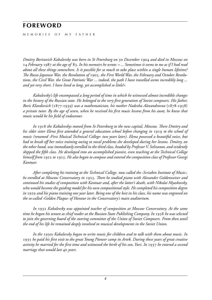## **foreword**

M F M O R I F S O F M Y F A T H F R

*Dmitry Borisovich Kabalevsky was born in St Petersburg on* 30 *December* 1904 *and died in Moscow on*  14 *February* 1987 *at the age of* 83*. In his memoirs he wrote: » ... Sometimes it seems to me as if I had read about all these things somewhere. Is it possible for so much to take place within a single human lifetime? The Russo-Japanese War, the Revolution of* 1905*, the First World War, the February and October Revolutions, the Civil War, the Great Patriotic War ... indeed, the path I have travelled seems incredibly long ... and yet very short. I have lived so long, yet accomplished so little!«*

*Kabalevsky's life encompassed a long period of time in which he witnessed almost incredible changes in the history of the Russian state. He belonged to the very first generation of Soviet composers. His father, Boris Klavdievich* (1877-1939) *was a mathematician, his mother Nadezha Alexandrovna* (1878-1958) *a private tutor. By the age of seven, when he received his first music lessons from his aunt, he knew that music would be his field of endeavour.*

*In* 1918 *the Kabalevskys moved from St Petersburg to the new capital, Moscow. There Dmitry and his elder sister Elena first attended a general education school before changing in* 1919 *to the school of music (renamed ›First Musical Technical College‹ two years later). Elena possessed a beautiful voice, but had to break off her voice training owing to vocal problems she developed during her lessons. Dmitry, on the other hand, was immediately enrolled in the third class, headed by Professor V. Selivanov, and evidently skipped the fifth class. He developed into an accomplished pianist, even teaching at the Technical College himself from* 1922 *to* 1925*. He also began to compose and entered the composition class of Professor Georgi Kantuar.*

*After completing his training at the Technical College, now called the ›Scriabin Institute of Music‹, he enrolled at Moscow Conservatory in* 1925*. There he studied piano with Alexander Goldenweiser and continued his studies of composition with Kantuar and, after the latter's death, with Nikolai Myaskovsky, who would become the guiding model for his own compositional style. He completed his composition degree in* 1929 *and his piano training one year later. Being one of the best in his class, his name was engraved on the so-called ›Golden Plaque‹ of Honour in the Conservatory's main auditorium.*

*In* 1932 *Kabalevsky was appointed teacher of composition at Moscow Conservatory. At the same time he began his tenure as chief reader at the Russian State Publishing Company. In* 1938 *he was selected to join the governing board of the steering committee of the Union of Soviet Composers. From then until the end of his life he remained deeply involved in musical developments in the Soviet Union.*

*In the* 1930*s Kabalevsky began to write music for children and to talk with them about music. In*  1935 *he paid his first visit to the great Young Pioneer camp in Artek. During these years of great creative activity he married for the first time and witnessed the birth of his son, Yuri. In* 1937 *he entered a second marriage that would last* 40 *years.*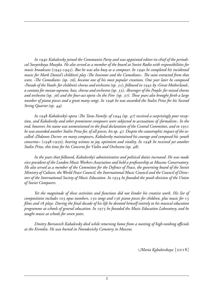*In* 1940 *Kabalevsky joined the Communist Party and was appointed editor-in-chief of the periodical Sovyetskaya Muzyka. He also served as a member of the board at Soviet Radio with responsibilities for music broadcasts* (1943-1945)*. But he was also busy as a composer. In* 1940 *he completed his incidental music for Mark Daniel's children's play ›The Inventor and the Comedians‹. The suite extracted from that score, ›The Comedians‹ (op.* 26*), became one of his most popular creations. One year later he composed ›Parade of the Youth‹ for children's chorus and orchestra (op.* 31*), followed in* 1942 *by ›Great Motherland‹, a cantata for mezzo-soprano, bass, chorus and orchestra (op.* 35*), ›Revenger of the People‹ for mixed chorus and orchestra (op.* 36*) and the four-act opera ›In the Fire‹ (op.* 37*). These years also brought forth a large number of piano pieces and a great many songs. In* 1946 *he was awarded the Stalin Prize for his Second String Quartet (op.* 44*).*

*In* 1948 *Kabalevsky's opera ›The Taras Family‹ of* 1944 *(op.* 47*) received a surprisingly poor reception, and Kabalevsky and other prominent composers were subjected to accusations of ›formalism‹. In the end, however, his name was unmentioned in the final declaration of the Central Committee, and in* 1951 *he was awarded another Stalin Prize for, of all pieces, his op.* 47*. Despite the catastrophic impact of the socalled ›Zhdanov Decree‹ on many composers, Kabalevsky maintained his courage and composed his ›youth concertos›‹* (1948-1950)*, bearing witness to joy, optimism and vitality. In* 1948 *he received yet another Stalin Prize, this time for his Concerto for Violin and Orchestra (op.* 48*).*

*In the years that followed, Kabalevsky's administrative and political duties increased. He was made vice-president of the London Music Workers Association and held a professorship at Moscow Conservatory. He also served as a member of the Committee for the Defence of Peace, the governing board of the Soviet Ministry of Culture, the World Peace Council, the International Music Council and the Council of Directors of the International Society of Music Education. In* 1954 *he founded the youth division of the Union of Soviet Composers.*

*Yet the magnitude of these activities and functions did not hinder his creative work. His list of compositions includes* 103 *opus numbers,* 150 *songs and* 136 *piano pieces for children, plus music for* 13 *films and* 18 *plays. During the final decade of his life he devoted himself entirely to his musical education programme at schools of general education. In* 1973 *he founded the Music Education Laboratory, and he taught music at schools for seven years.*

*Dmitry Borisovich Kabalevsky died while returning home from a meeting of high-ranking officials at the Kremlin. He was buried in Novodevichy Cemetery in Moscow.*

*Maria Kabalevskaya* [2018]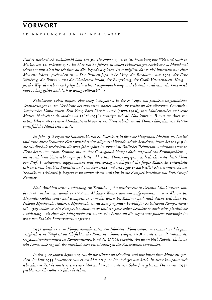### **vorwort**

e r i n n e r u n g e n a n m e i n e n v a t e r

*Dmitri Borisovitsch Kabalewski kam am* 30*. Dezember* 1904 *in St. Petersburg zur Welt und starb in Moskau am* 14. *Februar* 1987 *im Alter von* 83 *Jahren. In seinen Erinnerungen schrieb er » ... Manchmal scheint es mir, als hätte ich über all dies irgendwo gelesen. Ist es möglich, das so viel innerhalb nur eines Menschenlebens geschenhen ist? – Der Russisch-Japanische Krieg, die Revolution von* 1905*, der Erste Weltkrieg, die Februar- und die Oktoberrevolution, der Bürgerkrieg, der Große Vaterländische Krieg ... ja, der Weg, den ich zurückgelegt habe scheint unglaublich lang ... doch auch wiederum sehr kurz – ich habe so lang gelebt und doch so wenig vollbracht! ...«*

*Kabalewskis Leben umfasst eine lange Zeitspanne, in der er Zeuge von geradezu unglaublichen Veränderungen in der Geschichte des russischen Staates wurde. Er gehört zu der allerersten Generation Sowjetischer Komponisten. Sein Vater, Boris Klavdiewitsch* (1877-1939)*, war Mathematiker und seine Mutter, Nadeschda Alexandrowna* (1878-1958) *betätigte sich als Hauslehrerin. Bereits im Alter von sieben Jahren, als er ersten Musikunterricht von seiner Tante erhielt, wurde Dmitri klar, dass sein Betätigungsfeld die Musik sein würde.*

*Im Jahr* 1918 *zogen die Kabalewskis von St. Petersburg in die neue Hauptstadt Moskau, wo Dmitri und seine ältere Schwester Elena zunächst eine allgemeinbildende Schule besuchten, bevor beide* 1919 *in die Musikschule wechselten, die zwei Jahre später in ›Erstes Musikalisches Technikum‹ umbenannt wurde. Elena besaß eine schöne Stimme, musste ihre Gesangsausbildung jedoch aufgrund von Stimmproblemen, die sie sich beim Unterricht zugezogen hatte, abbrechen. Dmitri dagegen wurde direkt in die dritte Klasse von Prof. V. Seliwanow aufgenommen und übersprang anschließend die fünfte Klasse. Er entwickelte sich zu einem begabten Pianisten und zwischen* 1922 *und* 1925 *gab er auch selbst Klavierunterricht am Technikum. Gleichzeitig begann er zu komponieren und ging in die Kompositionsklasse von Prof. Georgi Kantuar.*

*Nach Abschluss seiner Ausbildung am Technikum, das mittlerweile in ›Skjabin Musikinstitut‹ umbenannt worden war, wurde er* 1925 *am Mokauer Konservatorium aufgenommen, wo er Klavier bei Alexander Goldenweiser und Komposition zunächst weiter bei Kantuar und, nach dessen Tod, dann bei Nikolai Mjaskowski studierte. Mjaskowski wurde zum prägenden Vorbild für Kabalewskis Kompositionsstil.* 1929 *schloss er sein Kompostionsstudium ab und ein Jahr später beendete er auch seine pianistische Ausbildung – als einer der Jahrgangsbesten wurde sein Name auf die sogenannte goldene Ehrentafel im zentralen Saal des Konservatoriums gesetzt.*

1932 *wurde er zum Kompositionsdozenten am Moskauer Konservatorium ernannt und begann zeitgleich seine Tätigkeit als Cheflektor des Russischen Staatsverlages.* 1938 *wurde er ins Präsidium des Organisationskommitees im Komponistenverband der UdSSR gewählt. Von da an blieb Kabalewski bis an sein Lebensende eng mit der musikalischen Entwicklung in der Sowjetunion verbunden.*

*In den* 30*er Jahren begann er, Musik für Kinder zu schreiben und mit ihnen über Musik zu sprechen. Im Jahr* 1935 *besuchte er zum ersten Mal das große Pionierlager von Artek. In dieser kompositorisch sehr aktiven Zeit heiratete er ein erstes Mal und* 1931 *wurde sein Sohn Juri geboren. Die zweite,* 1937 *geschlossene Ehe sollte* 40 *Jahre bestehen.*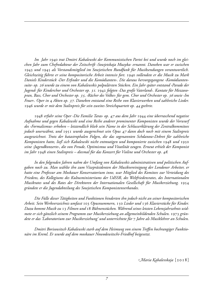*Im Jahr* 1940 *trat Dmitri Kabalewski der Kommunistischen Partei bei und wurde noch im gleichen Jahr zum Chefredakteur der Zeitschrift ›Sowjetskaja Muzyka‹ ernannt. Daneben war er zwischen*  1943 *und* 1945 *als Vorstandsmitglied im Sowjetischen Rundfunk für Musiksendungen verantwortlich. Gleichzeitig führte er seine kompositorische Arbeit intensiv fort.* 1940 *vollendete er die Musik zu Mark Daniels Kinderstück ›Der Erfinder und die Komödianten‹. Die daraus hervorgegangene ›Komödiantensuite‹ op.* 26 *wurde zu einem von Kabalewskis polpulärsten Stücken. Ein Jahr später entstand ›Parade der Jugend‹ für Kinderchor und Orchester op.* 31*.* 1942 *folgten ›Das große Vaterland‹. Kantate für Mezzosopran, Bass, Chor und Orchester op.* 35*, ›Rächer des Volkes‹ für gem. Chor und Orchester op.* 36 *sowie ›Im Feuer‹. Oper in* 4 *Akten op.* 37*. Daneben entstand eine Reihe von Klavierwerken und zahlreiche Lieder.*  1946 *wurde er mit dem Stalinpreis für sein zweites Streichquartett op.* 44 *geehrte.*

1948 *erfuhr seine Oper ›Die Familie Taras‹ op.* 47 *aus dem Jahr* 1944 *eine überraschend negative Aufnahme und gegen Kabalewski und eine Reihe anderer prominenter Komponisten wurde der Vorwurf des ›Formalismus‹ erhoben – letztendlich blieb sein Name in der Schlusserklärung der Zentralkommitees jedoch unerwähnt, und* 1951 *wurde ausgerechnet sein Opus* 47 *dann doch noch mit einem Stalinpreis ausgezeichnet. Trotz der katastrophalen Folgen, die das sogenannten Schdanow-Dekret für zahlreiche Komponisten hatte, ließ sich Kabalewski nicht entmutigen und komponierte zwischen* 1948 *und* 1950 *seine ›Jugendkonzerte‹, die von Freude, Optimismus und Vitatlität zeugen. Erneut erhielt der Komponist im Jahr* 1948 *einen Stalinpreis – diesmal für das Konzert für Violine und Orchester op.* 48*.* 

*In den folgenden Jahren nahm der Umfang von Kabalewskis administrativen und politischen Aufgaben noch zu. Man wählte ihn zum Vizepräsidenten der Musikvereinigung der Londoner Arbeiter, er hatte eine Professur am Moskauer Konservatorium inne, war Mitglied des Komitees zur Verteidung des Friedens, des Kollegiums des Kultusministeriums der UdSSR, des Weltfriedensrates, des Internationalen Musikrates und des Rates der Direktoren der Internationalen Gesellschaft für Musikerziehung.* 1954 *gründete er die Jugendabteilung des Sowjetischen Komponistenverbandes.*

*Die Fülle dieser Tätigkeiten und Funktionen hinderten ihn jedoch nicht an seiner kompositorischen Arbeit. Sein Werkverzeichnis umfasst* 103 *Opusnummern,* 150 *Lieder und* 136 *Klavierstücke für Kinder. Dazu kommt Musik zu* 13 *Filmen und* 18 *Bühnenstücken. Während seines letzten Lebensjahrzehnts widmete er sich gänzlich seinem Programm zur Musikerziehung an allgemeinbildenden Schulen.* 1973 *gründete er das 'Laboratorium zur Musikerziehung' und unterrichtete für* 7 *Jahre als Musiklehrer an Schulen.*

*Dmitri Borisowitsch Kabalewski starb auf dem Heimweg von einem Treffen hochrangiger Funktionäre im Kreml. Er wurde auf dem moskauer Nowodewitschi-Friedhof beigesetzt.*

*Maria Kabalevskaja* [2018]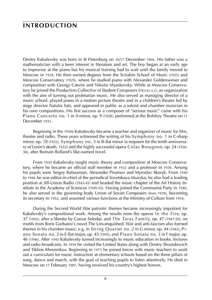### **introduction**

Dmitry Kabalevsky was born in St Petersburg on 30/17 December 1904. His father was a mathematician with a keen interest in literature and art. The boy began at an early age to improvise at the piano but his musical training had to wait until the family moved to Moscow in 1918. He then earned degrees from the Scriabin School of Music (1925) and Moscow Conservatory (1929), where he studied piano with Alexander Goldenweiser and composition with Georgy Catoire and Nikolai Myaskovsky. While at Moscow Conservatory he joined the Production Collective of Student Composers (PROKULL), an organization with the aim of turning out proletarian music. He also served as managing director of a music school, played piano in a motion picture theatre and in a children's theatre led by stage director Natalia Sats, and appeared in public as a soloist and chamber musician in his own compositions. His first success as a composer of "serious music" came with his Piano Concerto no. 1 in A minor, op. 9 (1928), performed at the Bolshoy Theatre on 11 December 1931.

Beginning in the 1930s Kabalevsky became a teacher and organizer of music for film, theatre and radio. These years witnessed the writing of his Symphony no. 1 in C-sharp minor, op. 18 (1932), Symphony no. 3 in B-flat minor (a requiem for the tenth anniversary of Lenin's death, 1933) and the highly successful opera Colas Breugnon, op. 24 (1936- 38), after Romain Rolland's like-named novel.

From 1930 Kabalevsky taught music theory and composition at Moscow Conservatory, where he became an official staff member in 1932 and a professor in 1939. Among his pupils were Sergey Balasanian, Alexander Pirumov and Myroslav Skoryk. From 1940 to 1946 he was editor-in-chief of the periodical Sovetskaya Muzyka; he also had a leading position at All-Union Radio (1943-45) and headed the music chapter of the Art History Institute in the Academy of Sciences (1949-52). Having joined the Communist Party in 1940, he also served in the governing body Union of Soviet Composers (from 1939), becoming its secretary in 1952, and assumed various functions at the Ministry of Culture from 1954.

During the Second World War patriotic themes became increasingly important for Kabalevsky's compositional work. Among the results were the operas In the Fire, op. 37 (1942), after a libretto by Caesar Solodar, and The Taras Family, op. 47 (1947-50), on motifs from Boris Gorbatov's novel The Unvanquished. War and anti-fascism also formed themes in his chamber music, e.g. in String Quartet no. 2 in G minor, op. 44 (1945), Piano Sonata no. 2 in E-flat major, op. 45 (1945), and Piano Sonata no. 3 in F major, op. 46 (1946). After 1945 Kabalevsky turned increasingly to music education in books, lectures and radio broadcasts. In 1959 he visited the United States along with Dmitry Shostakovich and Tikhon Khrennikov. Beginning in 1973 he joined forces with music teachers to work out a curriculum for music instruction at elementary schools based on the three pillars of song, dance and march, with the goal of teaching pupils to listen attentively. He died in Moscow on 17 February 1987, having received his country's highest honors.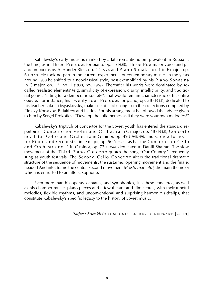Kabalevsky's early music is marked by a late-romantic idiom prevalent in Russia at the time, as in Three Preludes for piano, op. 1 (1925), Three Poems for voice and piano on poems by Alexander Blok, op. 4 (1927), and Piano Sonata no. 1 in F major, op. 6 (1927). He took no part in the current experiments of contemporary music. In the years around 1930 he shifted to a neoclassical style, best exemplified by his Piano Sonatina in C major, op. 13, no. 1 (1930, rev. 1969). Thereafter his works were dominated by socalled 'realistic elements' (e.g. simplicity of expression, clarity, intelligibility, and traditional genres "fitting for a democratic society") that would remain characteristic of his entire oeuvre. For instance, his Twenty-four Preludes for piano, op. 38 (1943), dedicated to his teacher Nikolai Myaskovsky, make use of a folk song from the collections compiled by Rimsky-Korsakov, Balakirev and Liadov. For his arrangement he followed the advice given to him by Sergei Prokofiev: "Develop the folk themes as if they were your own melodies!"

Kabalevsky's triptych of concertos for the Soviet youth has entered the standard repertoire – Concerto for Violin and Orchestra in C major, op. 48 (1948), Concerto no. 1 for Cello and Orchestra in G minor, op. 49 (1948-49), and Concerto no. 3 for Piano and Orchestra in D major, op. 50 (1952) – as has the Concerto for Cello and Orchestra no. 2 in C minor, op. 77 (1964), dedicated to Daniil Shafran. The slow movement of the Third Piano Concerto quotes the song "Our Country," frequently sung at youth festivals. The Second Cello Concerto alters the traditional dramatic structure of the sequence of movements: the sustained opening movement and the finale, headed Andante, frame the central second movement *(Presto marcato)*, the main theme of which is entrusted to an alto saxophone.

Even more than his operas, cantatas, and symphonies, it is these concertos, as well as his chamber music, piano pieces and a few theatre and film scores, with their tuneful melodies, flexible rhythms, and unconventional and surprising harmonic sideslips, that constitute Kabalevsky's specific legacy to the history of Soviet music.

*Tatjana Frumkis in* komponisten der gegenwart [2010]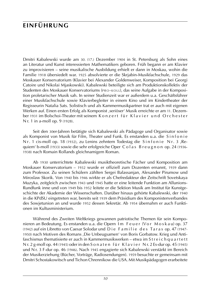## **einführung**

Dmitri Kabalewski wurde am 30. (17.) Dezember 1904 in St. Petersburg als Sohn eines an Literatur und Kunst interessierten Mathematikers geboren. Früh begann er am Klavier zu improvisieren – seine musikalische Ausbildung erhielt er dann in Moskau, wohin die Familie 1918 übersiedelt war. 1925 absolvierte er die Skrjabin-Musikfachschule, 1929 das Moskauer Konservatorium (Klavier bei Alexander Goldenweiser, Komposition bei Georgi Catoire und Nikolai Mjaskowski). Kabalewski beteiligte sich am Produktionskollektiv der Studenten des Moskauer Konservatoriums (PRO-KOLL), das seine Aufgabe in der Komposition proletarischer Musik sah. In seiner Studienzeit war er außerdem u.a. Geschäftsführer einer Musikfachschule sowie Klavierbegleiter in einem Kino und im Kindertheater der Regisseurin Natalia Sats. Solistisch und als Kammermusikpartner trat er auch mit eigenen Werken auf. Einen ersten Erfolg als Komponist ,seriöser' Musik erreichte er am 11. Dezember 1931 im Bolschoi-Theater mit seinem Konzert für Klavier und Orchester N r. 1 in a-moll op. 9 (1928).

Seit den 30er-Jahren betätigte sich Kabalewski als Pädagoge und Organisator sowie als Komponist von Musik für Film, Theater und Funk. Es enstanden u.a. die Sinfonie N r. 1 cis-moll op. 18 (1932), zu Lenins zehntem Todestag die Sinfonie Nr. 3, Requiem' b-moll (1933) sowie die sehr erfolgreiche Oper Colas Breugnon op. 24 (1936-1938) nach Romain Rollands gleichnamigem Roman.

Ab 1930 unterrichtete Kabalewski musiktheoretische Fächer und Komposition am Moskauer Konservatorium – 1932 wurde er offiziell zum Dozenten ernannt, 1939 dann zum Professor. Zu seinen Schülern zählten Sergei Balassanjan, Alexander Pirumow und Miroslaw Skorik. Von 1940 bis 1946 wirkte er als Chefredakteur der Zeitschrift Sovetskaya Muzyka, zeitgleich zwischen 1943 und 1945 hatte er eine leitende Funktion am Allunions-Rundfunk inne und von 1949 bis 1952 leitete er die Sektion Musik am Institut für Kunstgeschichte der Akademie der Wissenschaften. Darüber hinaus gehörte Kabalewski, der 1940 in die KPdSU eingetreten war, bereits seit 1939 dem Präsidium des Komponistenverbandes des Sowjetunion an und wurde 1952 dessen Sekretär. Ab 1954 übernahm er auch Funktionen im Kultusministerium.

Während des Zweiten Weltkriegs gewannen patriotische Themen für sein Komponieren an Bedeutung. Es enstanden u.a. die Opern Im Feuer (Vor Moskau) op. 37 (1942) auf ein Libretto von Caesar Solodar und Die Familie des Taras op. 47 (1947-1950) nach Motiven des Romans ,Die Unbeugsamen' von Boris Gorbatow. Krieg und Antifaschismus thematisierte er auch in Kammermusikwerken – etwa im Streich quartett N r. 2 g-moll op. 44 (1945) oder in den S o n a t e n f ü r K l a v i e r N r. 2 Es-dur op. 45 (1945) und N r. 3 F-dur op. 46 (1946). Nach 1945 engagierte sich Kabalewski verstärkt im Bereich der Musikerziehung (Bücher, Vorträge, Radiosendungen). 1959 besuchte er gemeinsam mit Dmitri Schostakowitsch und Tichon Chrennikow die USA. Mit Musikpädagogen erarbeitete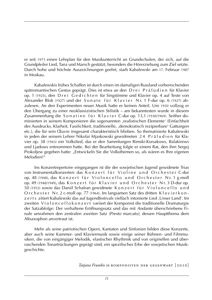er seit 1973 einen Lehrplan für den Musikunterricht an Grundschulen, der sich, auf die Grundpfeiler Lied, Tanz und Marsch gestützt, besonders die Hörerziehung zum Ziel setzte. Durch hohe und höchste Auszeichnungen geehrt, starb Kabalewski am 17. Februar 1987 in Moskau.

Kabalewskis frühes Schaffen ist durch einen im damaligen Russland vorherrschenden spätromantischen Gestus geprägt. Dies ist etwa an den D r e i P r ä l u d i e n für Klavier op. 1 (1925), den Drei Gedichten für Singstimme und Klavier op. 4 auf Texte von Alexander Blok (1927) und der Sonate für Klavier Nr. 1 F-dur op. 6 (1927) abzulesen. An den Experimenten neuer Musik hatte er keinen Anteil. Um 1930 vollzog er den Übergang zu einer neoklassizistischen Stilistik – am bekanntesten wurde in diesem Zusammenhang die Son atine für Klavier C-dur op. 13,1 (1930/1969). Seither dominierten in seinem Komponieren die sogenannten ,realistischen Elemente' (Einfachheit des Ausdrucks, Klarheit, Fasslichkeit, traditionelle, ,demokratisch rezipierbare' Gattungen etc.), die für sein Œuvre insgesamt charakteristisch blieben. So thematisierte Kabalewski in jeden der seinem Lehrer Nikolai Mjaskowski gewidmeten 24 Präludien für Klavier op. 38 (1943) ein Volkslied, das er den Sammlungen Rimski-Korsakows, Balakirews und Ljadows entnommen hatte. Bei der Bearbeitung folgte er einem Rat, den ihm Sergej Prokofiew gegeben hatte: "Entwickeln Sie die Volksthemen so, als wären es Ihre eigenen Melodien!"

Ins Konzertrepertoire eingegangen ist die der sowjetischen Jugend gewidmete Trias von Instrumentalkonzerten: das Konzert für Violine und Orchester C-dur op. 48 (1948), das Konzert für Violoncello und Orchester Nr. 1 g-moll op. 49 (1948/1949), das Konzert für Klavier und Orchester Nr. 3 D-durop. 50 (1952) sowie das Daniil Schafran gewidmete Konzert für Violoncello und O r c h e s t e r N r. 2 c-moll op. 77 (1964). Im langsamen Satz des dritten K l a v i e r k o n z e r t s zitiert Kabalewski das auf Jugendfestivals vielfach intonierte Lied ,Unser Land'. Im zweiten Violoncellok on z er tvariiert der Komponist die traditionelle Dramaturgie der Satzabfolge: Der verhaltene Eröffnungssatz und das mit *Andante* überschriebene Finale umrahmen den zentralen zweiten Satz *(Presto marcato)*, dessen Hauptthema dem Altsaxophon anvertraut ist.

Mehr als seine patriotischen Opern, Kantaten und Sinfonien bilden diese Konzerte, aber auch seine Kammer- und Klaviermusik sowie einige seiner Bühnen- und Filmmusiken, die von eingängiger Melodik, elastischer Rhythmik und von originellen und überraschenden Tonartrückungen geprägt sind, ein spezifisches Erbe der sowjetischen Musikgeschichte.

*Tatjana Frumkis in* komponisten der gegenwart [2010]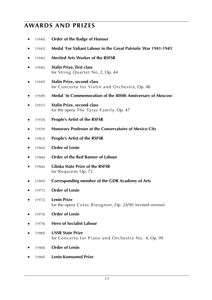### **awards and prizes**

- [1940] **Order of the Badge of Honour**
- ■ [1945] **Medal** '**For Valiant Labour in the Great Patriotic War 1941-1945**'
- ■ [1946] **Merited Arts Worker of the RSFSR**
- [1946] **Stalin Prize, first class** for String Quartet No. 2, Op. 44
- ■ [1949] **Stalin Prize, second class** for Concerto for Violin and Orchestra, Op. 48
- ■ [1949] **Medal** '**In Commemoration of the 800th Anniversary of Moscow**'
- [1951] **Stalin Prize, second class** for the opera The Taras Family, Op. 47
- ■ [1954] **People's Artist of the RSFSR**
- [1959] **Honorary Professor at the Conservatoire of Mexico City**
- ■ [1963] **People's Artist of the RSFSR**
- ■ [1964] **Order of Lenin**
- [1966] **Order of the Red Banner of Labour**
- ■ [1966] **Glinka State Prize of the RSFSR** for Requiem, Op. 72
- [1969] Corresponding member of the GDR Academy of Arts
- ■ [1971] **Order of Lenin**
- ■ [1972] **Lenin Prize** for the opera Colas Breugnon, Op. 24/90 (revised version)
- ■ [1974] **Order of Lenin**
- ■ [1974] **Hero of Socialist Labour**
- [1980] **USSR State Prize** for Concerto for Piano and Orchestra No. 4, Op. 99
- [1984] **Order of Lenin**
- [1984] **Lenin Komsomol Prize**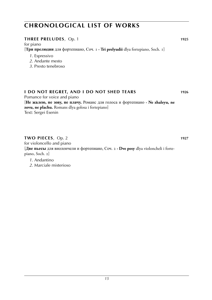#### **three preludes**, Op. 1 **1925**

for piano [**Три прелюдии** для фортепиано, Соч. 1 **· Tri prelyudii** dlya fortepiano, Soch. 1]

- *1*. Espressivo
- *2*. Andante mesto
- *3*. Presto tenebroso

### **I do not regret, and i do not shed tears 1926**

Pomance for voice and piano [**Не жалею, не зову, не плачу.** Романс для голоса и фортепиано **· Ne zhaleyu, ne zovu, ne plachu.** Romans dlya golosa i fortepiano] Text: Sergei Esenin

#### **two pieces**, Op. 2 **1927 1927**

for violoncello and piano [**Две пьесы** для виолончели и фортепиано, Соч. 2 **· Dve pesy** dlya violoncheli i fortepiano, Soch. 2]

- *1*. Andantino
- *2*. Marciale misterioso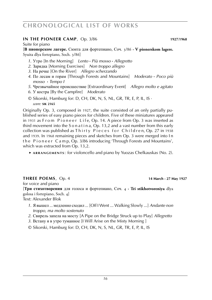#### **in THE PIONEER CAMP**, Op. 3/86 **WEBS 1027/1968**

#### Suite for piano

[**В пионерском лагере.** Сюита для фортепиано, Соч. 3/86 **· V pionerskom lagere.** Syuita dlya fortepiano, Soch. 3/86]

- *1*. Утро [In the Morning] *Lento* **·** *Più mosso* **·** *Allegretto*
- *2*. Зарядка [Morning Exercises] *Non troppo allegro*
- *3*. На речке [On the River] *Allegro scherzando*
- *4*. По лесам и горам [Through Forests and Mountains] *Moderato* **·** *Poco più mosso* **·** *Tempo I*
- *5*. Чрезвычайное происшествие [Extraordinary Event] *Allegro molto e agitato 6*. У костра [By the Campfire] *Moderato*
- © Sikorski, Hamburg for: D, CH, DK, N, S, NL, GR, TR, E, P, IL, IS · *score:* **sik 2165**

Originally Op. 3, composed in 1927, the suite consisted of an only partially published series of easy piano pieces for children. Five of these miniatures appeared in 1931 as  $From$  Pioneer Life, Op. 14. A piece from Op. 3 was inserted as third movement into the S o n a t i n a, Op. 13,2 and a vast number from this early collection was published as Thirty Pieces for Children, Op. 27 in 1938 and 1939. In 1968 remaining pieces and sketches from Op. 3 were merged into I n the Pioneer Camp, Op. 3/86 introducing 'Through Forests and Mountains', which was extracted from Op. 13,2.

 ► **a r r a n g e m e n t s** : for violoncello and piano by Yuozas Chelkauskas (No. 2).

#### **three poems**, Op. 4 **[keine noten vorhanden] 14 March - 27 May 1927**

for voice and piano [**Три стихотворения** для голоса и фортепиано, Соч. 4 **· Tri stikhotvoreniya** dlya golosa i fortepiano, Soch. 4] Text: Alexander Blok

- *1*. Я вышел ... медленно сходил ... [Off I Went ... Walking Slowly ...] *Andante non troppo, ma molto sostenuto*
- *2*. Свирель запела на мосту [A Pipe on the Bridge Struck up to Play] *Allegretto*
- *3*. Встану я в утро туманное [I Will Arise on the Misty Morning ]
- © Sikorski, Hamburg for: D, CH, DK, N, S, NL, GR, TR, E, P, IL, IS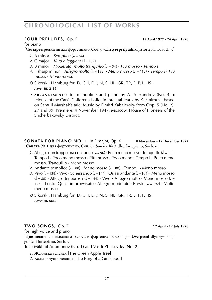#### **four preludes**, Op. 5 **WS 1010248 15 April 1927 - 24 April 1928**

#### for piano

[**Четыре прелюдии** для фортепиано, Соч. 5 **·Chetyre prelyudii** dlya fortepiano, Soch. 5]

- *1*. A minor *Semplice*  $(l = 54)$
- *2*. C major *Vivo e leggiero* ( $\sqrt{=}$  = 132)
- *3*. B minor *Moderato, molto tranquillo* (q . = 54) **·** *Più mosso* **·** *Tempo I*
- *4*. F sharp minor *Allegro molto* ( $\downarrow$  = 132) **·** *Meno mosso* ( $\downarrow$  = 112) **·** *Tempo I* · *Più mosso* **·** *Meno mosso*
- © Sikorski, Hamburg for: D, CH, DK, N, S, NL, GR, TR, E, P, IL, IS · *score:* **sik 2189**
- ► ARRANGEMENTS: for mandoline and piano by A. Alexandrov (No. 4) 'House of the Cats'. Children's ballet in three tableaux by K. Smirnova based on Samuil Marshak's tale. Music by Dmitri Kabalevsky from Opp. 5 (No. 2), 27 and 39. Première: 4 November 1947, Moscow, House of Pioneers of the Shcherbakovsky District.

**SONATA for piano NO. 1** in F major, Op. 6 **8 November - 12 December 1927** [**Соната № 1** для фортепиано, Соч. 6 **· Sonata № 1** dlya fortepiano, Soch. 6]

- *1*. Allegro non troppo ma con fuoco ( $\downarrow$  = 96)  $\cdot$  Poco meno mosso. Tranquillo ( $\downarrow$  = 88)  $\cdot$ Tempo I **·** Poco meno mosso **·** Più mosso **·** Poco meno **·** Tempo I **·** Poco meno mosso. Tranquillo **·** Meno mosso
- 2. Andante semplice  $(J = 88)$  **·** Meno mosso  $(J = 80)$  **·** Tempo I **·** Meno mosso
- 3. Vivo  $\left(\frac{1}{2} = 138\right)$  Vivo Scherzando  $\left(\frac{1}{2} = 144\right)$  Quasi andante  $\left(\frac{1}{2} = 104\right)$  Meno mosso  $(J = 80)$  **·** Allegro tenebroso  $(J = 144)$  · Vivo · Allegro molto · Meno mosso  $(J =$ 152) **·** Lento. Quasi improvvisato · Allegro moderato · Presto ( $l = 192$ ) · Molto meno mosso
- © Sikorski, Hamburg for: D, CH, DK, N, S, NL, GR, TR, E, P, IL, IS · *score:* **sik 6867**

#### **two songs**, Op. 7 **12 April - 12 July 1928**

for high voice and piano [**Две песни** для высокого голоса и фортепиано, Соч. 7 **· Dve pesni** dlya vysokogo golosa i fortepiano, Soch. 7] Text: Mikhail Artamonov (No. 1) and Vasili Zhukovsky (No. 2)

- *1*. Яблонька зелёная [The Green Apple Tree]
- *2*. Кольцо души девицы [The Ring of a Girl's Soul]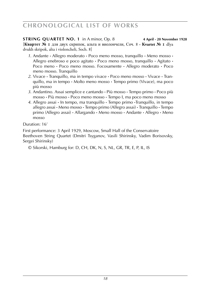**STRING QUARTET NO. 1** in A minor, Op. 8 **4 April - 20 November 1928** [**Квартет № 1** для двух скрипок, альта и виолончели, Соч. 8 **· Kvartet № 1** dlya dvukh skripok, alta i violoncheli, Soch. 8]

- *1*. Andante **·** Allegro moderato **·** Poco meno mosso, tranquillo **·** Meno mosso **·** Allegro enebroso e poco agitato **·** Poco meno mosso, tranquillo **·** Agitato **·** Poco meno **·** Poco meno mosso. Focosamente **·** Allegro moderato **·** Poco meno mosso. Tranquillo
- *2*. Vivace **·** Tranquillo, ma in tempo vivace **·** Poco meno mosso **·** Vivace **·** Tranquillo, ma in tempo **·** Molto meno mosso **·** Tempo primo (Vivace), ma poco più mosso
- *3*. Andantino. Assai semplice e cantando **·** Più mosso **·** Tempo primo **·** Poco più mosso **·** Più mosso **·** Poco meno mosso **·** Tempo I, ma poco meno mosso
- *4*. Allegro assai **·** In tempo, ma tranquillo **·** Tempo primo **·**Tranquillo, in tempo allegro assai **·** Meno mosso **·** Tempo primo (Allegro assai) **·** Tranquillo **·** Tempo primo (Allegro assai) **·** Allargando **·** Meno mosso **·** Andante **·** Allegro **·** Meno mosso

Duration: 16'

First performance: 3 April 1929, Moscow, Small Hall of the Conservatoire Beethoven String Quartet (Dmitri Tsyganov, Vasili Shirinsky, Vadim Borisovsky, Sergei Shirinsky)

© Sikorski, Hamburg for: D, CH, DK, N, S, NL, GR, TR, E, P, IL, IS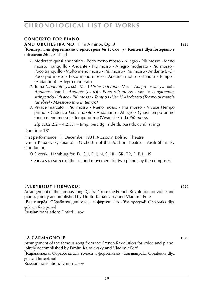#### **concerto for piano**

**and orchestra no. 1** in A minor, Op. 9 **1928**

[**Концерт для фортепиано с оркестром № 1**, Соч. 9 **· Kontsert dlya fortepiano s orkestrom № 1**, Soch. 9]

- *1*. Moderato quasi andantino **·** Poco meno mosso **·** Allegro **·** Più mosso **·** Meno mosso. Tranquillo **·** Andante **·** Più mosso **·** Allegro moderato **·** Più mosso **· Poco tranquillo •** Molto meno mosso • Più mosso • Più mosso • Andante ( $=$ ) • Poco più mosso **·** Poco meno mosso **·** Andante molto sostenuto **·** Tempo I (Andantino) **·** Allegro moderato
- 2. Tema *Moderato*  $(J = 66)$  **·** Var. *I L'istesso tempo* · Var. *II Allegro assai*  $(J = 100)$  · *Andante* **·** Var. III *Andante* (q = 60) **·** *Poco più mosso* **·** Var. IV *Largamente, stringendo* **·** *Vivace* **·** *Più mosso* **·** *Tempo I* **·** Var. V *Moderato (Tempo di marcia funebre)* **·** *Maestoso (ma in tempo)*
- *3*. Vivace marcato **·** Più mosso **·** Meno mosso **·** Più mosso **·** Vivace (Tempo primo) **·** Cadenza *Lento rubato* **·** Andantino **·** Allegro **·** Quasi tempo primo (poco meno mosso) **·** Tempo primo (Vivace) **·** Coda *Più mosso*

 $2(pice)$ .2.2.2 – 4.2.3.1 – timp. perc (tgl, side dr, bass dr, cym). strings

Duration: 18'

First performance: 11 December 1931, Moscow, Bolshoi Theatre Dmitri Kabalevsky (piano) – Orchestra of the Bolshoi Theatre – Vasili Shirinsky (conductor)

© Sikorski, Hamburg for: D, CH, DK, N, S, NL, GR, TR, E, P, IL, IS

► ARRANGEMENT of the second movement for two pianos by the composer.

#### **everybody forward! 1929**

Arrangement of the famous song 'Ça ira!' from the French Revolution for voice and piano, jointly accomplished by Dmitri Kabalevsky and Vladimir Feré [**Все вперёд!** Обработка для голоса и фортепиано **· Vse vperyod!** Obrabotka dlya

golosa i fortepiano]

Russian translation: Dmitri Usov

#### **la carmagnole 1929**

Arrangement of the famous song from the French Revolution for voice and piano, jointly accomplished by Dmitri Kabalevsky and Vladimir Feré [**Карманьола.** Обработка для голоса и фортепиано **· Karmanyola.** Obrabotka dlya golosa i fortepiano] Russian translation: Dmitri Usov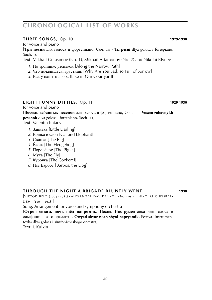#### **three songs**, Op. 10 **WEBS 1929-1930**

for voice and piano

[**Три песни** для голоса и фортепиано, Соч. 10 **· Tri pesni** dlya golosa i fortepiano, Soch. 10]

Text: Mikhail Gerasimov (No. 1), Mikhail Artamonov (No. 2) and Nikolai Klyuev

- *1*. По тропинке узенькой [Along the Narrow Path]
- *2*. Что печалишься, грустишь [Why Are You Sad, so Full of Sorrow]
- *3*. Как у нашего двора [Like in Our Courtyard]

### **eight funny ditties**, Op. 11 **WS 1029-1930**

for voice and piano

[**Восемь забавных песенок** для голоса и фортепиано, Соч. 11 **· Vosem zabavnykh pesehok** dlya golosa i fortepiano, Soch. 11]

Text: Valentin Kataev

- *1*. Заинька [Little Darling]
- *2*. Кошка и слон [Cat and Elephant]
- *3*. Свинка [The Pig]
- *4*. Ёжик [The Hedgehog]
- *5*. Поросёнок [The Piglet]
- *6*. Муха [The Fly]
- *7*. Курочка [The Cockerel]
- *8*. Пёс Барбос [Barbos, the Dog]

#### **through the night a brigade bluntly went 1930**

 $[VIKTOR$  BELY  $(1904 - 1983) \cdot ALEXANDER$  DAVIDENKO  $(1899 - 1934) \cdot NIKOLAI$  CHEMBER- $D Z H1 (1903 - 1948)$ 

Song. Arrangement for voice and symphony orchestra

[**Отряд сквозь ночь шёл напрямик.** Песня. Инструментовка для голоса и симфонического оркестра **· Otryad skvoz noch shyol napryamik.** Pesnya. Instrumentovka dlya golosa i simfonicheskogo orkestra]

Text: I. Kulkin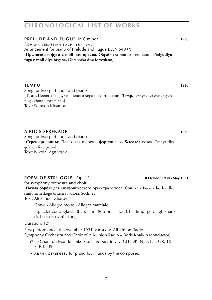### **PRELUDE AND FUGUE** in C minor **1930**  $[$ IOHANN SEBASTIAN BACH  $(1685 - 1750)$

Arrangement for piano of Prelude and Fugue BWV 549 (?) [**Прелюдия и фуга c-moll для органа.** Обработка для фортепиано **· Prelyudiya i fuga c-moll dlya organa.** Obrabotka dlya fortepiano]

#### **the IMPO 1930**

Song for two-part choir and piano [**Темп.** Песня для двухголосного хора и фортепиано **· Temp.** Pesnya dlya dvukhgolosnogo khora i fortepiano] Text: Semyon Kirsanov

### **a pig's serenade 1930**

Song for two-part choir and piano [**Серенада свинье.** Песня для голоса и фортепиано **· Serenada svinye.** Pesnya dlya golosa i fortepiano] Text: Nikolai Agnivtsev

### **POEM OF STRUGGLE**, Op. 12 **WE 101102488 10102488 10102488 1010248 1010248 10248 10248 10248 10248 10248 10248 10248 10248 10248 10248 10248 10248 10248 10248 10248 10248 10248**

for symphony orchestra and choir

[**Поэма борбы** для симфонического оркестра и хора, Соч. 12 **· Poema borby** dlya simfonicheskogo orkestra i khora, Soch. 12] Text: Alexander Zharov

Grave **·** Allegro molto **·** Allegro marciale

 $3(picc).3(cor anglais).3(bass clar).3(db bn) - 4.3.3.1 - timp, perc (tgl, snare)$ dr, bass dr, cym). strings

Duration: 12'

First performance: 6 November 1931, Moscow, All-Union Radio Symphony Orchestra and Choir of All-Union Radio – Boris Khaikin (conductor)

- © Le Chant du Monde · Sikorski, Hamburg for: D, CH, DK, N, S, NL, GR, TR, E, P, IL, IS
- ► ARRANGEMENTS: for piano four hands by the composer.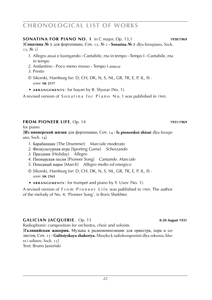#### **SONATina for piano NO. 1** in C major, Op. 13,1 **1930**/**1969**

[**Сонатина № 1** для фортепиано, Соч. 13, № 1 **· Sonatina № 1** dlya fortepiano, Soch. 13, № 1]

- *1*. Allegro assai e lusingando **·** Cantabile, ma in tempo **·** Tempo I **·** Cantabile, ma in tempo
- *2*. Andantino **·** Poco meno mosso **·** Tempo I *attacca*
- *3*. Presto
- © Sikorski, Hamburg for: D, CH, DK, N, S, NL, GR, TR, E, P, IL, IS · *score:* **sik 2117**
- ► **a r r a n g e m e n t s** : for bayan by B. Slyusar (No. 1).

A revised version of Sonatina for Piano No. 1 was published in 1969.

#### **from pioneer life**, Op. 14 **1931**/**1969**

for piano

[**Из пионерской жизни** для фортепиано, Соч. 14 **· Iz pionerskoi zhizni** dlya fortepiano, Soch. 14]

- *1*. Барабанщик [The Drummer] *Marciale moderato*
- *2*. Физкультурная игра [Sporting Game] *Scherzando*
- *3*. Праздник [Holiday] *Allegro*
- *4*. Пионерская песня [Pioneer Song] *Cantando. Marciale*
- *5*. Походный марш [March] *Allegro molto ed energico*
- © Sikorski, Hamburg for: D, CH, DK, N, S, NL, GR, TR, E, P, IL, IS · *score:* **sik 2165**
- ► **a r r a n g e m e n t s** : for trumpet and piano by Y. Usov (No. 1).

A revised version of From Pioneer Life was published in 1969. The author of the melody of No. 4, 'Pioneer Song', is Boris Shekhter.

#### **GALICIAN JACQUERIE**, Op. 15 **8-20 August 1931**

Radiophonic composition for orchestra, choir and soloists

[**Галицийская жакерия.** Музыка к радиокомпозиции для оркестра, хора и солистов, Соч. 15 **· Galitsiyskaya zhakeriya.** Muzyka k radiokompozitsii dlya orkestra, khora i solistov, Soch. 15]

Text: Bruno Jasieński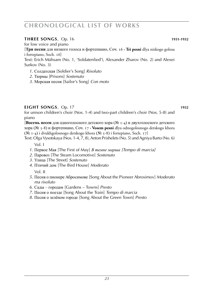#### **three songs**, Op. 16 **WEBS 1931-1932**

for low voice and piano

[**Три песни** для низкого голоса и фортепиано, Соч. 16 **· Tri pesni** dlya nizkogo golosa i fortepiano, Soch. 16]

Text: Erich Mühsam (No. 1, 'Soldatenlied'), Alexander Zharov (No. 2) and Alexei Surkov (No. 3)

- *1*. Солдатская [Soldier's Song] *Risoluto*
- *2*. Тюрмы [Prisons] *Sostenuto*
- *3*. Морская песня [Sailor's Song] *Con moto*

### **eight songs**, Op. 17 **1932**

for unison children's choir (Nos. 1-4) and two-part children's choir (Nos. 5-8) and piano

[**Восемь песен** для одноголосного детского хора (№ 1-4) и двухголосного детского хора (№ 5-8) и фортепиано, Соч. 17 **· Vosem pesni** dlya odnogolosnogo detskogo khora (№ 1-4) i dvukhgolosnogo detskogo khora (№ 5-8) i fortepiano, Soch. 17]

Text: Olga Vysotskaya (Nos. 1-4, 7, 8), Anton Prishelets (No. 5) and Agniya Barto (No. 6)

Vol. I

- *1*. Первое Мая [The First of May] *В темпе марша [Tempo di marcia]*
- *2*. Паровоз [The Steam Locomotive] *Sostenuto*
- *3*. Улица [The Street] *Sostenuto*
- *4*. Птичий дом [The Bird House] *Moderato*

Vol. II

- *5*. Песня о пионере Абросимове [Song About the Pioneer Abrosimov] *Moderato ma risoluto*
- *6*. Сады городам [Gardens Towns] *Presto*
- *7*. Песня о поезде [Song About the Train] *Tempo di marcia*
- *8*. Песня о зелёном городе [Song About the Green Town] *Presto*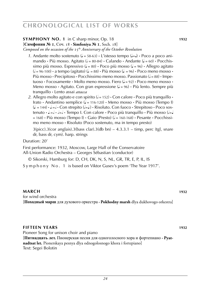#### **Symphony NO. 1** in C sharp minor, Op. 18 **1932**

[**Симфония № 1**, Соч. 18 **· Simfoniya № 1**, Soch. 18]

*Composed on the occasion of the* 15th *Anniversary of the October Revolution*

- *1*. Andante molto sostenuto ( $l = 58-63$ ) **·** L'istesso tempo ( $l = l$ ) · Poco a poco ani $m$ ando **·** Più mosso. Agitato ( $\neq$  = 80-84) **·** Calando **·** Andante ( $\downarrow$  = 60) · Pocchissimo più mosso. Espressivo ( $J = 80$ )  $\cdot$  Poco più mosso ( $J = 96$ )  $\cdot$  Allegro agitato  $\left( \frac{1}{2} = 96-100 \right) \cdot$  a tempo (agitato)  $\left( \frac{1}{2} = 88 \right) \cdot$  Più mosso  $\left( \frac{1}{2} = 96 \right) \cdot$  Poco meno mosso  $\cdot$ Più mosso · Precipitoso · Pocchissimo meno mosso. Passionato ( $= 88$ ) · Impetuoso **·** Focosamente **·** Molto meno mosso. Fiero (q = 92) **·** Poco meno mosso **·** Meno mosso **·** Agitato. Con gran espressione ( $l = 96$ ) **·** Più lento. Sempre più tranquillo **·** Lento assai *attacca*
- 2. Allegro molto agitato e con spirito  $\left( \frac{1}{2} \right)$  **·** Con calore **·** Poco più tranquillo **·** Irato **·** Andantino semplice (J = 116-120) **·** Meno mosso · Più mosso (Tempo I)  $(L = 144) \cdot L = J \cdot$  Con strepito  $(J = J) \cdot$  Risoluto. Con fuoco  $\cdot$  Strepitoso  $\cdot$  Poco sostenuto **·**  $I = \cdot$   $I = \cdot$  Tempo I. Con calore **·** Poco più tranquillo · Più mosso ( $I = \cdot$ = 168) **·** Più mosso (Tempo I) **·** Gaio (Presto) (h = 160-168) **·** Pesante **·** Pocchissimo meno mosso **·** Risoluto (Poco sostenuto, ma in tempo presto)

 $3(picc).3(cor anglais).3(bass clar).3(db bn) - 4.3.3.1 - timp, perc (tgl, snare)$ dr, bass dr, cym). harp. strings

#### Duration: 20'

First performance: 1932, Moscow, Large Hall of the Conservatoire All-Union Radio Orchestra – Georges Sébastian (conductor)

© Sikorski, Hamburg for: D, CH, DK, N, S, NL, GR, TR, E, P, IL, IS

Symphony No. 1 is based on Viktor Gusev's poem 'The Year 1917'.

**march 1932** for wind orchestra [**Походный марш** для духового оркестра **· Pokhodny marsh** dlya dukhovogo orkestra]

#### **Fifteen years 1932**

Pioneer Song for unison choir and piano [**Пятнадцать лет.** Пионерская песня для одноголосного хора и фортепиано **· Pyatnadtsat let.** Pionerskaya pesnya dlya odnogolosnogo khora i fortepiano] Text: Segei Bolotin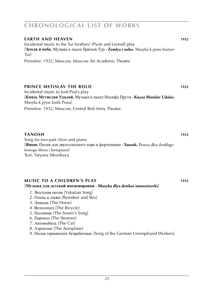#### **EARTH AND HEAVEN** 1932 Incidental music to the Tur brothers' (Pyotr and Leonid) play [**Земля и небо.** Музыка к пьесе братьев Тур **· Zemlya i nebo.** Muzyka k pyese bratyev Tur] Première: 1932, Moscow, Moscow Art Academic Theatre

#### **Prince mstislav the bold 1932**

Incidental music to Iosif Prut's play [**Князь Мстислав Удалой.** Музыка к пьесе Иосифа Прута **· Knyaz Mstislav Udaloi.** Muzyka k pyese Iosifa Pruta]

Première: 1932, Moscow, Central Red Army Theatre

#### **Yanosh 1933**

Song for two-part choir and piano [**Янош.** Песня для двухголосного хора и фортепиано **· Yanosh.** Pesnya dlya dvukhgolosnogo khora i fortepiano] Text: Tatyana Sikorskaya

#### **music to a children's play 1933**

#### [**Музыка для детской инсценировки · Muzyka dlya detskoi instsenirovki**]

- *1*. Якутская песня [Yakutian Song]
- *2*. Олень и лыжи [Reindeer and Skis]
- *3*. Лошадь [The Horse]
- *4*. Велосипед [The Bicycle]
- *5*. Посевная [The Sower's Song]
- *6*. Пароход [The Steamer]
- *7*. Автомобиль [The Car]
- *8*. Аэроплан [The Aeroplane]
- *9*. Песня германских безработных [Song of the German Unemployed Workers]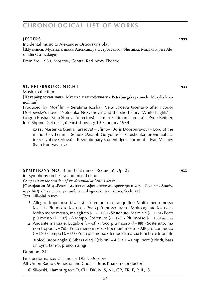#### **jesters 1933**

Incidental music to Alexander Ostrovsky's play [**Шутники.** Музыка к пьесе Александра Островского **· Shutniki.** Muzyka k pese Alexandra Ostrovskogo]

Première: 1933, Moscow, Central Red Army Theatre

#### **st. petersburg night 1933**

Music to the film

[**Петербургская ночь.** Музыка к кинофильму **· Peterburgskaya noch.** Muzyka k kinofilmu]

Produced by Mosfilm – Serafima Roshal, Vera Stroeva (scenario after Fyodor Dostoevsky's novel 'Netochka Nezvanova' and the short story 'White Nights') – Grigori Roshal, Vera Stroeva (directors) – Dmitri Feldman (camera) – Pyotr Beitner, Iosif Shpinel (set design). First showing: 19 February 1934

**c a s t** : Nastenka (Xenia Tarasova) – Efimov (Boris Dobronravov) – Lord of the manor (Lev Fenin) – Schulz (Anatoli Goryunov) – Grushenka, provincial actress (Lyubov Orlova) – Revolutionary student (Igor Doronin) – Ivan Vasiliev (Ivan Kudryavtsev)

**Symphony NO. 3** in B flat minor 'Requiem', Op. 22 **1933**

for symphony orchestra and mixed choir

*Composed on the occasion of the decennial of Lenin's death*

[**Симфония № 3** «Реквием» для симфонического оркестра и хора, Соч. 22 **· Simfoniya № 3** «Rekviem» dlya simfonicheskogo orkestra i khora, Soch. 22] Text: Nikolai Aseev

- 1. Allegro. Impetuoso ( $\ell$  = 116)  $\cdot$  A tempo, ma tranquillo  $\cdot$  Molto meno mosso  $(L = 96)$  **·** Più mosso  $(L = 104)$  · Poco più mosso. Irato **·** Molto agitato  $(L = 120)$  **·** Molto meno mosso, ma agitato ( $d = 1 = 160$ ) **·** Sostenuto. Marziale ( $d = 126$ ) **·** Poco più mosso ( $\downarrow$  = 132) **·** A tempo. Sostenuto ( $\downarrow$  = 126) **·** Più mosso ( $\downarrow$  = 100) *attacca*
- 2. Andante marciale. Lugubre  $\left(\frac{1}{2} = 63\right)$  **·** Poco più mosso  $\left(\frac{1}{2} = 88\right)$  · Sostenuto, ma non troppo (q = 76) **·** Poco meno mosso **·** Poco più mosso **·** Allegro con fuoco (h = 104) **·** Tempo I (q = 63) **·** Poco più mosso **·** Tempo di marcia funebre e trionfale 3(picc).3(cor anglais).3(bass clar).3(db bn) – 4.3.3.1 – timp, perc (sidr dr, bass dr, cym, tam-t). piano. strings

Duration: 24'

First performance: 21 January 1934, Moscow All-Union Radio Orchestra and Choir – Boris Khaikin (conductor)

© Sikorski, Hamburg for: D, CH, DK, N, S, NL, GR, TR, E, P, IL, IS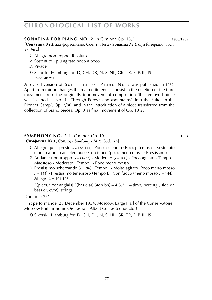#### **SONATina for piano NO. 2** in G minor, Op. 13,2 **1933**/**1969**

[**Сонатина № 2** для фортепиано, Соч. 13, № 2 **· Sonatina № 2** dlya fortepiano, Soch. 13, № 2]

- *1*. Allegro non troppo. Risoluto
- *2*. Sostenuto **·** più agitato poco a poco
- *3*. Vivace
- © Sikorski, Hamburg for: D, CH, DK, N, S, NL, GR, TR, E, P, IL, IS · *score:* **sik 2118**

A revised version of Sonatina for Piano No. 2 was published in 1969. Apart from minor changes the main differences consist in the deletion of the third movement from the originally four-movement composition (the removed piece was inserted as No. 4, 'Through Forests and Mountains', into the Suite 'In the Pioneer Camp', Op. 3/86) and in the introduction of a piece transferred from the collection of piano pieces, Op. 3 as final movement of Op. 13,2.

### **Symphony NO. 2** in C minor, Op. 19 **1934**

#### [**Симфония № 2**, Соч. 19 **· Simfoniya № 2**, Soch. 19]

- *1*. Allegro quasi presto (h = 138-144) **·** Poco sostenuto **·** Poco più mosso **·** Sostenuto e poco a poco accelerando **·** Con fuoco (poco meno moss) **·** Prestissimo
- 2. Andante non troppo ( $J = 66-72$ ) **·** Moderato ( $J = 100$ ) **·** Poco agitato **·** Tempo I. Maestoso **·** Moderato **·** Tempo I **·** Poco meno mosso
- *3*. Prestissimo scherzando ( $\neq$  = 96) **·** Tempo I · Molto agitato (Poco meno mosso  $\downarrow$  = 144) **·** Prestissimo tenebroso (Tempo I) **·** Con fuoco (meno mosso  $\downarrow$  = 144) **·** Allegro ( $= 104-108$ )

 $3$ (picc).3(cor anglais).3(bas clar).3(db bn)  $-4.3.3.1$  – timp, perc (tgl, side dr, bass dr, cym). strings

Duration: 25'

First performance: 25 December 1934, Moscow, Large Hall of the Conservatoire Moscow Philharmonic Orchestra – Albert Coates (conductor)

© Sikorski, Hamburg for: D, CH, DK, N, S, NL, GR, TR, E, P, IL, IS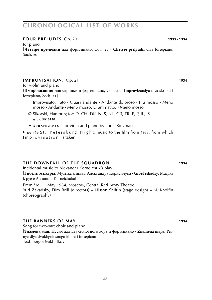#### **four preludes**, Op. 20 **1933 - 1334**

for piano [**Четыре прелюдии** для фортепиано, Соч. 20 **· Chetyre prelyudii** dlya fortepiano, Soch. 20]

#### **improvisation**, Op. 21 **1934 1934**

for violin and piano

[**Импровизация** для скрипки и фортепиано, Соч. 21 **· Improvizatsiya** dlya skripki i fortepiano, Soch. 21]

Improvisato. Irato **·** Quasi andante **·** Andante doloroso **·** Più mosso **·** Meno mosso **·** Andante **·** Meno mosso. Drammatico **·** Meno mosso

- © Sikorski, Hamburg for: D, CH, DK, N, S, NL, GR, TR, E, P, IL, IS · *score:* **sik 6150**
- ► **a r r a n g e m e n t** for viola and piano by Louis Kievman

► *see also* St. Petersburg Night, music to the film from 1933, from which Improvisation is taken.

#### **the downfall of the squadron 1934**

Incidental music to Alexander Korneichuk's play [**Гибель эскадры.** Музыка к пьесе Александра Корнейчука **· Gibel eskadry.** Muzyka k pyese Alexandra Korneichuka] Première: 11 May 1934, Moscow, Central Red Army Theatre Yuri Zavadsky, Efim Brill (directors) – Nisson Shifrin (stage design) – N. Kholfin

#### **the banners of may 1934**

(choreography)

Song for two-part choir and piano [**Знамена мая.** Песня для двухголосного хора и фортепиано **· Znamena maya.** Pesnya dlya dvukhgolosnogo khora i fortepiano] Text: Sergei Mikhalkov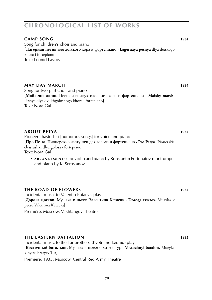#### **camp song 1934**

Song for children's choir and piano [**Лагерная песня** для детского хора и фортепиано **· Lagernaya pesnya** dlya detskogo khora i fortepiano] Text: Leonid Lavrov

#### **may DAY MARCH** 1934

Song for two-part choir and piano [**Майский марш.** Песня для двухголосного хора и фортепиано **· Maisky marsh.** Pesnya dlya dvukhgolosnogo khora i fortepiano] Text: Nora Gal

#### **about petya 1934**

Pioneer chastushki [humorous songs] for voice and piano

[**Про Петю.** Пионерские частушки для голоса и фортепиано **· Pro Petyu.** Pionerskie chastushki dlya golosa i fortepiano]

Text: Nora Gal

 ► **a r r a n g e m e n t s** : for violin and piano by Konstantin Fortunatov ■ for trumpet and piano by K. Serostanov.

#### **the road of flowers 1934**

Incidental music to Valentin Kataev's play [**Дорога цветов.** Музыка к пьесе Валентина Катаева **· Doroga tsvetov.** Muzyka k pyese Valentina Kataeva]

Première: Moscow, Vakhtangov Theatre

#### **the eastern battalion 1935**

Incidental music to the Tur brothers' (Pyotr and Leonid) play [**Восточный батальон.** Музыка к пьесе братьев Тур **· Vostochnyi batalon.** Muzyka k pyese bratyev Tur] Première: 1935, Moscow, Central Red Army Theatre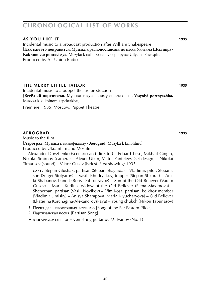#### **as you like it 1935**

Incidental music to a broadcast production after William Shakespeare [**Как вам это понравится.** Музыка к радиопостановке по пьесе Уильяма Шекспира **· Kak vam eto ponravitsya.** Muzyka k radiopostanovke po pyese Uilyama Shekspira] Produced by All-Union Radio

#### **the merry little tailor 1935**

Incidental music to a puppet theatre production [**Весёлый портняжка.** Музыка к кукольному спектаклю **· Vesyolyi portnyazhka.** Muzyka k kukolnomu spektaklyu]

Première: 1935, Moscow, Puppet Theatre

#### **aerograd 1935**

Music to the film

[**Аэроград.** Музыка к кинофильму **· Aerograd.** Muzyka k kinofilmu] Produced by Ukrainfilm and Mosfilm

 – Alexander Dovzhenko (scenario and director) – Eduard Tisse, Mikhail Gingin, Nikolai Smirnov (camera) – Alexei Utkin, Viktor Panteleev (set design) – Nikolai Timartsev (sound) – Viktor Gusev (lyrics). First showing: 1935

**c a s t** : Stepan Glushak, partisan (Stepan Shagaida) – Vladimir, pilot, Stepan's son (Sergei Stolyarov) – Vasili Khudryakov, trapper (Stepan Shkurat) – Aniki Shabanov, bandit (Boris Dobronravov) – Son of the Old Believer (Vadim Gusev) – Maria Kudina, widow of the Old Believer (Elena Maximova) – Shcherban, partisan (Vasili Novikov) – Efim Kosa, partisan, kolkhoz member (Vladimir Uralsky) – Anisya Sharapova (Maria Klyucharyova) – Old Believer (Ekaterina Korchagina-Alexandrovskaya) – Young chukch (Nikon Tabunasov)

- *1*. Песня дальневосточных летчиков [Song of the Far Eastern Pilots]
- *2*. Партизанская песня [Partisan Song]
- ► **a r r a n g e m e n t** for seven-string-guitar by M. Ivanov (No. 1)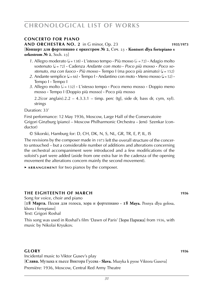#### **concerto for piano**

**and orchestra no. 2** in G minor, Op. 23 **1935**/**1973**

[**Концерт для фортепиано с оркестром № 2**, Соч. 23 **· Kontsert dlya fortepiano s orkestrom № 2**, Soch. 23]

- 1. Allegro moderato ( $\downarrow$  = 138)  $\cdot$  L'istesso tempo  $\cdot$  Più mosso ( $\downarrow$  = 72)  $\cdot$  Adagio molto sostenuto (q = 72) **·** Cadenza *Andante con moto* **·** *Poco più mosso* **·** *Poco so* $s$ *tenuto, ma con fuoco*  $\cdot$  *Più mosso*  $\cdot$  Tempo I (ma poco più animato) ( $J = 152$ )
- 2. Andante semplice  $(J = 66)$  **·** Tempo I **·** Andantino con moto **·** Meno mosso  $(J = 52)$  **·** Tempo I **·** Tempo I
- *3*. Allegro molto (h = 132) **·** L'istesso tempo **·** Poco meno mosso **·** Doppio meno mosso **·** Tempo I (Doppio più mosso) **·** Poco più mosso

 $2.2$ (cor anglais). $2.2 - 4.3.3.1$  – timp. perc (tgl, side dr, bass dr, cym, xyl). strings

Duration: 33'

First performance: 12 May 1936, Moscow, Large Hall of the Conservatoire Grigori Ginzburg (piano) – Moscow Philharmonic Orchestra – Jenő Szenkar (conductor)

© Sikorski, Hamburg for: D, CH, DK, N, S, NL, GR, TR, E, P, IL, IS

The revisions by the composer made in 1973 left the overall structure of the concerto untouched – but a considerable number of additions and alterations concerning the orchestral accompaniment were introduced and a few modifications of the soloist's part were added (aside from one extra bar in the cadenza of the opening movement the alterations concern mainly the second movement).

► **ARRANGEMENT** for two pianos by the composer.

#### **the eighteenth of march 1936**

Song for voice, choir and piano [**18 Марта.** Песня для голоса, хора и фортепиано **· 18 Maya.** Pesnya dlya golosa, khora i fortepiano] Text: Grigori Roshal

This song was used in Roshal's film 'Dawn of Paris' [Зори Парижа] from 1936, with music by Nikolai Kryukov.

#### **glory 1936**

Incidental music to Viktor Gusev's play [**Слава.** Музыка к пьесе Виктора Гусева **· Slava.** Muzyka k pyese Viktora Guseva] Première: 1936, Moscow, Central Red Army Theatre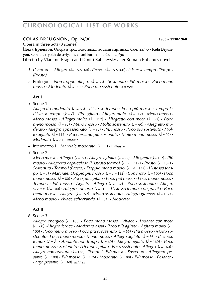#### **colas breugnon**, Op. 24/90 **1936 – 1938**/**1968**

Opera in three acts (8 scenes)

[**Кола Брюньон.** Опера в трёх действиях, восьми картинах, Соч. 24/90 **· Kola Bryunyon.** Opera v tryokh deistviyakh, vosmi kartinakh, Soch. 29/90]

Libretto by Vladimir Bragin and Dmitri Kabalevsky after Romain Rolland's novel

- *1*. Overture *Allegro* ( $J = 152-160$ ) **·** *Presto* ( $J = 152-160$ ) **·** *L'istesso tempo* · *Tempo I (Presto)*
- *2*. Prologue *Non troppo allegro* (q . = 66) **·** *Sostenuto* **·** *Più mosso* **·** *Poco meno mosso* **·** *Moderato* (q . = 80) **·** *Poco più sostenuto attacca*

#### **Act I**

*3*. Scene 1

*Allegretto moderato* (q . = 66) **·** *L*'*istesso tempo* **·** *Poco più mosso* **·** *Tempo I* **·** *L' istesso tempo*  $(\lambda = \lambda)$  **·** *Più agitato* **·** *Allegro molto*  $(\lambda = 112)$  · *Meno mosso* · *Meno mosso* **•** *Allegro molto*  $(J = 112)$  **·** *Allegretto con moto*  $(J = 72)$  **·** *Poco meno mosso* ( $J = 92$ ) • *Meno mosso* • *Molto sostenuto* ( $J = 60$ ) • *Allegretto moderato* **·** *Allegro appassionato* (q . = 92) **·** *Più mosso* **·** *Poco più sostenuto* **·** *Molto agitato* ( $\sqrt{ } = 112$ ) **·** *Pocchissimo più sostenuto* · *Molto meno mosso* ( $\sqrt{ } = 92$ ) · *Moderato* ( $= 84$ ) *attacca* 

- *4*. Intermezzo I *Marciale moderato* (q . = 112) *attacca*
- *5*. Scene 2

*Meno mosso* **•** *Allegro*  $(a = 92)$  **·** *Allegro agitato*  $(a = 72)$  **·** *Allegretto*  $(a = 112)$  **·** *Più*  $mosso \cdot$  *Allegretto capriccioso* (L'*istesso tempo*) ( $J = J = 112$ )  $\cdot$  *Presto* ( $J = 132$ )  $\cdot$ *Sostenuto* • *Tempo I (Presto)* • *Doppio meno mosso* ( $J = J = 132$ ) • *L'istesso tem* $po \ (\downarrow = \downarrow)$  **•** *Marciale. Doppio più mosso*  $(\downarrow = \downarrow) = 132$  **•** *Con moto*  $(\downarrow = 100)$  **•** *Poco meno mosso* (q . = 80) **·** *Poco più agitato* **·** *Poco più mosso* **·** *Poco meno mosso* **·** *Tempo I* **·** *Più mosso* **·** *Agitato* **·** *Allegro* (q = 132) **·** *Poco sostenuto* **·** *Allegro vivace* (h = 100) **·** *Allegro con brio* (q = 112) **·** *L*'*istesso tempo. con gravità* **·** *Poco*   $meno$   $mosso \cdot$   $Allegro$   $(l = 152) \cdot$   $Molto$  sostenuto  $\cdot$   $Allegro$  giocoso  $(l = 132) \cdot$  $Meno$  mosso **·** *Vivace scherzando*  $(L = 84)$  **·** *Moderato* 

#### **Act II**

*6*. Scene 3

*Allegro energico* (h = 108) **·** *Poco meno mosso* **·** *Vivace* **·** *Andante con moto* (h = 60) **·***Allegro feroce* **·** *Moderato assai* **·** *Poco più agitato* **·** *Agitato molto* (h = 100)  $\cdot$  *Poco meno mosso*  $\cdot$  *Poco più sosotenuto* ( $\downarrow$  = 66)  $\cdot$  *Più mosso*  $\cdot$  *Molto sostenuto* **·** *Poco meno mosso* **·** *Meno mosso* **·** *Allegro agitato* (q . = 76) **·** *L*'*istesso*   $tempo$  ( $\Diamond = \Diamond$ ) **·** *Andante non troppo* ( $\Diamond = 60$ ) **·** *Allegro agitato* ( $\Diamond = 160$ ) **·** *Poco meno mosso* **·** *Sostenuto* **·** *A tempo agitato* **·** *Poco sostenuto* **·** *Allegro* (q = 160) **·** *Allegro con bravura* (q = 138) **·** *Tempo I* **·** *Più mosso* **·** *Sostenuto* **·** *Allegretto pe* $s$ ante  $(J = 100) \cdot$  *Più mosso*  $(J = 126) \cdot$  *Moderato*  $(J = 88) \cdot$  *Più mosso*  $\cdot$  *Pesante*  $\cdot$ *Largo pesante* ( $J = 60$ ) *attacca*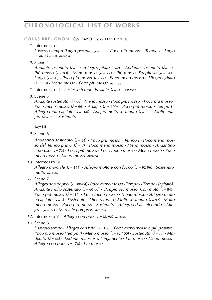#### **COLAS BREUGNON, Op. 24/90 [CONTINUED I]**

#### *7*. Intermezzo II

*L*'*istesso tempo (Largo pesante* (q = 66) **·** *Poco più mosso* **·** *Tempo I* **·** *Largo*   $\text{assai}$  ( $\text{J} = 50$ ) *attacca* 

*8*. Scene 4

*Andante sostenuto*  $(J=66) \cdot$ *Allegro agitato*  $(J=80) \cdot$ *Andante sostenuto*  $(J=66) \cdot$ *Più mosso* ( $\neq$  = 80) **·** *Meno mosso* ( $\downarrow$  = 72) **·** *Più mosso. Strepitoso* ( $\downarrow$  = 84) **·** *Largo* (q = 50) **·** *Poco più mosso* (q = 72) **·** *Poco meno mosso* **·** *Allegro agitato* (q = 120) **·** *Meno mosso* **·** *Poco più mosso attacca*

- *7.* Intermezzo III *L'istesso tempo. Pesante* ( $J = 60$ ) *attacca*
- *8*. Scene 5

*Andante sostenuto* (q = 66) **·** *Meno mosso* **·** *Poco più mosso* **·** *Poco più mosso* **·** *Poco meno mosso* ( $J = 66$ )  $\cdot$  *Adagio* ( $J = 100$ )  $\cdot$  *Poco più mosso*  $\cdot$  *Tempo*  $I \cdot$ *Allegro molto agitato* (q = 160) **·** *Adagio molto sostenuto* (q = 66) **·** *Molto ada-* $\phi$  ( $\phi$  = 80) **·** *Sostenuto* 

#### **Act III**

*9*. Scene 6

*Andantino sostenuto* (q = 54) **·** *Poco più mosso* **·** *Tempo I* **·** *Poco meno mosso del Tempo primo*  $(\lambda = \lambda)$  · *Poco meno mosso* · *Meno mosso* · *Andantino amoroso* (q = 72) **·** *Poco più mosso* **·** *Poco meno mosso* **·** *Meno mosso* **·** *Poco meno mosso* **·** *Meno mosso attacca*

*10*. Intermezzo IV

*Allegro marciale* ( $J = 144$ ) **·** *Allegro molto e con fuoco* ( $J = 92-96$ ) **·** *Sostenuto molto attacca*

*11*. Scene 7

 $\Delta$ *llegro non troppo*  $\left( \frac{1}{2} = 80.84 \right)$  **·** *Poco meno mosso* · *Tempo I* · *Tempo I* (agitato) · *Andante molto sostenuto* ( $J = 60-66$ ) **·** *Doppio più mosso. Con moto* ( $J = 84$ ) **·** *Poco più mosso* ( $\neq$  = 112) **·** *Poco meno mosso* · *Meno mosso* · *Allegro molto ed agitato* (q = h .) **·** *Sostenuto* **·** *Allegro molto* **·** *Molto sostenuto* (q = 92) **·** *Molto meno mosso* **·** *Poco più mosso* **·** *Sostenuto* **·** *Allegro ed accelerando* **·** *Allegro* (q . = 92) **·** *Marciale pomposo attacca*

- *12.* Intermezzo V *Allegro con brio* ( $\epsilon$  = 88-92) *attacca*
- *13*. Scene 8

*L'* istesso tempo  $\cdot$  *Allegro con brio* ( $\sqrt{ }$  = 160)  $\cdot$  *Poco meno mosso e più pesante*  $\cdot$ *Poco più mosso (Tempo I)*  $\cdot$  *Meno mosso* ( $J = 92-100$ )  $\cdot$  *Sostenuto* ( $J = 80$ )  $\cdot$  *Moderato* (q = 66) **·** *Andante maestoso. Largamente* **·** *Più mosso* **·** *Meno mosso* **·** *Allegro con brio* (q = 176) **·** *Più mosso*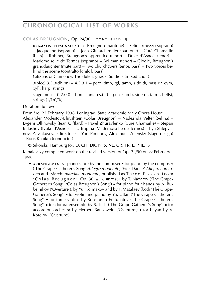#### **COLAS BREUGNON, Op. 24/90 [CONTINUED II]**

**DRAMATIS PERSONAE:** Colas Breugnon (baritone) – Selina (mezzo-soprano) – Jacqueline (soprano) – Jean Gifflard, miller (baritone) – Curé Chamaille (bass) – Robinet, Breugnon's apprentice (tenor) – Duke d'Asnois (tenor) – Mademoiselle de Termes (soprano) – Bellman (tenor) – Glodie, Breugnon's granddaughter (mute part) – Two churchgoers (tenor, bass) – Two voices behind the scene (contralto [child], bass)

Citizens of Clamency, The duke's guests, Soldiers (mixed choir)

 $3(picc).3.3.3(db bn) - 4.3.3.1 - perc (timp, tgl, tamb, side dr, bass dr, cym,$ xyl). harp. strings

stage music: 0.2.0.0 – horns.fanfares.0.0 – perc (tamb, side dr, tam-t, bells), strings (1/1/0/0/)

Duration: full eve

Première: 22 February 1938, Leningrad, State Academic Maly Opera House Alexander Modestov-Bluvshtein (Colas Breugnon) – Nadezhda Velter (Selina) – Evgeni Olkhovsky (Jean Gifflard) – Pavel Zhuravlenko (Curé Chamaille) – Stepan Balashov (Duke d'Asnois) – E. Tropina (Mademoiselle de Termes) – Ilya Shlepyanov, Z. Zakusova (directors) – Yuri Pimenov, Alexander Zelensky (stage design) – Boris Khaikin (conductor)

© Sikorski, Hamburg for: D, CH, DK, N, S, NL, GR, TR, E, P, IL, IS

Kabalevsky completed work on the revised version of Op. 24/90 on 22 February 1968.

► ARRANGEMENTS: piano score by the composer ■ for piano by the composer ('The Grape-Gatherer's Song' *Allegro moderato*, 'Folk Dance' *Allegro con fuoco* and 'March' *marciale moderato*, published as Three Pieces from ' C o l a s B r e u g n o n ', Op. 30, *score:* **sik 2190**), by T. Nazarov ('The Grape-Gatherer's Song', 'Colas Breugnon's Song') ■ for piano four hands by A. Bubelnikov ('Overture'), by Yu. Kolmakov and by T. Matalaev (both 'The Grape-Gatherer's Song') ■ for violin and piano by Yu. Utkin ('The Grape-Gatherer's Song') ■ for three violins by Konstantin Fortunatov ('The Grape-Gatherer's Song') ■ for domra ensemble by S. Tesh ('The Grape-Gatherer's Song') ■ for accordion orchestra by Herbert Bausewein ('Overture') ■ for bayan by V. Korelov ('Overture').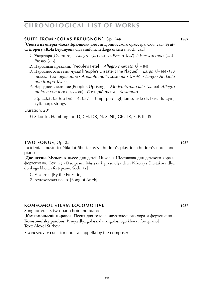#### **Suite from 'colas breugnon'**, Op. 24a **1962**

[**Сюита из оперы «Кола Брюньон»** для симфонического оркестра, Соч. 24a **· Syuita iz opery «Kola Bryunyon»** dlya simfonicheskogo orkestra, Soch. 24a]

- *1*. Увертюра [Overture] Allegro ( $=$ 123-132) Presto ( $=$ ) L'istesso tempo ( $=$ ) *Presto*  $(l=1)$
- 2. Народный праздник [People's Fete] *Allegro marcato* (d = 84)
- *3*. Народное бедствие (чума) [People's Disaster (The Plague)] *Largo* (J=66) · *Più mosso. Con agitazione* • *Andante molto sostenuto* ( $J = 60$ ) • *Largo* • *Andante non troppo*  $(\sqrt{ } = 72)$
- *4*. Народное восстание [People's Uprising] *Moderato marciale* (q = 100) **·***Allegro molto e con fuoco* ( $\epsilon$  = 80) **·** *Poco più mosso* · *Sostenuto*

 $3(pice).3.3.3$  (db bn)  $-4.3.3.1 - timp$ , perc (tgl, tamb, side dr, bass dr, cym, xyl). harp. strings

Duration: 20'

© Sikorski, Hamburg for: D, CH, DK, N, S, NL, GR, TR, E, P, IL, IS

#### **two songs**, Op. 25 **1937**

Incidental music to Nikolai Shestakov's children's play for children's choir and piano

[**Две песни.** Музыка к пьесе для детей Николая Шестакова для детского хора и фортепиано, Соч. 25 **· Dve pesni.** Muzyka k pyese dlya detei Nikolaya Shestakova dlya detskogo khora i fortepiano, Soch. 25]

- *1*. У костра [By the Fireside]
- *2*. Артековская песня [Song of Artek]

#### **Komsomol steam locomotive 1937**

Song for voice, two-part choir and piano

[**Комсомолький паровос.** Песня для голоса, двухголосного хора и фортепиано **· Komsomolsky parobos.** Pesnya dlya golosa, dvukhgolosnogo khora i fortepiano] Text: Alexei Surkov

► **a r r a n g e m e n t** : for choir a cappella by the composer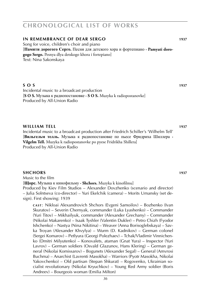#### **in remembrance of dear sergo 1937**

Song for voice, children's choir and piano [**Памяти дорогого Серго.** Песня для детского хора и фортепиано **· Pamyati dorogogo Sergo.** Pesnya dlya detskogo khora i fortepiano] Text: Nina Sakonskaya

#### **s o s 1**937

Incidental music to a broadcast production [**S O S.** Музыка к радиопостановке **· S O S.** Muzyka k radiopostanovke] Produced by All-Union Radio

#### **william tell 1937**

Incidental music to a broadcast production after Friedrich Schiller's 'Wilhelm Tell' [**Вильгельм телль.** Музыка к радиопостановке по пьесе Фридриха Шиллера **· Vilgelm Tell.** Muzyka k radiopostanovke po pyese Fridrikha Shillera] Produced by All-Union Radio

#### **Shchors 1937**

Music to the film [**Щорс.** Музыка к кинофильму **· Shchors.** Muzyka k kinofilmu] Produced by Kiev Film Studios – Alexander Dovzhenko (scenario and director) – Julia Solntseva (co-director) – Yuri Ekelchik (camera) – Morits Umansky (set design). First showing: 1939

**c a s t** : Nikloai Alexandrovich Shchors (Evgeni Samoilov) – Bozhenko (Ivan Skuratov) – Severin Chernyak, commander (Luka Lyashenko) – Commander (Yuri Titov) – Mikhailyuk, commander (Alexander Grechany) – Commander (Nikolai Makarenko) – Isaak Tyshler (Valentin Dukler) – Petro Chizh (Fyodor Ishchenko) – Nastya (Nina Nikitina) – Weaver (Anna Borisoglebskaya) – Savka Troyan (Alexander Khvylya) – Wurm (D. Kadnikov) – German colonel (Sergei Komarov) – Petlyura (Georgi Polezhaev) – Tchak/Vladimir Vinnichenko (Dmitri Milyutenko) – Konovalets, ataman (Gnat Yura) – Inspector (Yuri Lavrov) – German soldiers (Osvald Glazunov, Hans Klering) – German general (Nikolai Komissarov) – Bogunets (Alexander Segal) – General (Amvrosi Buchma) – Anarchist (Lavrenti Masokha) – Warriors (Pyotr Masokha, Nikolai Yakovchenko) – Old partisan (Stepan Shkurat) – Rogovenko, Ukrainian socialist revolutionary (Nikolai Kryuchkov) – Young Red Army soldier (Boris Andreev) – Bourgeois woman (Emilia Milton)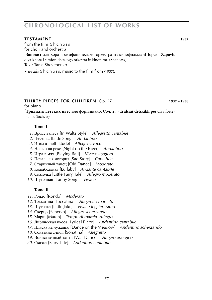### **testament WS 1010248 1937**

from the film S h c h o r s for choir and orchestra

[**Заповит** для хора и симфонического оркестра из кинофильма «Щорс» **· Zapovit** dlya khora i simfonicheskogo orkestra iz kinofilma «Shchors»] Text: Taras Shevchenko

► *see also* S h c h o r s, music to the film from (1937).

# **thirty pieces for children**, Op. 27 **1937 – 1938**

for piano

[**Тридцать детских пьес** для фортепиано, Соч. 27 **· Tridtsat detskikh pes** dlya fortepiano, Soch. 27]

# **Tome I**

- *1*. Вроде вальса [In Waltz Style] *Allegretto cantabile*
- *2*. Песенка [Little Song] *Andantino*
- *3*. Этюд a-moll [Etude] *Allegro vivace*
- *4*. Ночью на реке [Night on the River] *Andantino*
- *5*. Игра в мяч [Playing Ball] *Vivace leggiero*
- *6*. Печальная история [Sad Story] *Cantabile*
- *7*. Старинный танец [Old Dance] *Moderato*
- *8*. Колыбельная [Lullaby] *Andante cantabile*
- *9*. Сказочка [Little Fairy Tale] *Allegro moderato*
- *10*. Шуточная [Funny Song] *Vivace*

# **Tome II**

- *11*. Рондо [Rondo] *Moderato*
- *12*. Токкатина [Toccatina] *Allegretto marcato*
- *13*. Шуточка [Little Joke] *Vivace leggierissimo*
- *14*. Скерцо [Scherzo] *Allegro scherzando*
- *15*. Марш [March] *Tempo di marcia. Allegro*
- *16*. Лирическая пьеса [Lyrical Piece] *Andantino cantabile*
- *17*. Пляска на лужайке [Dance on the Meadow] *Andantino scherzando*
- *18*. Сонатина a-moll [Sonatina] *Allegretto*
- *19*. Воинственный танец [War Dance] *Allegro energico*
- *20*. Сказка [Fairy Tale] *Andantino cantabile*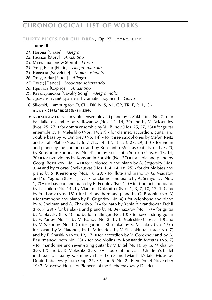#### THIRTY PIECES FOR CHILDREN, Op. 27 [CONTINUED]

#### **Tome III**

- *21*. Погоня [Chase] *Allegro*
- *22*. Рассказ [Story] *Andantino*
- *23*. Метелица [Snow Storm] *Presto*
- *24*. Этюд F-dur [Etude] *Allegro marcato*
- *25*. Новелла [Novelette] *Molto sostenuto*
- *26*. Этюд A-dur [Etude] *Allegro*
- *27*. Танец [Dance] *Moderato scherzando*
- *28*. Причуда [Caprice] *Andantino*
- *29*. Кавалерийская [Cavalry Song] *Allegro molto*
- *30*. Драматический фрагмент [Dramatic Fragment] *Grave*
- © Sikorski, Hamburg for: D, CH, DK, N, S, NL, GR, TR, E, P, IL, IS · *score:* **sik 2399a** / **sik 2399b** / **sik 2399c**
- ► **a r r a n g e m e n t s** : for violin ensemble and piano by T. Zakharina (No. 7) for balalaika ensemble by V. Rozanov (Nos. 12, 14, 29) and by V. Avksentiev (Nos. 25, 27) ■ for domra ensemble by Yu. Blinov (Nos. 25, 27, 28) ■ for guitar ensemble by R. Meleshko (Nos. 14, 27) ■ for clarinet, accordion, guitar and double bass by V. Dmitriev (No. 14) ■ for three saxophones by Stefan Reitz and Sarah Platte (Nos. 1, 6, 7 ,12, 14, 17, 18, 23, 27, 29, 33) ■ for violin and piano by the composer and by Konstantin Mostras (both Nos. 1, 3, 7), by Konstantin Fortunatov (No. 4) and by Konstantin Sorokin (Nos. 6, 13, 14, 20) ■ for two violins by Konstantin Sorokin (No. 27) ■ for viola and piano by Georgi Bezrukov (No. 14) ■ for violoncello and piano by A. Stogorsky (Nos. 3, 4) and by Yuozas Chelkauskas (Nos. 1, 4, 14, 18, 25) ■ for double bass and piano by S. Khersonsky (Nos. 18, 20) ■ for flute and piano by G. Madatov and Yu. Yagudin (Nos. 1, 3, 7)  $\bullet$  for clarinet and piano by A. Semyonov (Nos. 1, 7) ■ for bassoon and piano by B. Fedulov (No. 12) ■ for trumpet and piano by L. Lipikin (No. 14), by Vladimir Dokshitser (Nos. 1, 3, 7, 10, 12, 14) and by Yu. Usov (Nos. 18) ■ for baritone horn and piano by G. Boronin (No. 3)  $\bullet$  for trombone and piano by B. Grigoriev (No. 4)  $\bullet$  for xylophone and piano by V. Sheiman and A. Zhak (No. 7) ■ for harp by Xenia Alexandrovna Erdeli (No. 7, 29) ■ for balalaika and piano by N. Beknazarov (No. 17) ■ for guitar by V. Slavsky (No. 4) and by John Ellinger (No. 10) ■ for seven-string guitar by V. Yuriev (No. 1), by M. Ivanov (No. 2), by R. Meleshko (Nos. 7, 10) and by V. Sazonov (No. 14) ■ for garmon 'Khromka' by V. Mashkov (No. 17) ■ for bayan by V. Platonov, by L. Milovidov, by V. Shashkin (all three No. 7) and by P. Shashkin (Nos. 12, 17) ■ for accordion by V. Gorokhov and by A. Basurmanov (both No. 25) ■ for two violins by Konstantin Mostras (No. 7) ■ for mandoline and seven-string guitar by V. Ditel (No.1), by G. Mikhailov (No. 17) and by R. Meleshko (No. 8) ■ 'House of the Cats'. Children's ballet in three tableaux by K. Smirnova based on Samuil Marshak's tale. Music by Dmitri Kabalevsky from Opp. 27, 39, and 5 (No. 2). Première: 4 November 1947, Moscow, House of Pioneers of the Shcherbakovsky District.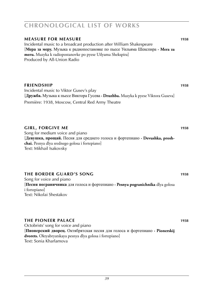### *39*

# **chronological list of works**

# **Measure for Measure 1938**

Incidental music to a broadcast production after William Shakespeare [**Мера за меру.** Музыка к радиопостановке по пьесе Уильяма Шекспира **· Mera za meru.** Muzyka k radiopostanovke po pyese Uilyama Shekspira] Produced by All-Union Radio

#### **friendship 1938**

Incidental music to Viktor Gusev's play [**Дружба.** Музыка к пьесе Виктора Гусева **· Druzhba.** Muzyka k pyese Viktora Guseva] Première: 1938, Moscow, Central Red Army Theatre

#### **girl, forgive me 1938**

Song for medium voice and piano [**Девушка, прощай.** Песня для среднего голоса и фортепиано **· Devushka, proshchai.** Pesnya dlya srednego golosa i fortepiano] Text: Mikhail Isakovsky

#### **the border guard's song 1938**

Song for voice and piano [**Песня пограничника** для голоса и фортепиано **· Pesnya pogranichnika** dlya golosa i fortepiano] Text: Nikolai Shestakov

### **the pioneer palace 1938**

Octobrists' song for voice and piano [**Пионерский дворец.** Октябрятская песня для голоса и фортепиано **· Pionerskij dvorets.** Oktyabryatskaya pesnya dlya golosa i fortepiano] Text: Sonia Kharlamova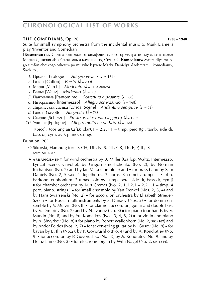# **the comedians**, Op. 26 **1938 – 1940**

Suite for small symphony orchestra from the incidental music to Mark Daniel's play 'Inventor and Comedian'

[**Комедианты.** Сюита для малого симфонического оркестра по музыке к пьесе Марка Даниэля «Изобретатель и комедиант», Соч. 26 **· Komedianty.** Syuita dlya malogo simfonicheskogo orkestra po muzyke k pyese Marka Danielya «Izobretatel i komediant», Soch. 26]

- *1*. Пролог [Prologue] *Allegro vivace* ( $\bullet$  = 184)
- 2. Галоп [Gallop] *Presto*  $\mathcal{L} = 200$
- *3*. Марш [March] *Moderato* (q = 116) *attacca*
- *4*. Вальс [Waltz] *Moderato* ( $\overline{e}$  = 69)
- *5*. Пантомима [Pantomime] *Sostenuto e pesante* ( $\bullet$  = 88)
- *6*. Интермеццо [Intermezzo] *Allegro scherzando* ( $\bullet$  = 168)
- *7*. Лирическая сценка [Lyrical Scene] *Andantino semplice* ( $\bullet$  = 63)
- *8*. Гавот [Gavotte] *Allegretto* ( $\epsilon$  = 76)
- *9*. Скерцо [Scherzo] *Presto assai e molto leggiero* (• = 120)
- *10.* Эпилог [Epilogue] *Allegro molto e con brio* ( $\epsilon$  = 168)

1(picc).1(cor anglais).2(*Eb* clar).1 – 2.2.1.1 – timp, perc (tgl, tamb, side dr, bass dr, cym, xyl). piano. strings

# Duration: 20'

- © Sikorski, Hamburg for: D, CH, DK, N, S, NL, GR, TR, E, P, IL, IS · *score:* **sik 6887**
- ► **a r r a n g e m e n t** for wind orchestra by B. Miller (Gallop, Waltz, Intermezzo, Lyrical Scene, Gavotte), by Grigori Smushchenko (No. 2), by Norman Richardson (No. 2) and by Jan Valta (complete) and ■ for brass band by Sam Daniels (No. 2, 5 sax. 4 flugelhorns. 3 horns. 3 cornets/trumpets. 3 trbn. baritone. euphonium. 2 tubas. solo xyl. timp. perc [side dr, bass dr, cym])  $\bullet$  for chamber orchestra by Kurt Cremer (No. 2, 1.1.2.1 – 2.2.1.1 – timp. 4 perc. piano. strings ) ■ for small ensemble by Yan Frenkel (Nos. 2, 3, 4) and by Hans Swarsenski (No. 2) ■ for accordion orchestra by Elisabeth Strieder-Szech ■ for Russian folk instruments by S. Dunaev (Nos. 2) ■ for domra ensemble by V. Murzin (No. 8) ■ for clarinet, accordion, guitar and double bass by V. Dmitriev (No. 2) and by N. Ivanov (No. 8) ■ for piano four hands by V. Murzin (No. 8) and by Yu. Komalkov (Nos. 3, 4, 8, 2) ■ for violin and piano by A. Shvyrkov (No. 8) ■ for piano by Robert Wallenborn (No. 2, **sik 2102**) and by Andor Foldes (Nos. 2, 7) ■ for seven-string guitar by N. Gusov (No. 8) ■ for bayan by B. Ilin (No.2), by P. Govorushko (No. 4) and by A. Kondratiev (No. 9) ■ for accordion by P. Govorushko (No. 4), by A. Kondratev (No. 9) and by Heinz Ehme (No. 2) ■ for electronic organ by Willi Nagel (No. 2, **sik 1314**).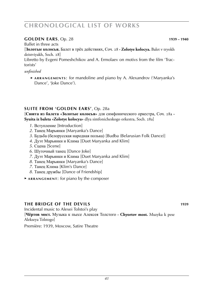### **golden ears**, Op. 28 **1939 – 1940**

Ballet in three acts

[**Золотые колосья.** Балет в трёх действиях, Соч. 28 **· Zolotye kolocya.** Balet v tryokh deistviyakh, Soch. 28]

Libretto by Evgeni Pomeshchikov and A. Ermolaev on motivs from the film 'Tractorists'

#### *unfinished*

 ► **a r r a n g e m e n t s** : for mandoline and piano by A. Alexandrov ('Maryanka's Dance', 'Joke Dance').

#### **Suite from 'golden ears'**, Op. 28a

[**Сюита из балета «Золотые колосья»** для симфонического оркестра, Соч. 28a **· Syuita iz baleta «Zolotye kolocya»** dlya simfonicheskogo orkestra, Soch. 28a]

- *1*. Вступление [Introduction]
- *2*. Танец Марьянки [Maryanka's Dance]
- *3*. Будьба (белорусская народная полька) [Budba (Belarusian Folk Dance)]
- *4*. Дуэт Марьянки и Клима [Duet Maryanka and Klim]
- *5*. Сцена [Scene]
- *6*. Шуточный танец [Dance Joke]
- *7*. Дуэт Марьянки и Клима [Duet Maryanka and Klim]
- *8*. Танец Марьянки [Maryanka's Dance]
- *7*. Танец Клима [Klim's Dance]
- *8*. Танец дружбы [Dance of Friendship]
- ► **a r r a n g e m e n t** : for piano by the composer

#### **the bridge of the devils 1939**

Incidental music to Alexei Tolstoi's play [**Чёртов мост.** Музыка к пьесе Алексея Толстого **· Chyortov most.** Muzyka k pese

Alekseya Tolstogo]

Première: 1939, Moscow, Satire Theatre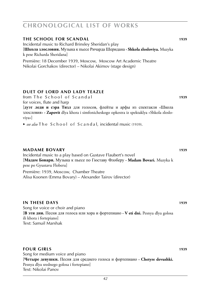### **the school for scandal 1939**

Incidental music to Richard Brinsley Sheridan's play [**Школа злословия.** Музыка к пьесе Ричарда Шеридана **· Shkola zlosloviya.** Muzyka k pese Richarda Sheridana]

Première: 18 December 1939, Moscow, Moscow Art Academic Theatre Nikolai Gorchakov (director) – Nikolai Akimov (stage design)

# **duet of lord and lady teazle**

from The School of Scandal **1939** for voices, flute and harp

[**дуэт леди и сэра Тизл** для голосов, флейты и арфы из спектакля «Школа злословия» **· Zapovit** dlya khora i simfonicheskogo opkestra iz spektaklya «Shkola zlosloviya»]

► *see also* T h e S c h o o l o f S c a n d a l, incidental music (1939).

#### **MADAME BOVARY** 1939

Incidental music to a play based on Gustave Flaubert's novel [**Мадам Бовари.** Музыка к пьесе по Гюставу Флоберу **· Madam Bovari.** Muzyka k pese po Gyustavu Floberu]

Première: 1939, Moscow, Chamber Theatre Alisa Koonen (Emma Bovary) – Alexander Tairov (director)

#### **in these days 1939**

Song for voice or choir and piano [**В эти дни.** Песня для голоса или хора и фортепиано **· V eti dni.** Pesnya dlya golosa ili khora i fortepiano] Text: Samuil Marshak

#### **four girls 1939**

Song for medium voice and piano [**Четыре девушки.** Песня для среднего голоса и фортепиано **· Chetyre devushki.** Pesnya dlya srednego golosa i fortepiano] Text: Nikolai Panov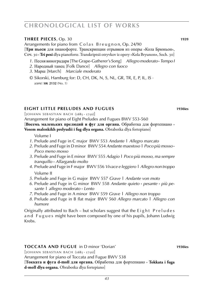# **three pieces**, Op. 30 **1939**

Arrangements for piano from Colas Breugnon, Op. 24/90 [**Три пьеси** для пианофорте. Транскрипции отрывков из оперы «Кола Брюньон», Соч. 30 **· Tri pesi** dlya pianoforte. Transkriptsii otryvkov iz opery «Kola Bryunon**»**, Soch. 30]

- *1*. Песня виноградаря [The Grape-Gatherer's Song] *Allegro moderato* **·** *Tempo I*
- *2*. Народный танец [Folk Dance] *Allegro con fuoco*
- *3*. Марш [March] *Marciale moderato*
- © Sikorski, Hamburg for: D, CH, DK, N, S, NL, GR, TR, E, P, IL, IS · *score:* **sik 2132** (No. 1)

# **eight little preludes and fugues 1930ies**

 $[$ IOHANN SEBASTIAN BACH  $(1685 - 1750)$ ]

Arrangement for piano of Eight Preludes and Fugues BWV 553-560 [**Восемь маленьких прелюдий и фуг для органа.** Обработка для фортепиано **· Vosem malenkikh prelyudii i fug dlya organa.** Obrabotka dlya fortepiano]

Volume I

- *1*. Prelude and Fuge in C major BWV 553 *Andante* **|** *Allegro marcato*
- *2*. Prelude and Fuge in D minor BWV 554 *Andante maestoso* **|** *Poco più mosso* **·** *Poco meno mosso*
- *3*. Prelude and Fuge in E minor BWV 555 *Adagio* **|** *Poco più mosso, ma sempre tranquillo* **·** *Allargando molto*
- *4*. Prelude and Fuge in F major BWV 556 *Vivace e leggiero* **|** *Allegro non troppo* Volume II
- *5*. Prelude and Fuge in G major BWV 557 *Grave* **|** *Andante von moto*
- *6*. Prelude and Fuge in G minor BWV 558 *Andante quieto* **·** *pesante* **·** *più pe sante* **|** *allegro moderato* **·** *Lento*
- *7*. Prelude and Fuge in A minor BWV 559 *Grave* **|** *Allegro non troppo*
- *8*. Prelude and Fuge in B flat major BWV 560 *Allegro marcato* **|** *Allegro con humore*

Originally attributed to Bach  $-$  but scholars suggest that the Eight Preludes and Fugues might have been composed by one of his pupils, Johann Ludwig Krebs.

#### **Toccata and fugue** in D minor 'Dorian' **1930ies**

 $[$ IOHANN SEBASTIAN BACH  $(1685 - 1750)$ 

Arrangement for piano of Toccata and Fugue BWV 538

[**Токката и фуга d-moll для органа.** Обработка для фортепиано **· Tokkata i fuga d-moll dlya organa.** Obrabotka dlya fortepiano]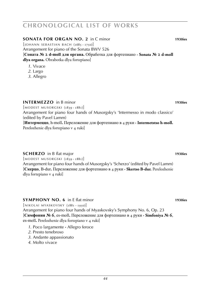**sonata for organ no. 2** in C minor **1930ies**

 $[$ JOHANN SEBASTIAN BACH  $(1685 - 1750)$ ] Arrangement for piano of the Sonata BWV 526 [**Соната № 2 d-moll для органа.** Обработка для фортепиано **· Sonata № 2 d-moll dlya organa.** Obrabotka dlya fortepiano]

- *1*. Vivace
- *2*. Largo
- *3*. Allegro

# **intermezzo** in B minor **1930ies**

 $[MODEST MUSORGSKI (1839 - 1881)]$ Arrangement for piano four hands of Musorgsky's 'Intermesso in modo classico' (edited by Pavel Lamm)

[**Интермеццо**, h-moll**.** Переложение для фортепиано в 4 руки **· Intermetstso h-moll.** Perelozhenie dlya fortepiano v 4 ruki]

# **scherzo** in B flat major **1930ies**

 $[MODEST MUSORGSKI (1839 - 1881)]$ Arrangement for piano four hands of Musorgsky's 'Scherzo' (edited by Pavel Lamm) [**Скерцо**, B-dur**.** Переложение для фортепиано в 4 руки **· Skertso B-dur.** Perelozhenie dlya fortepiano v 4 ruki]

# **symphony no. 6** in E flat minor **1930ies**

 $[NIKOLA]$  MYASKOVSKY  $(1881 - 1950)$ Arrangement for piano four hands of Myaskovsky's Symphony No. 6, Op. 23 [**Симфония № 6**, es-moll**.** Переложение для фортепиано в 4 руки **· Simfoniya № 6**, es-moll**.** Perelozhenie dlya fortepiano v 4 ruki]

- *1*. Poco largamente **·** Allegro feroce
- *2*. Presto tenebroso
- *3*. Andante appassionato
- *4*. Molto vivace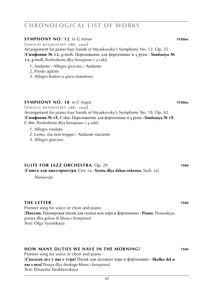#### **symphony no. 12** in G minor **1930ies**

 $[NIKOIAI MYASKOVSKY (188I - 1950)]$ 

Arrangement for piano four hands of Myaskovsky's Symphony No. 12, Op. 35 [**Симфония № 12**, g-moll**.** Переложение для фортепиано в 4 руки **· Simfoniya № 12**, g-moll**.** Perelozhenie dlya fortepiano v 4 ruki]

- *1*. Andante **·** Allegro giocoso **·** Andante
- *2*. Presto agitato
- *3*. Allegro festivo e poco maestoso

### **SYMPHONY NO. 18** in C major **1930ies 1930ies**

 $[NIKOLAI$  MYASKOVSKY  $(1881 - 1950)]$ Arrangement for piano four hands of Myaskovsky's Symphony No. 18, Op. 42 [**Симфония № 18**, C-dur**.** Переложение для фортепиано в 4 руки **· Simfoniya № 18**, C-dur**.** Perelozhenie dlya fortepiano v 4 ruki]

- *1*. Allegro risoluto
- *2*. Lento, ma non troppo **·** Andante narrante
- *3*. Allegro giocoso

# **SUITE FOR JAZZ ORCHESTRA**, Op. 29 **1940** [**Сюита для джаз-оркестра**, Соч. 29 **· Syuita dlya dzhaz-orkestra**, Soch. 29]

*Manuscript*

# **the letter 1940**

Pioneer song for voice or choir and piano [**Письмо.** Пионерская песня для голоса или хора и фортепиано **· Pismo.** Pionerskaya pesnya dlya golosa ili khora i fortepiano] Text: Olga Vysotskaya

# **how many duties we have in the morning! 1940**

Pioneer song for voice or choir and piano [**Сколько дел у нас с утра!** Песня для детского хора и фортепиано **· Skolko del u nas s utra!** Pesnya dlya detskogo khora i fortepiano] Text: Elisaveta Tarakhovskaya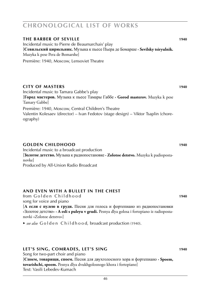### **the barber of seville 1940** Incidental music to Pierre de Beaumarchais' play [**Севильский цирюльник.** Музыка к пьесе Пьера де Бомарше **· Sevilsky tsiryulnik.** Muzyka k pese Pera de Bomarshe] Première: 1940, Moscow, Lensoviet Theatre

# **city of masters 1940**

ography)

Incidental music to Tamara Gabbe's play [**Город мастеров.** Музыка к пьесе Тамары Габбе **· Gorod masterov.** Muzyka k pese Tamary Gabbe] Première: 1940, Moscow, Central Children's Theatre Valentin Kolesaev (director) – Ivan Fedotov (stage design) – Viktor Tsaplin (chore-

# **Golden childhood 1940**

Incidental music to a broadcast production [**Золотое детство.** Музыка к радиопостановке **· Zolotoe detstvo.** Muzyka k padiopostanovke] Produced by All-Union Radio Broadcast

# **and even with a bullet in the chest**

from G o l d e n C h i l d h o o d **WS 1010248 1940** song for voice and piano

[**А если с пулею в груди.** Песня для голоса и фортепиано из радиопостановки «Золотое детство» **· A esli s puleyu v grudi.** Pesnya dlya golosa i fortepiano iz radiopostanovki «Zolotoe detstvo»]

► *see also* G o l d e n C h i l d h o o d, broadcast production (1940).

# **let's sing, comrades, let's sing 1940**

Song for two-part choir and piano [**Споем, товарищи, споем.** Песня для двухголосного хора и фортепиано **· Spoem, tovarishchi, spoem.** Pesnya dlya dvukhgolosnogo khora i fortepiano] Text: Vasili Lebedev-Kumach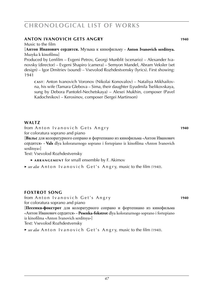# **anton ivanovich gets angry 1940**

#### Music to the film

### [**Антон Иванович сердится.** Музыка к кинофильму **· Anton Ivanovich serditsya.** Muzyka k kinofilmu]

Produced by Lenfilm – Evgeni Petrov, Georgi Munblit (scenario) – Alexander Ivanovsky (director) – Evgeni Shapiro (camera) – Semyon Mandel, Abram Veksler (set design) – Igor Dmitriev (sound) – Vsevolod Rozhdestvensky (lyrics). First showing: 1941

**c a s t** : Anton Ivanovich Voronov (Nikolai Konovalov) – Nataliya Mikhailovna, his wife (Tamara Glebova – Sima, their daughter (Lyudmila Tselikovskaya, sung by Debora Pantofel-Nechetskaya) – Alexei Mukhin, composer (Pavel Kadochnikov) – Kerosinov, composer (Sergei Martinson)

# WAIT<sub>7</sub>

from Anton Ivanovich Gets Angry **1940** for coloratura soprano and piano

[**Вальс** для колоратурного сопрано и фортепиано из кинофильма «Антон Иванович сердится» **· Vals** dlya koloraturnogo soprano i fortepiano iz kinofilma «Anton Ivanovich serditsya»]

Text: Vsevolod Rozhdestvensky

- ► **a r r a n g e m e n t** for small ensemble by F. Akimov
- ► *see also* Anton I vanovich Get's Angry, music to the film (1940).

# **foxtrot song**

from Anton Ivanovich Get's Angry **1940** for coloratura soprano and piano

[**Песенка-фокстрот** для колоратурного сопрано и фортепиано из кинофильма «Антон Иванович сердится» **· Pesenka-fokstrot** dlya koloraturnogo soprano i fortepiano iz kinofilma «Anton Ivanovich serditsya»] Text: Vsevolod Rozhdestvensky

► *see also* Anton I vanovich Get's Angry, music to the film (1940).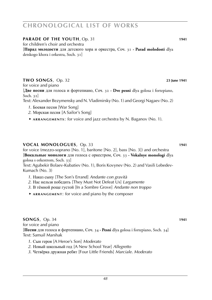#### *48*

# **chronological list of works**

### **PARADE OF THE YOUTH**, Op. 31 **1941**

for children's choir and orchestra

[**Парад молодости** для детского хора и оркестра, Соч. 31 **· Parad molodosti** dlya detskogo khora i orkestra, Soch. 31]

# **two songs**, Op. 32 **101025 23 June 1941**

for voice and piano

[**Две песни** для голоса и фортепиано, Соч. 32 **· Dve pesni** dlya golosa i fortepiano, Soch. 32]

Text: Alexander Bezymensky and N. Vladimirsky (No. 1) and Georgi Nagaev (No. 2)

- *1*. Боевая песня [War Song]
- *2*. Морская песня [A Sailor's Song]
- ► **a r r a n g e m e n t s** : for voice and jazz orchestra by N. Baganov (No. 1).

# **vocal monologues**, Op. 33 **1941**

for voice (mezzo-soprano [No. 1], baritone [No. 2], bass [No. 3]) and orchestra [**Вокальные монологи** для голоса с оркестром, Соч. 33 **· Vokalnye monologi** dlya golosa s orkestrom, Soch. 33]

Text: Agubekir Bolaev-Kubatiev (No. 1), Boris Kovynev (No. 2) and Vasili Lebedev-Kumach (No. 3)

- *1*. Наказ сыну [The Son's Errand] *Andante con gravità*
- *2*. Нас нельзя победить [They Must Not Defeat Us] *Largamente*
- *3*. В тёмной роще густой [In a Sombre Grove] *Andante non troppo*
- ► **a r r a n g e m e n t** : for voice and piano by the composer

**songs**, Op. 34 **1941** for voice and piano [**Песни** для голоса и фортепиано, Соч. 34 **· Pesni** dlya golosa i fortepiano, Soch. 34] Text: Samuil Marshak

- *1*. Сын героя [A Heroe's Son] *Moderato*
- *2*. Новый школьный год [A New School Year] *Allegretto*
- *3*. Четвёрка дружная ребят [Four Little Friends] *Marciale. Moderato*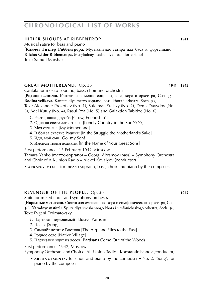### **hitler shouts at ribbentrop 1941**

Musical satire for bass and piano

[**Кличет Гитлер Риббентрора.** Музыкальная сатира для баса и фортепиано **· Klichet Gitler Ribbentropa.** Musykalnaya satira dlya basa i fortepiano] Text: Samuil Marshak

### **great motherland**, Op. 35 **WEB 1941 – 1942**

Cantata for mezzo-soprano, bass, choir and orchestra

[**Родина великая.** Кантата для меццо-сопрано, васа, хора и оркестра, Соч. 35 **· Rodina velikaya.** Kantata dlya mezzo-soprano, basa, khora i orkestra, Soch. 35] Text: Alexander Prokofiev (No. 1), Suleiman Stalsky (No. 2), Denis Davydov (No. 3), Adel Kutuy (No. 4), Rasul Rza (No. 5) and Galaktion Tabidze (No. 6)

- *1*. Расти, наша дружба [Grow, Friendship!]
- *2*. Одна на свете есть страна [Lonely Country in the Sun??????]
- *3*. Моя отчизна [My Motherland]
- *4*. В бой за счастие Родины [In the Struggle the Motherland's Sake]
- *5*. Иди, мой сын [Go, my Son!]
- *6*. Именем твоим великим [In the Name of Your Great Sons]

First performance: 13 February 1942, Moscow

Tamara Yanko (mezzo-soprano) – Georgi Abramov (bass) – Symphony Orchestra and Choir of All-Union Radio – Alexei Kovalyov (conductor)

► ARRANGEMENT: for mezzo-soprano, bass, choir and piano by the composer.

# **REVENGER OF THE PEOPLE**, Op. 36 **1942**

Suite for mixed choir and symphony orchestra

[**Народные мстители.** Сюита для смешанного хора и симфонического оркестра, Соч. 36 **· Narodnye mstiteli.** Syuita dlya smeshannogo khora i simfonicheskogo orkestra, Soch. 36] Text: Evgeni Dolmatovsky

- *1*. Партизан неуловимый [Elusive Partisan]
- *2*. Песня [Song]
- *3*. Самолёт летит с Востока [The Airplane Flies to the East]
- *4*. Родное село [Native Village]
- *5*. Партизаны идут из лесов [Partisans Come Out of the Woods]

First performance: 1942, Moscow Symphony Orchestra and Choir of All-Union Radio – Konstantin Ivanov (conductor)

 ► **a r r a n g e m e n t s** : for choir and piano by the composer ■ No. 2, 'Song', for piano by the composer.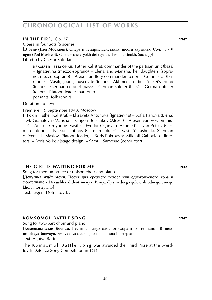### **IN THE FIRE**, Op. 37 **1942**

Opera in four acts (6 scenes)

[**В огне** (**Под Москвой**)**.** Опера в четырёх действиях, шести картинах, Соч. 37 **· V ogne** (**Pod Moskvoi**)**.** Opera v chetyryokh deistvyakh, shesti kartinakh, Soch. 37] Libretto by Caesar Solodar

**DRAMATIS PERSONAE:** Father Kalistrat, commander of the partisan unit (bass) – Ignatievna (mezzo-soprano) – Elena and Marisha, her daughters (soprano, mezzo-soprano) – Alexei, artillery commander (tenor) – Commissar (baritone) – Vasili, joung muscovite (tenor) – Akhmed, soldier, Alexei's friend (tenor) – German colonel (bass) – German soldier (bass) – German officer (tenor) – Platoon leader (baritone) peasants, folk (choir)

#### Duration: full eve

Première: 19 September 1943, Moscow

F. Fokin (Father Kalistrat) – Elizaveta Antonova (Ignatievna) – Sofia Panova (Elena) – M. Granatova (Marisha) – Grigori Bolshakov (Alexei) – Alexei Ivanov (Commissar) – Anatoli Orfyonov (Vasili) – Fyodor Oganyan (Akhmed) – Ivan Petrov (German colonel) – N. Konstantinov (German soldier) – Vasili Yakushenko (German officer) – L. Maslov (Platoon leader) – Boris Pokrovsky, Mikhail Gabovich (directors) – Boris Volkov (stage design) – Samuil Samosud (conductor)

#### **the girl is waiting for me 1942**

Song for medium voice or unison choir and piano

[**Девушка ждёт меня.** Песня для среднего голоса или одноголосного хора и фортепиано **· Devushka zhdyot menya.** Pesnya dlya srednego golosa ili odnogolosnogo khora i fortepiano]

Text: Evgeni Dolmatovsky

#### **komsomol battle song 1942**

Song for two-part choir and piano [**Комсомольская-боевая.** Песня для двухголосного хора и фортепиано **· Komsomolskaya-boevaya.** Pesnya dlya dvukhgolosnogo khora i fortepiano] Text: Agniya Barto

The Komsomol Battle Song was awarded the Third Prize at the Sverdlovsk Defence Song Competition in 1942.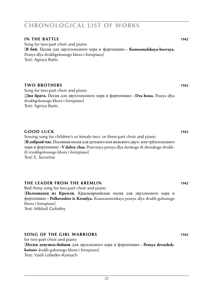### **in the battle 1942**

Song for two-part choir and piano [**В бой.** Песня для двухголосного хора и фортепиано **· Komsomolskaya-boevaya.** Pesnya dlya dvukhgolosnogo khora i fortepiano] Text: Agniya Barto

#### **two brothers 1942**

Song for two-part choir and piano [**Два брата.** Песня для двухголосного хора и фортепиано **· Dva brata.** Pesnya dlya dvukhgolosnogo khora i fortepiano] Text: Agniya Barto

### **good luck 1942**

Sowing song for children's or female two- or three-part choir and piano [**В добрый час.** Посевная песня для детского или женского двух- или трёхголосного хора и фортепиано **· V dobry chas.** Posevnaya pesnya dlya detskogo ili zhenskogo dvukhili tryokhgolosnogo khora i fortepiano] Text: E. Suvorina

# **the leader from the kremlin 1942**

Red Army song for two-part choir and piano [**Полководец из Кремля.** Красноармейская песня для двухлосного хора и фортепиано **· Polkovodets iz Kremlya.** Krasnoarmeiskaya pesnya dlya dvukh-golosnogo khora i fortepiano] Text: Mikhail Golodny

# **song of the girl warriors 1942**

for two-part choir and piano [**Песня девушек-бойцов** для двухлосного хора и фортепиано **· Pesnya devushekboitsov** dvukh-golosnogo khora i fortepiano] Text: Vasili Lebedev-Kumach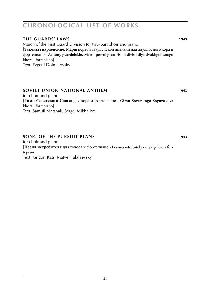# **the guards' laws 1943**

March of the First Guard Division for two-part choir and piano [**Законы гвардейские.** Марш первой гвардейской дивизии для двухлосного хора и фортепиано **· Zakony gvardeiskie.** Marsh pervoi gvardeiskoi divisii dlya dvukhgolosnogo khora i fortepiano] Text: Evgeni Dolmatovsky

### **soviet union national anthem 1943**

for choir and piano [**Гимн Советского Союза** для хора и фортепиано **· Gimn Sovetskogo Soyuza** dlya khora i fortepiano] Text: Samuil Marshak, Sergei Mikhalkov

# **song of the pursuit plane 1943**

for choir and piano [**Песня истребителя** для голоса и фортепиано **· Pesnya istrebitelya** dlya golosa i fortepiano] Text: Grigori Kats, Matvei Talalaevsky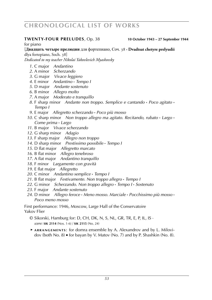#### **twenty-four preludes**, Op. 38 **10 October 1943 – 27 September 1944**

for piano

[**Двадцать четыре прелюдии** для фортепиано, Соч. 38 **· Dvadtsat chetyre prelyudii** dlya fortepiano, Soch. 38]

*Dedicated to my teacher Nikolai Yakovlevich Myaskovsky*

- . C major *Andantino*
- . A minor *Scherzando*
- . G major *Vivace leggiero*
- . E minor *Andantino* **·** *Tempo I*
- . D major *Andante sostenuto*
- . B minor *Allegro molto*
- . A major *Moderato e tranquillo*
- . F sharp minor *Andante non troppo. Semplice e cantando* **·** *Poco agitato* **·** *Tempo I*
- . E major *Allegretto scherzando* **·** *Poco più mosso*
- . C sharp minor *Non troppo allegro ma agitato*. *Recitando, rubato* **·** *Largo* **·** *Come prima* **·** *Largo*
- . B major *Vivace scherzando*
- . G sharp minor *Adagio*
- . F sharp major *Allegro non troppo*
- . D sharp minor *Prestissimo possibile* **·** *Tempo I*
- . D flat major *Allegretto marcato*
- . B flat minor *Allegro tenebroso*
- . A flat major *Andantino tranquillo*
- . F minor *Largamente con gravità*
- . E flat major *Allegretto*
- . C minor *Andantino semplice* **·** *Tempo I*
- . B flat major *Festivamente. Non troppo allegro* **·** *Tempo I*
- . G minor *Scherzando. Non troppo allegro* **·** *Tempo I* **·** *Sostenuto*
- . F major *Andante sostenuto*
- . D minor *Allegro feroce* **·** *Meno mosso. Marciale* **·** *Pocchissimo più mosso* **·** *Poco meno mosso*

First performance: 1946, Moscow, Large Hall of the Conservatoire Yakov Flier

- © Sikorski, Hamburg for: D, CH, DK, N, S, NL, GR, TR, E, P, IL, IS · *score:* **sik 2114** (Nos. 1-6) / **sik 2115** (No. 24)
- ► **a r r a n g e m e n t s** : for domra ensemble by A. Alexandrov and by L. Milovidov (both No. 8) ■ for bayan by V. Matov (No. 7) and by P. Shashkin (No. 8).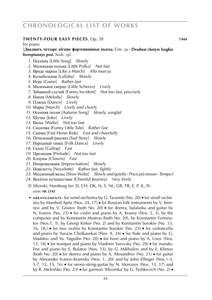### **twenty-four easy pieces**, Op. 39 **1944**

for piano

[**Двадцать четыре лёгкие фортепианные пьесы**, Соч. 39 **· Dvadtsat chetyre lyogkie fortepiannye pesi**, Soch. 39]

- *1*. Песенка [Little Song] *Slowly*
- *2*. Маленькая полька [Little Polka] *Not fast*
- *3*. Вроде марша [Like a March] *Alla marcia*
- *4*. Колыбельная [Lullaby] *Slowly*
- *5*. Игра [Game] *Rather fast*
- *6*. Маленькое скерцо [Little Scherzo] *Lively*
- *7*. Забавный случай [Funny Incident] *Not too fast, precisely*
- *8*. Напев [Melody] *Slowly*
- *9*. Пляска [Dance] *Lively*
- *10*. Марш [March] *Lively and clearly*
- *11*. Осенняя песня [Autumn Song] *Slowly, songful*
- *12*. Шутка [Joke] *Lively*
- *13*. Вальс [Waltz] *Not too fast*
- *14*. Сказочка [Funny Little Tale] *Rather fast*
- *15*. Скачка [Fast Horse Ride] *Fast and cheerfully*
- *16*. Печальный рассказ [Sad Story] *Slowly*
- *17*. Народный танец [Folk Dance] *Lively*
- *18*. Галоп [Gallop] *Fast*
- *19*. Прелюдия [Prelude] *Not too fast*
- *20*. Клоуны [Clowns] *Fast*
- *21*. Импровизация [Improvisation] *Slowly*
- *22*. Новелетта [Novelette] *Rather fast, lightly*
- *23*. Медленный вальс [Slow Waltz] *Slowly and quietly* **·** *Poco più mosso* **·** *Tempo I*
- *24*. Весёлое путешествие [Cheerful Journey] *Very lively*
- © Sikorski, Hamburg for: D, CH, DK, N, S, NL, GR, TR, E, P, IL, IS · *score:* **sik 2142**
- ► ARRANGEMENTS: for wind orchestra by G. Taranets (No. 20) for small orchestra by Manfred Apitz (Nos. 24, 17) ■ for Russian folk instruments by V. Smirnov and by V. Gnutov (both No. 20) ■ for domra, balalaika and guitar by N. Ivanov (No. 23) ■ for violin and piano by A. Krasny (Nos. 2, 3), by the composer and by Konstantin Mostras (both No. 20), by Konstantin Fortunatov (Nos.1, 3), by Georgi Kirkor (No. 2) and by Konstantin Sorokin (No. 13, 16, 18,) ■ for two violins by Konstantin Sorokin (No. 23) ■ for violoncello and piano by Yuozas Chelkauskas (Nos. 9, 24) ■ for flute and piano by G. Madatov and Yu. Yagudin (No. 20) ■ for horn and piano by A. Usov (Nos. 13, 18) ■ for trumpet and piano by Vladimir Yarovsky (No. 20) ■ for mandoline and piano by S. Bulatov (Nos. 13), by G. Mikhailov and by E. Klimov (both No. 20)  $\bullet$  for domra and piano by A. Alexandrov (No. 21)  $\bullet$  for guitar by Alexander Ivanov-Kramsky (Nos. 1, 20) and by John Ellinger (Nos.1-3, 5-7, 12, 15, 16)  $\blacksquare$  for seven-string-guitar by N. Morozov (Nos. 13, 17) and by R. Meleshko (No. 23) ■ for garmon 'Khromka' by G. Tyshkevich (No. 2) ■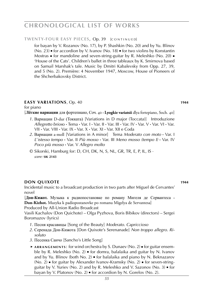#### **TWENTY-FOUR EASY PIECES, Op. 39 [CONTINUED]**

for bayan by V. Rozanov (No. 17), by P. Shashkin (No. 20) and by Yu. Blinov (No. 23) ■ for accordion by V. Ivanov (No. 18) ■ for two violins by Konstantin Mostras ■ for mandoline and seven-string-guitar by R. Meleshko (No. 20) ■ 'House of the Cats'. Children's ballet in three tableaux by K. Smirnova based on Samuil Marshak's tale. Music by Dmitri Kabalevsky from Opp. 27, 39, and 5 (No. 2). Première: 4 November 1947, Moscow, House of Pioneers of the Shcherbakovsky District.

#### **easy variations**, Op. 40 **1944 1944**

for piano [**Лёгкие вариации** для фортепиано, Соч. 40 **· Lyogkie variatsii** dlya fortepiano, Soch. 40]

- *1*. Вариации D-dur (Токката) [Variations in D major (Toccata)] Introduzione *Allegretto brios*o **·** Tema **·** Var. I **·** Var. II **·** Var. III **·** Var. IV **·** Var. V **·** Var. VI **·** Var. VII **·** Var. VIII **·** Var. IX **·** Var. X **·** Var. XI **·** Var. XII e Coda
- *2*. Вариации a-moll [Variations in A minor] Tema *Moderato con moto* **·** Var. I *L*'*istesso tempo* **·** Var. II *Più mosso* **·** Var. III *Meno mosso (tempo I)* **·** Var. IV *Poco più mosso* **·** Var. V *Allegro molto*
- © Sikorski, Hamburg for: D, CH, DK, N, S, NL, GR, TR, E, P, IL, IS · *score:* **sik 2143**

# **don quixote 1944**

Incidental music to a broadcast production in two parts after Miguel de Cervantes' novel

[**Дон-Кижот.** Музыка к радиопостановке по роману Мигеля де Сервантеса **· Don-Kizhot.** Muzyka k padiopostanovke po romanu Migelya de Servantesa]

Produced by All-Union Radio Broadcast

Vasili Kachalov (Don Quichote) – Olga Pyzhova, Boris Bibikov (directors) – Sergei Boromazov (lyrics)

- *1*. Песня красавицы [Song of the Beauty] *Moderato. Capriccioso*
- *2*. Серенада Дон-Кижота [Don Quixote's Serenanade] *Non troppo allegro. Ri soluto*
- *3*. Песенка Санчо [Sancho's Little Song]
- ► ARRANGEMENTS: for wind orchestra by S. Dunaev (No. 2) **■** for guitar ensemble by R. Meleshko (No. 2)  $\bullet$  for domra, balalaika and guitar by N. Ivanov and by Yu. Blinov (both No. 2)  $\bullet$  for balalaika and piano by N. Beknazarov (No. 2) ■ for guitar by Alexander Ivanov-Kramsky (No. 2) ■ for seven-stringguitar by V. Yuriev (No. 2) and by R. Meleshko and V. Sazonov (No. 3) ■ for bayan by V. Platonov (No. 2) ■ for accordion by N. Gorelov (No. 2).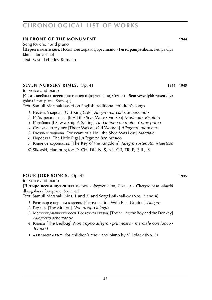# **in front of the monument 1944**

Song for choir and piano [**Перед памятиком.** Песня для хора и фортепиано **· Pered pamyatikom.** Pesnya dlya khora i fortepiano] Text: Vasili Lebedev-Kumach

### **SEVEN NURSERY RIMES**, Op. 41 **1944 – 1945**

for voice and piano

[**Семь весёлых песен** для голоса и фортепиано, Соч. 41 **· Sem vesyolykh pesen** dlya golosa i fortepiano, Soch. 41]

Text: Samuil Marshak based on English traditional children's songs

- *1*. Весёлый король [Old King Cole] *Allegro marciale. Scherzando*
- *2*. Кабы реки и озера [If All the Seas Were One Sea] *Moderato. Risoluto*
- *3*. Кораблик [I Saw a Ship A-Sailing] *Andantino con moto* **·** *Come prima*
- *4*. Сказка о старушке [There Was an Old Woman] *Allegretto moderato*
- *5*. Гвозль и подкова [For Want of a Nail the Shoe Was Lost] *Marciale*
- *6*. Поросята [The Little Pigs] *Allegretto ben ritmico*
- *7*. Ключ от королества [The Key of the Kingdom] *Allegro sostenuto. Maestoso*
- © Sikorski, Hamburg for: D, CH, DK, N, S, NL, GR, TR, E, P, IL, IS

# **fOUR IOKE SONGS**, Op. 42 **WEBSENGE SONGS**

for voice and piano

#### [**Четыре песни-шутки** для голоса и фортепиано, Соч. 42 **· Chetyre pesni-shutki** dlya golosa i fortepiano, Soch. 42]

Text: Samuil Marshak (Nos. 1 and 3) and Sergei Mikhalkov (Nos. 2 and 4)

- *1*. Разговор с первым классом [Conversation With First Graders] *Allegro*
- *2*. Бараны [The Mutton] *Non troppo allegro*
- *3*. Мельник, мальчик и осёл (Восточная сказка) [The Miller, the Boy and the Donkey] *Allegretto scherzando*
- *4*. Клопы [The Bedbug] *Non troppo allegro* **·** *più mosso* **·** *marciale con fuoco* **·** *Tempo I*
- ► **a r r a n g e m e n t** : for children's choir and piano by V. Loktev (No. 3)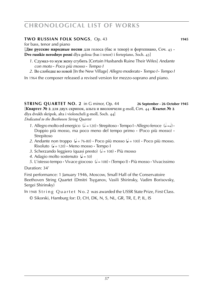# **two russian folk songs**, Op. 43 **1945**

for bass, tenor and piano

[**Две русские народные песни** для голоса (бас и тенор) и фортепиано, Соч. 43 **· Dve russkie nerodnye pesni** dlya golosa (bas i tenor) i fortepiano, Soch. 43]

- *1*. Сдумал-то муж жену сгубить [Certain Husbands Ruine Their Wifes] *Andante con moto* **·** *Poco più mosso* **·** *Tempo I*
- *2*. Во слободке во новой [In the New Village] *Allegro moderato* **·** *Tempo I* **·** *Tempo I*

In 1964 the composer released a revised version for mezzo-soprano and piano.

**STRING QUARTET NO. 2** in G minor, Op. 44 **26 September - 26 October 1945** [**Квартет № 2** для двух скрипок, альта и виолончели g-moll, Соч. 44 **· Kvartet № 2** dlya dvukh skripok, alta i violoncheli g-moll, Soch. 44]

*Dedicated to the Beethoven String Quartet*

- *1*. Allegro molto ed energico  $(k = 120)$  **·** Strepitoso **·** Tempo I **·** Allegro feroce  $(k = k)$  **·** Doppio più mosso, ma poco meno del tempo primo **·** (Poco più mosso) **· Strepitoso**
- 2. Andante non troppo  $\left(\frac{1}{2} 76 80\right)$  Poco più mosso  $\left(\frac{1}{2} 100\right)$  Poco più mosso. Risoluto  $\left( \right)$  = 120)  $\cdot$  Meno mosso  $\cdot$  Tempo I
- *3*. Scherzando leggiero (quasi presto) ( $\epsilon$  = 108)  $\cdot$  Più mosso
- 4. Adagio molto sostenuto  $\left( \right)$  = 50)
- *5*. L'istesso tempo Vivace giocoso (d= 108) (Tempo I) Più mosso Vivacissimo

Duration: 34'

First performance: 1 January 1946, Moscow, Small Hall of the Conservatoire Beethoven String Quartet (Dmitri Tsyganov, Vasili Shirinsky, Vadim Borisovsky, Sergei Shirinsky)

In 1948 String Quartet No. 2 was awarded the USSR State Prize, First Class.

© Sikorski, Hamburg for: D, CH, DK, N, S, NL, GR, TR, E, P, IL, IS

*57*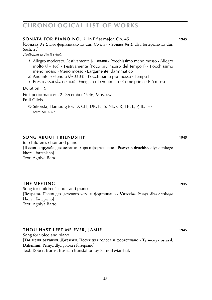#### meno mosso **·** Meno mosso **·** Largamente, darmmatico

- *2*. Andante sostenuto (q = 52-54) **·** Pocchissimo più mosso **·** Tempo I
- *3*. Presto assai (q = 152-160) **·** Energico e ben ritmico **·** Come prima **·** Più mosso

[**Соната № 2** для фортепиано Es-dur, Соч. 45 **· Sonata № 2** dlya fortepiano Es-dur,

*1*. Allegro moderato. Festivamente (q = 80-88) **·** Pocchissimo meno mosso **·** Allegro molto (h = 160) **·** Festivamente (Poco più mosso del tempo I) **·** Pocchissimo

Duration: 19'

Soch. 45]

*Dedicated to Emil Gilels*

First performance: 22 December 1946, Moscow Emil Gilels

© Sikorski, Hamburg for: D, CH, DK, N, S, NL, GR, TR, E, P, IL, IS · *score:* **sik 6867**

#### **song about friendship 1945**

for children's choir and piano [**Песня о дружбе** для детского хора и фортепиано **· Pesnya o druzhbe.** dlya detskogo khora i fortepiano] Text: Agniya Barto

#### **the meeting 1945**

Song for children's choir and piano [**Встреча.** Песня для детского хора и фортепиано **· Vstrecha.** Pesnya dlya detskogo khora i fortepiano] Text: Agniya Barto

#### **thou hast left me ever, Jamie 1945**

Song for voice and piano [**Ты меня оставил, Джемми.** Песня для голоса и фортепиано **· Ty menya ostavil, Dzhemmi.** Pesnya dlya golosa i fortepiano] Text: Robert Burns, Russian translation by Samuil Marshak

**SONATA for piano NO. 2** in E flat major, Op. 45 **1945**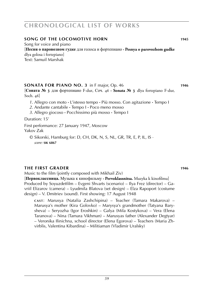#### **song of the locomotive horn 1945**

Song for voice and piano [**Песня о паровозном гудке** для голоса и фортепиано **· Pesnya o parovozhom gudke** dlya golosa i fortepiano] Text: Samuil Marshak

#### **SONATA FOR PIANO NO. 3** in F major, Op. 46 **1946**

[**Соната № 3** для фортепиано F-dur, Соч. 46 **· Sonata № 3** dlya fortepiano F-dur, Soch. 46]

- *1*. Allegro con moto **·** L'istesso tempo **·** Più mosso. Con agitazione **·** Tempo I
- *2*. Andante cantabile **·** Tempo I **·** Poco meno mosso
- *3*. Allegro giocoso **·** Pocchissimo più mosso **·** Tempo I

Duration: 15'

First performance: 27 January 1947, Moscow Yakov Zak

© Sikorski, Hamburg for: D, CH, DK, N, S, NL, GR, TR, E, P, IL, IS · *score:* **sik 6867**

#### **the first grader 1946**

Music to the film (jointly composed with Mikhail Ziv)

[**Первоклассница.** Музыка к кинофильму **· Pervoklassnitsa.** Muzyka k kinofilmu] Produced by Soyuzdetfilm – Evgeni Shvarts (scenario) – Ilya Frez (director) – Gavriil Elizarov (camera) – Lyudmila Blatova (set design) – Elza Rapoport (costume design) – V. Dmitriev (sound). First showing: 17 August 1948

**c a s t** : Marusya (Natalia Zashchipina) – Teacher (Tamara Makarova) – Marusya's mother (Kira Golovko) – Marysya's grandmother (Tatyana Barysheva) – Seryozha (Igor Eroshkin) – Galya (Mila Kostykova) – Vera (Elena Taranova) – Nina (Tamara Vikhman) – Marusyas father (Alexander Degtyar) – Veronika Ilinichna, school director (Elena Egorova) – Teachers (Maria Zhvirblis, Valentina Kibardina) – Militiaman (Vladimir Uralsky)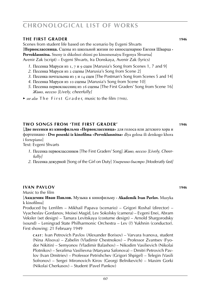### **the first grader 1946**

Scenes from student life based on the scenario by Evgeni Shvarts [**Первоклассница.** Сцены из школьной жизни по киносценарию Евгеня Шварца **· Pervoklassnitsa.** Stseny iz shkolnoi zhizni po kinostsenaiyu Evgenya Shvartsa] Avenir Zak (script) – Evgeni Shvarts, Ira Donskaya, Avenir Zak (lyrics)

- *1*. Песенка Маруси из 1, 7 и 9 сцен [Marusia's Song from Scenes 1, 7 and 9]
- *2*. Песенка Маруси из 2 сцены [Marusia's Song from Scene 2]
- *3*. Песенка почтальона из 5 и 14 сцен [The Postman's Song from Scenes 5 and 14]
- *4*. Песенка Маруси из 10 сцены [Marusia's Song from Scene 10]
- *5*. Песенка первоклассниц из 16 сцены [The First Graders' Song from Scene 16] *Живо, весело [Lively, cheerfully]*
- ► see also The First Grader, music to the film (1946).

### **two songs from 'the first grader' 1946**

[**Две песенки из кинофильма «Первоклассница»** для голоса или детского хора и фортепиано **· Dve pesenki iz kinofilma «Pervoklassnitsa»** dlya golosa ili detskogo khora i fortepiano]

Text: Evgeni Shvarts

- *1*. Песенка первоклассников [The First Graders' Song] *Живо, весело [Lively, Cheer fully]*
- *2*. Песенка дежурной [Song of the Girl on Duty] *Умеренно быстро [Moderatly fast]*

#### **ivan pavlov 1946**

Music to the film

#### [**Академик Иван Павлов.** Музыка к кинофильму **· Akademik Ivan Pavlov.** Muzyka k kinofilmu]

Produced by Lenfilm – Mikhail Papava (scenario) – Grigori Roshal (director) – Vyacheslav Gordanov, Moisei Magid, Lev Sokolsky (camera) – Evgeni Enei, Abram Veksler (set design) – Tamara Levitskaya (costume design) – Arnold Shargorodsky (sound) – Leningrad State Philharmonic Orchestra – Lev (?) Yukhnin (conductor). First showing: 21 February 1949

**c a s t** : Ivan Petrovich Pavlov (Alexander Borisov) – Varvara Ivanova, student (Nina Alisova) – Zabelin (Vladimir Chestnokov) – Professor Zvantsev (Fyodor Nikitin) – Semyonov (Vladimir Balashov) – Nikodim Vasilievich (Nikolai Plotnikov) – Serafima Vasilievna (Maryana Safonova) – Dmitri Petrovich Pavlov (Ivan Dmitriev) – Professor Petrishchev (Grigori Shpigel) – Telegin (Vasili Sofronov) – Sergei Mironovich Kirov (Georgi Belnikevich) – Maxim Gorki (Nikolai Cherkasov) – Student (Pavel Pankov)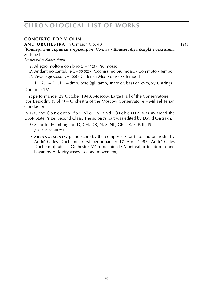# **concerto for violin**

**and orchestra** in C major, Op. 48 **1948**

[**Концерт для скрипки с оркестром**, Соч. 48 **· Kontsert dlya skripki s orkestrom**, Soch. 48]

*Dedicated to Soviet Youth*

- 1. Allegro molto e con brio  $(k = 112)$  · Più mosso
- 2. Andantino cantabile  $\left( \frac{1}{2} \right)$  = 50-52) **·** Pocchissimo più mosso · Con moto · Tempo I
- *3*. Vivace giocoso ( $= 100$ ) **·** Cadenza *Meno mosso* · Tempo I

 $1.1.2.1 - 2.1.1.0 - \text{time}$ , perc (tgl, tamb, snare dr, bass dr, cym, xyl). strings

Duration: 16'

First performance: 29 October 1948, Moscow, Large Hall of the Conservatoire Igor Bezrodny (violin) – Orchestra of the Moscow Conservatoire – Mikael Terian (conductor)

In 1948 the Concerto for Violin and Orchestra was awarded the USSR State Prize, Second Class. The soloist's part was edited by David Oistrakh.

- © Sikorski, Hamburg for: D, CH, DK, N, S, NL, GR, TR, E, P, IL, IS · *piano score:* **sik 2119**
- ► **a r r a n g e m e n t s** : piano score by the composer for flute and orchestra by André-Gilles Duchemin (first performance: 17 April 1985, André-Gilles Duchemin[flute] – Orchestre Métropolitain de Montréal) ■ for domra and bayan by A. Kudryavtsev (second movement).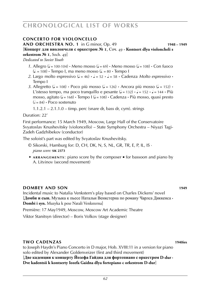# **concerto for violoncello**

**and orchestra no. 1** in G minor, Op. 49 **1948 – 1949**

[**Концерт для виолончели с оркестром № 1**, Соч. 49 **· Kontsert dlya violoncheli s orkestrom № 1**, Soch. 49]

*Dedicated to Soviet Youth*

- *1*. Allegro ( $\downarrow$  = 100-104) **·** Meno mosso ( $\downarrow$  = 69) **·** Meno mosso ( $\downarrow$  = 108) **·** Con fuoco  $(L = 108)$  **·** Tempo I, ma meno mosso  $(L = 80 \cdot$  Tempo I
- 2. Largo molto espressivo  $(J = 46) \cdot J = 52 \cdot J = 58 \cdot \text{Cadenza}$  *Molto espressivo*  $\cdot$ Tempo I
- 3. Allegretto ( $\ell$  = 108) **·** Poco più mosso ( $\ell$  = 126) **·** Ancora più mosso ( $\ell$  = 152) **·** L'istesso tempo, ma poco tranquillo e pesante  $(J = 132) \cdot J = 152 \cdot J = 144 \cdot \text{Pi}$ mosso, agitato (q = 168) **·** Tempo I (q = 108) **·** Cadenza **·** Più mosso, quasi presto  $\left( \right) = 84$ ) **·** Poco sostenuto
	- 1.1.2.1 2.1.1.0 timp. perc (snare dr, bass dr, cym). strings

Duration: 22'

First performance: 15 March 1949, Moscow, Large Hall of the Conservatoire Svyatoslav Knushevitsky (violoncello) – State Symphony Orchestra – Niyazi Tagi-Zadeh Gadzhibekov (conductor)

The soloist's part was edited by Svyatoslav Knushevitsky.

- © Sikorski, Hamburg for: D, CH, DK, N, S, NL, GR, TR, E, P, IL, IS · *piano score:* **sik 2373**
- ► **a r r a n g e m e n t s** : piano score by the composer for bassoon and piano by A. Litvinov (second movement)

# **DOMBEY AND SON** 1949

Incidental music to Natalia Venkstern's play based on Charles Dickens' novel [**Домби и сын.** Музыка к пьесе Натальи Венкстерна по роману Чарлса Диккенса **· Dombi i syn.** Muzyka k pese Natali Venksterna]

Première: 17 May1949, Moscow, Moscow Art Academic Theatre

Viktor Stanitsyn (director) – Boris Volkov (stage designer)

### **two cadenzas 1940ies**

to Joseph Haydn's Piano Concerto in D major, Hob. XVIII:11 in a version for piano solo edited by Alexander Goldenveizer (first and third movement) [**Две каденции к концерту Йозефа Гайдна для фортепиано с оркестром D-dur · Dve kadentsii k kontserty Iozefa Gaidna dlya fortepiano c orkestrom D-dur**]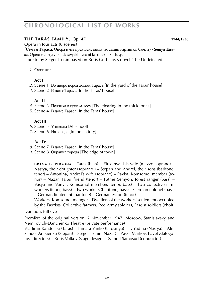# **the taras family**, Op. 47 **WS 1010268 1010246 1010244/1950**

Opera in four acts (8 scenes)

[**Семья Тараса.** Опера в четырёх действиях, восьмии картинах, Соч. 47 **· Semya Tarasa.** Opera v chetyryokh deistvyakh, vosmi kartinakh, Soch. 47] Libretto by Sergei Tsenin based on Boris Gorbatov's novel 'The Undefeated'

*1*. Overture

# **Act I**

- *2*. Scene 1 Во дворе перед домом Тараса [In the yard of the Taras' house]
- *3*. Scene 2 В доме Тараса [In the Taras' house]

# **Act II**

- *4*. Scene 3 Полянка в густом лесу [The clearing in the thick forest]
- *5*. Scene 4 В доме Тараса [In the Taras' house]

# **Act III**

- *6*. Scene 5 У школы [At school]
- *7*. Scene 6 На заводе [In the factory]

# **Act IV**

- *8*. Scene 7 В доме Тараса [In the Taras' house]
- *9*. Scene 8 Окраина города [The edge of town]

**DRAMATIS PERSONAE:** Taras (bass) – Efrosinya, his wife (mezzo-soprano) – Nastya, their doughter (soprano ) – Stepan and Andrei, their sons (baritone, tenor) – Antonina, Andrei's wife (soprano) – Pavka, Komsomol member (tenor) – Nazar, Taras' friend (tenor) – Father Semyon, forest ranger (bass) – Vasya and Vanya, Komsomol members (tenor, bass) – Two collective farm workers (tenor, bass) – Two workers (baritone, bass) – German colonel (bass) – German lieutenant (baritone) – German escort (tenor)

Workers, Komsomol memgers, Dwellers of the workers' settlement occupied by the Fascists, Collective farmers, Red Army soldiers, Fascist soldiers (choir)

# Duration: full eve

Première of the original version: 2 November 1947, Moscow, Stanislavsky and Nemirovich-Danchenko Theatre (private performance)

Vladimir Kandelaki (Taras) – Tamara Yanko (Efrosinya) – T. Yudina (Nastya) – Alexander Anikienko (Stepan) – Sergei Tsenin (Nazar) – Pavel Markov, Pavel Zlatogorov (directors) – Boris Volkov (stage design) – Samuil Samosud (conductor)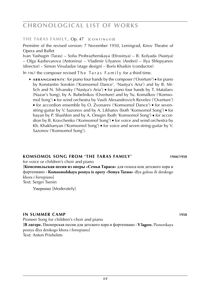#### THE TARAS FAMILY, Op. 47 [CONTINUED]

Première of the revised version: 7 November 1950, Leningrad, Kirov Theatre of Opera and Ballet

Ivan Yashugin (Taras) – Sofia Probrazhenskaya (Efrosinya) – B. Kolyada (Nastya) – Olga Kashevarova (Antonina) – Vladimir Ulyanov (Andrei) – Ilya Shlepyanov (director) – Simon Virsaladze (stage design) – Boris Khaikin (conductor)

In 1967 the composer revised The Taras Family for a third time.

 ► **a r r a n g e m e n t s** : for piano four hands by the composer ('Overture') ■ for piano by Konstantin Sorokin ('Komsomol Dance', 'Nastya's Aria') and by B. Milich and N. Silvansky ('Nastya's Aria') ■ for piano four hands by T. Matalaev (Nazar's Song), by A. Bubelnikov (Overture) and by Yu. Komalkov ('Komsomol Song') ■ for wind orchestra by Vasili Alexandrovich Revelev ('Overture') ■ for accordion ensemble by O. Zvonarev ('Komsomol Dance') ■ for sevenstring-guitar by V. Sazonov and by A. Likhatov (both 'Komsomol Song') ■ for bayan by P. Shashkin and by A. Onegin (both 'Komsomol Song') ■ for accordion by B. Kravchenko ('Komsomol Song') ■ for voice and wind orchestra by Kh. Khakhanyan ('Komsomol Song') ■ for voice and seven-string-guitar by V. Sazonov ('Komsomol Song').

# **komsomol song from 'the taras family' 1944/1950**

for voice or children's choir and piano

[**Комсомольская песня из оперы «Семья Тараса»** для голоса или детского хора и фортепиано **· Komsomolskaya pesnya iz opery «Semya Tarasa»** dlya golosa ili detskogo khora i fortepiano] Text: Sergei Tsenin

Умеренно [Moderately]

#### **in summer camp 1950**

Pioneer Song for children's choir and piano [**В лагере.** Пионерская песня для детского хора и фортепиано **· V lagere.** Pionerskaya pesnya dlya detskogo khora i fortepiano] Text: Anton Prishelets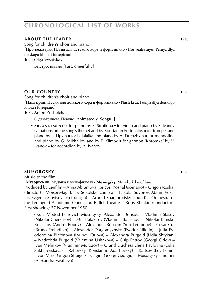# **about the leader 1950**

Song for children's choir and piano [**Про вожатую.** Песня для детского хора и фортепиано **· Pro vozhatuyu.** Pesnya dlya detskogo khora i fortepiano] Text: Olga Vysotskaya

Быстро, весело [Fast, cheerfully]

### **OUR COUNTRY** 1950

Song for children's choir and piano [**Наш край.** Песня для детского хора и фортепиано **· Nash krai.** Pesnya dlya detskogo khora i fortepiano] Text: Anton Prishelets

С движением. Певуче [Animatedly. Songful]

► **ARRANGEMENTS:** for piano by E. Sirotkina ■ for violin and piano by S. Ivanov (variations on the song's theme) and by Konstantin Fortunatov ■ for trumpet and piano by L. Lipkin ■ for balalaika and piano by A. Dorozhkin ■ for mandoline and piano by G. Mikhailov and by E. Klimov ■ for garmon 'Khromka' by V. Ivanov ■ for accordion by A. Ivanov.

### **musorgsky 1950**

Music to the film

[**Мусоргский.** Музыка к кинофильму **· Musorgsky.** Muzyka k kinofilmu] Produced by Lenfilm – Anna Abramova, Grigori Roshal (scenario) – Grigori Roshal (director) – Moisei Magid, Lev Sokolsky (camera) – Nikolai Suvorov, Abram Veksler, Evgenia Slovtsova (set design) – Arnold Shargorodsky (sound) – Orchestra of the Leningrad Academic Opera and Ballet Theatre – Boris Khaikin (conductor). First showing: 27 November 1950

**c a s t** : Modest Petrovich Musorgsky (Alexander Borisov) – Vladimir Stasov (Nikolai Cherkasov) – Mili Balakirev (Vladimir Balashov) – Nikolai Rimski-Korsakov (Andrei Popov) – Alexander Borodin (Yuri Leonidov) – Cesar Cui (Bruno Freindlikh) – Alexander Dargomyzhsky (Fyodor Nikitin) – Julia Fyodorovna Platonova (Lyubov Orlova) – Alexandra Purgold (Lidia Shtykan) – Nadezhda Purgold (Valentina Ushakova) – Osip Petrov (Georgi Orlov) – Ivan Melnikov (Vladimir Morozov) – Grand Duchess Elena Pavlovna (Lidia Sukharevskaya) – Rzhevsky (Konstantin Adashevsky) – Kartsev (Lev Fenin) – von Mets (Grigori Shpigel) – Gagin (Georgi Georgiu) – Musorgsky's mother (Alexandra Vasilieva)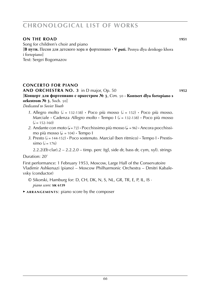# **on the road 1951**

Song for children's choir and piano [**В пути.** Песня для детского хора и фортепиано **· V puti.** Pesnya dlya detskogo khora i fortepiano] Text: Sergei Bogomazov

# **concerto for piano**

**and orchestra no. 3** in D major, Op. 50 **1952**

[**Концерт для фортепиано с оркестром № 3**, Соч. 50 **· Kontsert dlya fortepiano s orkestrom № 3**, Soch. 50]

*Dedicated to Soviet Youth*

- 1. Allegro molto ( $\epsilon$  = 132-138)  $\cdot$  Poco più mosso ( $\epsilon$  = 152)  $\cdot$  Poco più mosso. Marciale • Cadenza *Allegro molto* • Tempo I ( $\sqrt{s}$  = 132-138) • Poco più mosso  $\mathcal{L} = 152 - 160$
- 2. Andante con moto ( $\downarrow$  = 72) **·** Pocchissimo più mosso ( $\downarrow$  = 96) **·** Ancora pocchissimo più mosso ( $\downarrow$  = 104)  $\cdot$  Tempo I
- *3*. Presto (h = 144-152) **·** Poco sostenuto. Marcial (ben ritmico) **·** Tempo I **·** Prestis-  $\sin 6 (= 176)$

2.2.2(*Eb* clar).2 – 2.2.2.0 – timp. perc (tgl, side dr, bass dr, cym, xyl). strings

# Duration: 20'

First performance: 1 February 1953, Moscow, Large Hall of the Conservatoire Vladimir Ashkenazi (piano) – Moscow Philharmonic Orchestra – Dmitri Kabalevsky (conductor)

- © Sikorski, Hamburg for: D, CH, DK, N, S, NL, GR, TR, E, P, IL, IS · *piano score:* **sik 6139**
- ► **a r r a n g e m e n t s** : piano score by the composer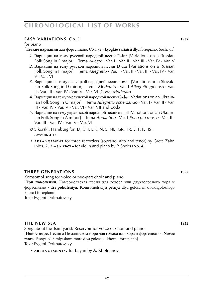### **easy variations**, Op. 51 **1952**

for piano

[**Лёгкие вариации** для фортепиано, Соч. 51 **· Lyogkie variatsii** dlya fortepiano, Soch. 51]

- *1*. Вариации на тему русской народной песни F-dur [Variations on a Russian Folk Song in F major] Tema *Allegro* **·** Var. I **·** Var. II **·** Var. III **·** Var. IV **·** Var. V
- *2*. Вариации на тему русской народной песни D-dur [Variations on a Russian Folk Song in F major] Tema *Allegretto* **·** Var. I **·** Var. II **·** Var. III **·** Var. IV **·** Var. V **·** Var. VI
- *3*. Вариации на тему словацкой народной песни d-moll [Variations on a Slovakian Folk Song in D minor] Tema *Moderato* **·** Var. I *Allegretto giocoso* **·** Var. II **·** Var. III **·** Var. IV **·** Var. V **·** Var. VI (Coda) *Moderato*
- *4*. Вариации на тему украинской народной песни G-dur [Variations on an Ukrainian Folk Song in G major] Tema *Allegretto scherzando* **·** Var. I **·** Var. II **·** Var. III **·** Var. IV **·** Var. V **·** Var. VI **·** Var. VII and Coda
- *5*. Вариации на тему украинской народной песни a-moll [Variations on an Ukrainian Folk Song in A minor] Tema *Andantino* **·** Var. I *Poco più mosso* **·** Var. II **·** Var. III **·** Var. IV **·** Var. V **·** Var. VI
- © Sikorski, Hamburg for: D, CH, DK, N, S, NL, GR, TR, E, P, IL, IS · *score:* **sik 2116**
- ► ARRANGEMENT for three recorders (soprano, alto and tenor) by Grete Zahn (Nos. 2, 3 – **sik 2367**) ■ for violin and piano by P. Sholts (No. 4).

### **three generations 1952**

Komsomol song for voice or two-part choir and piano

[**Три поколения.** Комсомольская песня для голоса или двухголосного хора и фортепиано **· Tri pokoleniya.** Komsomolskaya pesnya dlya golosa ili dvukhgolosnogo khora i fortepiano]

Text: Evgeni Dolmatovsky

#### **the new sea 1952**

Song about the Tsimlyansk Reservoir for voice or choir and piano [**Новое море.** Песня о Цимлянском море для голоса или хора и фортепиано **· Novoe more.** Pesnya o Tsimlyaskom more dlya golosa ili khora i fortepiano] Text: Evgeni Dolmatovsky

 ► **a r r a n g e m e n t s** : for bayan by A. Kholminov.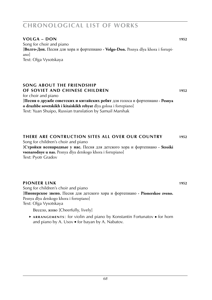### **volga – Don 1952**

Song for choir and piano [**Волго-Дон.** Песня для хора и фортепиано **· Volgo-Don.** Pesnya dlya khora i fortepiano] Text: Olga Vysotskaya

#### **song about the friendship of soviet and chinese children 1952**

for choir and piano [**Песня о дружбе советских и китайских ребят** для голоса и фортепиано **· Pesnya** 

**o druzhbe sovetskikh i kitaiskikh rebyat** dlya golosa i fortepiano] Text: Yuan Shuipo, Russian translation by Samuil Marshak

# **there are contruction sites all over our country 1952**

Song for children's choir and piano [**Стройки всенародные у нас.** Песня для детского хора и фортепиано **· Stroiki vsenarodnye u nas.** Pesnya dlya detskogo khora i fortepiano] Text: Pyotr Gradov

#### **pioneer link 1952**

Song for children's choir and piano [**Пионерское звено.** Песня для детского хора и фортепиано **· Pionerskoe zveno.** Pesnya dlya detskogo khora i fortepiano] Text: Olga Vysotskaya

Весело, живо [Cheerfully, lively]

 ► **a r r a n g e m e n t s** : for violin and piano by Konstantin Fortunatov ■ for horn and piano by A. Usov ■ for bayan by A. Nabatov.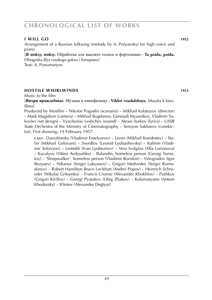### **i will go 1952**

Arrangement of a Russian folksong (melody by A. Polyansky) for high voice and piano

[**Я пойду, пойду.** Обработка для высокго голоса и фортепиано **· Ya poidu, poidu.** Obragotka dlya vysokogo golosa i fortepiano] Text: A. Ponomaryov

### **hostile whirlwinds 1953**

Music to the film

[**Вихри враждебные.** Музыка к кинофильму **· Vikhri vrazhdebnye.** Muzyka k kinofilmu]

Produced by Mosfilm – Nikolai Pogodin (scenario) – Mikhail Kalatozov (director) – Mark Magidson (camera) – Mikhail Bogdanov, Gennadi Myasnikov, Vladimir Yakovlev (set design) – Vyacheslav Leshchev (sound) – Alexei Surkov (lyrics) – USSR State Orchestra of the Ministry of Cinematography – Semyon Sakharov (conductor). First showing: 19 February 1957

**c a s t** : Dzerzhinsky (Vladimir Emelyanov) – Lenin (Mikhail Kondratev) – Stalin (Mikhail Gelovani) – Sverdlov (Leonid Lyubashevsky) – Kalinin (Vladimir Solovyov) – Lemekh (Ivan Lyubeznov) – Vera Ivolgina (Alla Larionova) – Kavalyov (Viktor Avdyushko) – Balandin, homeless person (Georgi Yumatov) – 'Sleepwalker', homeless person (Vladimir Boriskin) – Vinogradov (Igor Bezyaev) – Nikanor (Sergei Lukyanov) – Grigori Medvedev (Sergei Romodanov) – Robert Hamilton Bruce Lockhart (Andrei Popov) – Heinrich Schroeder (Nikolai Gritsenko) – Francis Cromie (Alexander Khokhlov) – Pashkov (Grigori Kirillov) – Georgi Pyatakov (Oleg Zhakov) – Kolomatyano (Antoni Khodursky) – Klimov (Alexander Degtyar)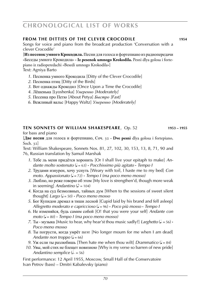### **fROM THE DITTIES OF THE CLEVER CROCODILE 1954**

Songs for voice and piano from the broadcast production 'Conversation with a clever Crocodile'

[**Из песенок умного Крокодила.** Песни для голоса и фортепиано из радиопередачи «Беседы умного Крокодила» **· Iz pesenok umnogo Krokodila.** Pesni dlya golosa i fortepiano iz radioperedachi «Besedi umnogo Krokodila»]

Text: Agniya Barto

- *1*. Песненка умного Крокодила [Ditty of the Clever Crocodile]
- *2*. Песненка птиц [Ditty of the Birds]
- *3*. Вот однажды Крокодил [Once Upon a Time the Crocodile]
- *4*. Лёшенька [Lyoshenka] *Умеренно [Moderately]*
- *5*. Песенка про Петю [About Petya] *Быстро [Fast]*
- *6*. Вежливый вальс [Happy Waltz] *Умеренно [Moderately]*

# **ten sonnets of WILLIAM SHAKESPEARE, Op. 52 <b>1953** – 1955

for bass and piano

[**Две песни** для голоса и фортепиано, Соч. 32 **· Dve pesni** dlya golosa i fortepiano, Soch. 32]

Text: William Shakespeare, Sonnets Nos. 81, 27, 102, 30, 153, 13, 8, 71, 90 and 76, Russian translation by Samuil Marshak

- *1*. Тебе ль меня придётся хоронить [Or I shall live your epitaph to make] *An dante molto sostenuto* (q = 63) **·** *Pocchissimo più agitato* **·** *Tempo I*
- *2*. Трудами изнурен, хочу уснуть [Weary with toil, I haste me to my bed] *Con moto. Appassionato* (q = 72) **·** *Tempo I (ma poco meno mosso)*
- *3*. Люблю, но реже говорю об этом [My love is strengthen'd, though more weak in seeming] *Andantino* ( $\sqrt{ }$  = 104)
- *4*. Когда на суд безмолвных, тайных дум [When to the sessions of sweet silent *thought] Largo*  $(J = 50)$  **·** *Poco meno mosso*
- *5*. Бог Купидон дремал в тиши лесной [Cupid laid by his brand and fell asleep] *Allegretto moderato e capriccioso* (q = 96) **·** *Poco più mosso* **·** *Tempo I*
- *6*. Не изменяйся, будь самим собой [O! that you were your self] *Andante con moto* (q = 80) **·** *Tempo I (ma poco meno mosso)*
- *7*. Ты музыка [Music to hear, why hear'st thou music sadly?] *Larghetto*  $(L = 56)$  **·** *Poco meno mosso*
- *8*. Ты погрусти, когда умрёт поэт [No longer mourn for me when I am dead] *Andante non troppo*  $(l = 66)$
- *9*. Уж если ты разлюбишь [Then hate me when thou wilt] *Drammatico* ( $J = 84$ )
- *10*. Увы, мой стих не блещет новизною [Why is my verse so barren of new pride] *Andantino semplice*  $(d - 56)$

First performance: 12 April 1955, Moscow, Small Hall of the Conservatoire Ivan Petrov (bass) – Dmitri Kabalevsky (piano)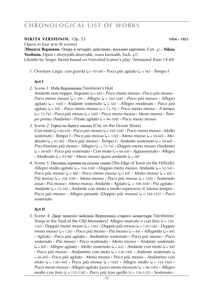#### **nikita vershinin**, Op. 53 **WEB 1954 – 1955**

Opera in four acts (8 scenes)

[**Никита Вершини.** Опера в четырёх действиях, восьмии картинах, Соч. 47 **· Nikita Vershinin.** Opera v chetyryokh deistvyakh, vosmi kartinakh, Soch. 47] Libretto by Sergei Tsenin based on Vsevolod Ivanov's play 'Armoured Train 14-69'

*1*. Overture *Largo. con gravità* (q = 50-58) **·** *Poco più agitato* (q . = 66) **·** *Tempo I*

#### **Act I**

- *2*. Scene 1 Изба Вершинина [Vershinin's Hut]
- *Andante non troppo. Inquieto* (q = 60) **·** *Poco meno mosso* **·** *Poco più mosso* **·** *Poco meno mosso*  $(l = 50)$  **·** *Allegro*  $(l = 160-168)$  **·** *Poco più mosso* · *Allegro agitato* (q = 160) **·** *Andante sostenuto* (q = 54) **·** *Allegro moderato* **·** *Poco più*   $a$ *gitato* ( $J = 84$ )  $\cdot$  *Poco meno mosso* ( $J = 72-76$ )  $\cdot$  *Poco meno mosso*  $\cdot$  *A tempo* (q = 72-76) **·** *Poco più mosso* (q = 100) **·** *Poco meno mosso* **·** *Meno mosso* **·** *Tempo primo (Andante)* · *Presto agitato* ( $\sqrt{ }$  = 96-100) · *Poco meno mosso*
- *3*. Scene 2 Город на берегу океана [City on the Ocean Shore]  $Con \text{ moto} \left( \text{J} = 66-69 \right)$  **•**  $Poco \text{ più mosso} \left( \text{J} = 100-104 \right)$  **·**  $Poco \text{ meno mosso} \cdot Molto$ *sostenuto* **·** *Tempo I* **·** *Poco più mosso* (q = 120) **·** *Meno mosso* (q = 58-60) **·** *Mo-* $\alpha$  derato ( $\beta$  = 92-96) **·** *Poco più mosso* · *Tempo I* · *Andante sostenuto* ( $\beta$  = 58-60) · *Pocchissimo più mosso* **·** *Allegro* ( $\sigma$  = 72-76) **·** *Doppio meno mosso* (Andante)  $(L = 58-60)$  **·** *Poco più sostenuto* **·** *Con moto*  $(L = 66-69)$  **·** *Appassionato* · *Allegro*  $\cdot$  *Moderato* ( $\downarrow$  = 92-96)  $\cdot$  *Meno mosso quasi andante* ( $\downarrow$  = 58)
- *4*. Scene 3 Околица деревни на склоне сопки [The Edge of Town on the Hillside] *Allegro molto agitato* ( $J = 104-108$ )  $\cdot$  *Doppio meno mosso. Andante* ( $J = 52-54$ )  $\cdot$ *Poco più mosso* ( $\downarrow$  = 88) **·** *Poco meno mosso* ( $\downarrow$  = 69) **·** *Meno mosso* ( $\downarrow$  = 60) **·** *Più mosso* ( $\downarrow$  = 104-108)  $\cdot$  *Meno mosso*  $\cdot$  *Poco più mosso* ( $\downarrow$  = 104)  $\cdot$  *Sostenuto assai* **·** *Più mosso* **·** *Meno mosso. Andante* **·** *Agitato* (q k = 100-104) **·** *Più agitato* **·** *Andante* (q = 52-54) **·** *Andante con moto e molto espressivo (L'istesso tempo)* **·** *Poco più mosso* **·** *Allegro pesante (Doppio più mosso)* ( $\sqrt{ }$  = 184-192) **·** *Poco sostenuto*

#### **Act II**

*5*. Scene 4 Двор занятого войском Вершенина старого монастыря [Vershinins' Troop in the Yard of the Old Monastery] *Allegro marcato e con brio*  $\sqrt{a} = 120$ -126) **·** *Doppio meno mosso* ( $J = 126$ ) · *Doppio più mosso* ( $J = 120-126$ ) · *Doppio meno mosso* ( $J = 126$ ) **·** *Poco più mosso* · *Più mosso* ( $J = 84$ ) · *Allegretto* ( $J = 84$ ) **·** *Agitato* **·** *Poco più agitato* **·** *Andantino sostenuto* **·** *Poco più mosso* **·** *Poco sostenuto* **·** *Più mosso* **·** *Poco sostenuto* **·** *Meno mosso* **·** *Andante sostenuto*  $(\Box = 80) \cdot$  *Allegro agitato*  $\cdot$  *Molto sostenuto*  $(\Box = 63) \cdot$  *Andante con moto*  $(\Box = 84)$ **· Poco più mosso · Andantino con moto** ( $\downarrow$  = 138-144) **· Andante sostenuto** ( $\downarrow$ = 66-69) **·** *Poco più agitato* **·** *Meno mosso* **·** *Poco più mosso* **·** *Andantino con*   $moto$  ( $\downarrow$  = 138-144) **·** *Poco più mosso* ( $\downarrow$  = 160) **·** *Allegro molto* ( $\downarrow$  = 152-160) **·** *Poco meno mosso* · *Allegro agitato (poco meno mosso)o* ( $\downarrow$  = 96-100) · *Allegro molto con brio* ( $\neq$  = 132-138) **·** *Poco più tran quillo* ( $\neq$  = 126-132) **·** *Sostenuto* ·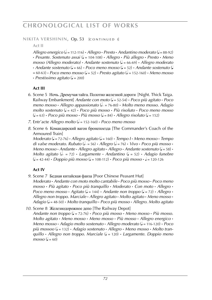**NIKITA VERSHININ, Op. 53 [CONTINUED I]** 

### **Act II**

*Allegro energico* ( $\overline{e}$  = 112-116) **·** *Allegro* · *Presto* · *Andantino moderato* ( $\overline{e}$  = 88-92) **·** *Pesante. Sostenuto assai* (q = 104-108) **·** *Allegro* **·** *Più allegro* **·** *Presto* **·** *Meno mosso (Allegro moderato)* **·** *Andante sostenuto* (q = 66-69) **·** *Allegro moderato*  $\cdot$  *Andante sostenuto* ( $\cdot$  = 66)  $\cdot$  *Poco meno mosso* ( $\cdot$  = 52)  $\cdot$  *Andante sostenuto* ( $\cdot$  $= 60-63$  **·** *Poco meno mosso* ( $= 52$ ) **·** *Presto agitato* ( $= 152-160$ ) · *Meno mosso* **· Prestissimo agitato** ( $\sqrt{ }$  = 200)

# **Act III**

- *6*. Scene 5 Ночь. Дремучая тайга. Полотно железной дороги [Night. Thick Taiga. Railway Embankment] *Andante con moto* (q = 52-54) **·** *Poco più agitato* **·** *Poco meno mosso* **·** *Allegro appassionato* (h k = 76-80) **·** *Molto meno mosso. Adagio molto sostenuto* (q = 42) **·** *Poco più mosso* **·** *Più risoluto* **·** *Poco meno mosso*  $(L = 63)$  **·** *Poco più mosso* **·** *Più mosso*  $(L = 84)$  **·** *Allegro risoluto*  $(L = 152)$
- *7*. Entr'acte *Allegro molto* (h = 152-160) **·** *Poco meno mosso*
- *8*. Scene 6 Командирский вагон бронепоезда [The Commander's Coach of the Armoured Train]

*Moderato* (q = 72-76) **·** *Allegro agitato* (q = 160) **·** *Tempo I* **·** *Meno mosso* **·** *Tempo di valse moderato. Rubato* ( $d = 56$ ) **·** *Allegro* ( $d = 76$ ) **·** *Vivo* · *Poco più mosso* · *Meno mosso* **·** *Andante* **·** *Allegro agitato* **·** *Allegro* **·** *Andante sostenuto* (q = 58) **·** *Molto agitato* ( $\sqrt{a} = 72$ ) **·** *Largamente* · *Andantino* ( $\sqrt{a} = 52$ ) · *Adagio funebre*  $(L = 42-44)$  **·** *Doppio più mosso*  $(L = 108-112)$  **·** *Poco più mosso* ·  $J = 120-126$ 

# **Act IV**

- *9*. Scene 7 Бедная китайская фанза [Poor Chinese Peasant Hut] *Moderato* **·** *Andante con moto molto cantabile* **·** *Poco più mosso* **·** *Poco meno mosso* **·** *Più agitato* **·** *Poco più tranquillo* **·** *Moderato* **·** *Con moto* **·** *Allegro* **·**  *Poco meno mosso* **·** *Agitato* ( $J = 144$ ) **·** *Andante non troppo* ( $J = 72$ ) **·** *Allegro* **·** *Allegro non troppo. Marciale* **·** *Allegro agitato* **·** *Molto agitato* **·** *Meno mosso* **·**  *Adagio* (q = 48-50) **·** *Molto tranquillo* **·** *Poco più mosso* **·** *Allegro. Molto agitato*
- *10*. Scene 8 Железнодорожное депо [The Railway Depot] *Andante non troppo* (q = 72-76) **·** *Poco più mosso* **·** *Meno mosso* **·** *Più mosso. Molto agitato* **·** *Meno mosso* **·** *Meno mosso* **·** *Più mosso* **·** *Allegro energico* **·**  *Meno mosso* **·** *Adagio molto sostenuto* **·** *Allegro moderato* (q = 116-120) **·** *Poco più mossoo* (q = 132) **·** *Adagio sostenuto* **·** *Allegro* **·** *Meno mosso* **·** *Molto tranquillo* **·** *Allegro non troppo. Marciale* (q = 120) **·** *Largamente. Doppio meno*   $mosso (J = 60)$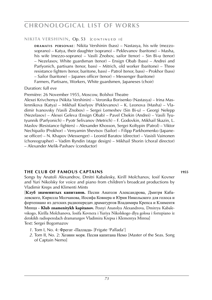#### **NIKITA VERSHININ, Op. 53 [CONTINUED II]**

**DRAMATIS PERSONAE:** Nikita Vershinin (bass) – Nastasya, his wife (mezzosoprano) – Katya, their daughter (soprano) – Peklevanov (baritone) – Masha, his wife (mezzo-soprano) – Vasili Znobov, sailor (tenor) – Sin Bi-u (tenor) – Nezelasov, White guardsman (tenor) – Ensign Obab (bass) – Andrei and Parfyonich, partisans (tenor, bass) – Mitrich, old worker (baritone) – Three resistance fighters (tenor, baritone, bass) – Patrol (tenor, bass) – Prokhor (bass) – Sailor (baritone) – Japanes officer (tenor) – Messenger (baritone) Farmers, Partisans, Workers, White guardsmen, Japaneses (choir)

#### Duration: full eve

Première: 26 November 1955, Moscow, Bolshoi Theatre

Alexei Krivchenya (Nikita Vershinin) – Veronika Borisenko (Nastasya) – Irina Maslennikova (Katya) – Mikhail Kiselyov (Peklevanov) – K. Leonova (Masha) – Vladimir Ivanovsky (Vasili Znobov) – Sergei Lemeshev (Sin Bi-u) – Georgi Nelepp (Nezelasov) – Alexei Geleva (Ensign Obab) – Pavel Chekin (Andrei) – Vasili Tyutyunnik (Parfyonich) – Pyotr Selivanov (Metrich) – F. Godovkin, Mikhail Skazin, L. Maslov (Resistance fighters) – Alexander Khosson, Sergei Koltypin (Patrol) – Viktor Nechipailo (Prokhor) – Venyamin Shevtsov (Sailor) – Filipp Parkhomenko (Japanese officer) – N. Khapov (Messenger) – Leonid Baratov (director) – Vasisli Vainonen (choreographer) – Vadim Ryndin (stage design) – Mikhail Shorin (choral director) – Alexander Melik-Pashaev (conductor)

#### **the club of famous captains 1955**

Songs by Anatoli Alexandrov, Dmitri Kabalesky, Kirill Molchanov, Iosif Kovner and Yuri Nikolsky for voice and piano from children's broadcast productions by Vladimir Kreps and Klimenti Mints

[**Клуб знаменитых капитанов.** Песни Анатоля Александрова, Дмитря Кабалевского, Кирилла Молчанова, Иосифа Ковнера и Юрия Никольского для голоса и фортепиано из детских радиопередач драматургов Владимира Крепса и Климентя Минца **· Klub znamenitykh kapitanov.** Pesnyi Anatolya Alexandrova, Dmitrya Kabalevskogo, Kirilla Molchanova, Iosifa Kovnera i Yuriya Nikolskogo dlya golosa i fortepiano iz detskikh radioperedach dramaturgov Vladimira Krepsa i Klementya Mintsa] Text: Sergei Bogomazov

- *1*. Tom I, No. 4: Фрегат «Паллада» [Frigate 'Pallada']
- *2*. Tom II, No. 2: Хозяин моря. Песня капитана Немо [Master of the Seas. Song of Captain Nemo]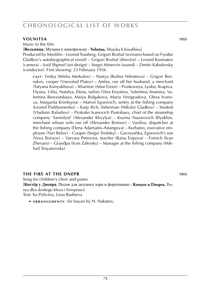### **volnitsa 1955**

Music to the film

[**Вольница.** Музыка к кинофильму **· Volnitsa.** Muzyka k kinofilmu]

Produced by Mosfilm – Leonid Trauberg, Grigori Roshal (scenario based on Fyodor Gladkov's autobiographical novel) – Grigori Roshal (director) – Leonid Kosmatov (camera) – Iosif Shpinel (set design) – Sergei Minervin (sound) – Dmitri Kabalevsky (conductor). First showing: 23 February 1956

**c a s t** : Fedya (Misha Merkulov) – Nastya (Rufina Nifontova) – Grigori Bezrukov, cooper (Vsevolod Platov) – Anfisa, ran off her husband, a merchant (Tatyana Konyukhova) – Khariton (Artur Eizen) – Praskoveya, Lyuba, Krapiva, Oyana, Ulita, Natalya, Elena, tailors (Vera Enyutina, Valentina Ananina, Valentina Berezutskaya, Maiya Bulgakova, Maria Vinogradova, Olesa Ivanova, Margarita Krinitsyna) – Matvei Egorovich, sentry at the fishing company (Leonid Parkhomenko) – Karp Ilich, fisherman (Nikolai Gladkov) – Student (Vladimir Balashov) – Prokofei Ivanovich Pustobaev, chief of the steamship company 'Samolyot' (Alexander Khvylya) – Kuzma Nazarovich Blyakhin, merchant whose wife ran off (Alexander Borisov) – Vasilisa, dispatcher at the fishing company (Elena Adamaitis-Astangova) – Kurbatov, executive employee (Yuri Belov) – Cooper (Sergei Troitsky) – Gavryushka, Egorovich's son (Vova Borisov) – Varvara Petrovna, teacher (Raisa Esipova) – Fomich (Ivan Zhevaro) – Grandpa (Ivan Zalessky) – Manager at the fishing company (Mikhail Troyanovsky)

### **the first at the DNEPR 1955**

Song for children's choir and piano [**Костёр у Днепра.** Песня для детского хора и фортепиано **· Kostyor u Dnepra.** Pesnya dlya detskogo khora i fortepiano] Text: Ira Polivina, Lena Rudneva

 ► **a r r a n g e m e n t s** : for bayan by N. Nabatov.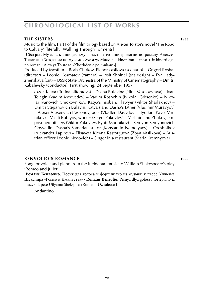### **the sisters 1955**

Music to the film. Part I of the film trilogy based on Alexei Tolstoi's novel 'The Road to Calvary' [literally: Walking Through Torments]

[**Сёстры.** Музыка к кинофильму – часть 1 из кинотрилогии по роману Алексея Толстого «Хождение по мукам» **· Syostry.** Muzyka k kinofilmu – chast 1 iz kinotrilogii po romanu Alexeya Tolstogo «Khozhdenie po mukam»]

Produced by Mosfilm – Boris Chirkov, Elenora Milova (scenario) – Grigori Roshal (director) – Leonid Kosmatov (camera) – Iosif Shpinel (set design) – Eva Ladyzhenskaya (cut) – USSR State Orchestra of the Ministry of Cinematography – Dmitri Kabalevsky (conductor). First showing: 24 September 1957

**c a s t** : Katya (Rufina Nifontova) – Dasha Bulavina (Nina Veselovskaya) – Ivan Telegin (Vadim Medvedev) – Vadim Roshchin (Nikolai Gritsenko) – Nikolai Ivanovich Smokovnikov, Katya's husband, lawyer (Viktor Sharlakhov) – Dmitri Stepanovich Bulavin, Katya's and Dasha's father (Vladimir Muravyov) – Alexei Alexeevich Bessonov, poet (Vladlen Davydov) – Tyotkin (Pavel Vinnikov) – Vasili Rublyov, worker (Sergei Yakovlev) – Melshin and Zhukov, emprisoned officers (Viktor Yakovlev, Pyotr Modnikov) – Semyon Semyonovich Govyadin, Dasha's Samarian suitor (Konstantin Nemolyaev) – Oreshnikov (Alexander Lapirov) – Elisaveta Kievna Rastorgueva (Zoya Vasilkova) – Austrian officer Leonid Nedovich) – Singer in a restaurant (Maria Kremnyova)

#### **benvolio's romance 1955**

Song for voice and piano from the incidental music to William Shakespeare's play 'Romeo and Juliet'

[**Романс Бенволио.** Песня для голоса и фортепиано из музыки к пьесе Уильяма Шекспира «Ромео и Джульетта» **· Romans Benvolio.** Pesnya dlya golosa i fortepiano iz muzyki k pese Uilyama Shekspira «Romeo i Dzhuletta»]

Andantino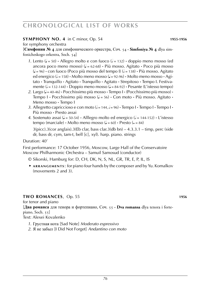# **SYMPHONY NO. 4** in C minor, Op. 54 **1955-1956 1955-1956**

for symphony orchestra

[**Симфония № 4** для симфонического оркестра, Соч. 54 **· Simfoniya № 4** dlya simfonicheskogo orkestra, Soch. 54]

- *1*. Lento ( $\downarrow$  = 50) **·** Allegro molto e con fuoco ( $\downarrow$  = 132) **·** doppio meno mosso (ed ancora poco meno mosso) (q = 62-68) **·** Più mosso. Agitato **·** Poco più mosso ( $= 96$ ) **·** con fuoco (Poco più mosso del tempo I) ( $= 138$ ) · Più mosso. Agitato ed energico ( $l = 158$ ) **·** Molto meno mosso ( $l = 92-96$ ) · Molto meno mosso · Agitato **·** Tranquillo **·** Agitato **·** Tranquillo **·** Agitato **·** Strepitoso **·** Tempo I. Festivamente  $(l = 132-144)$  **·** Doppio meno mosso  $(l = 84-92)$  · Pesante (L'istesso tempo)
- *2*. Largo (q = 40-46) **·** Pocchissimo più mosso **·** Tempo I **·** (Pocchissimo più mosso) **·** Tempo I · Pocchissimo più mosso ( $J = 56$ ) · Con moto · Più mosso. Agitato · Meno mosso **·** Tempo I
- 3. Allegretto capriccioso e con moto  $\left( \frac{1}{2} \right) = 144$ ,  $\frac{1}{2} = 96$ ) **·** Tempo I · Tempo I · Tempo I · Più mosso **·** Presto assai
- 4. Sostenuto assai ( $\downarrow$  = 50-54) **·** Alllegro molto ed energico ( $\downarrow$  = 144-152) **·** L'istesso tempo (marciale)  $\cdot$  Molto meno mosso ( $J = 60$ )  $\cdot$  Presto ( $\circ = 84$ )

 $3(picc).3(cor anglais).3(Eb clar, bass clar.3(db bn) - 4.3.3.1 - timp, perc (side$ dr, bass dr, cym, tam-t, bell [c], xyl). harp. piano. strings

### Duration: 40'

First performance: 17 October 1956, Moscow, Large Hall of the Conservatoire Moscow Philharmonic Orchestra – Samuil Samosud (conductor)

- © Sikorski, Hamburg for: D, CH, DK, N, S, NL, GR, TR, E, P, IL, IS
- ► **a r r a n g e m e n t s** : for piano four hands by the composer and by Yu. Komalkov (movements 2 and 3)

### **two romances**, Op. 55 **1956**

for tenor and piano

[**Два романса** для тенора и фортепиано, Соч. 55 **· Dva romansa** dlya tenora i fortepiano, Soch. 55]

Text: Alexei Kovalenko

*1*. Грустная нота [Sad Note] *Moderato espressivo*

*2*. Я не забыл [I Did Not Forget] *Andantino con moto*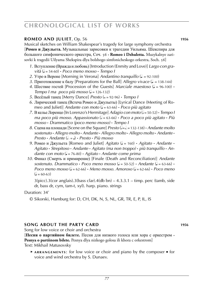### **ROMEO AND JULIET**, Op. 56 **1956 1956**

Musical sketches on William Shakespear's tragedy for large symphony orchestra [**Ромео и Джульета.** Музыкальные зарисовки к трагедии Уильяма. Шекспира для большого симфонического оркестра, Соч. 56 **· Romeo i Dzhuletta.** Muzykalnye zarisovki k tragedii Uilyama Shekspira dlya bolshogo simfonicheskogo orkestra, Soch. 56]

- *1*. Вступление (Вражда и любовь) [Introduction (Enmity and Love)] *Largo con gra*  $v$ *ità* ( $J = 54-60$ )  $\cdot$  *Poco meno mosso*  $\cdot$  *Tempo I*
- 2. Утро в Вероне [Morning in Verona] *Andantino tranquillo* ( $\downarrow$  = 92-100)
- *3*. Приготовление к балу [Preparations for the Ball] *Allegro vivace* ( $\ell$  = 138-144)
- 4. Шествие гостей [Procession of the Guests] *Marciale maestoso* ( $\sqrt{ } = 96-100$ ) **·**  $Tempo I ma poco più mosso (J = 126-132)$
- *5*. Весёлый танец [Merry Dance] *Presto* ( $\circ$  = 92-96) *Tempo I*
- *6*. Лирический танец (Встеча Ромео и Джульеты) [Lyrical Dance (Meeting of Ro meo and Juliet)] *Andante con moto* (q = 63-66) **·** *Poco più agitato*
- *7*. В келье Лоренцо [In Lorenzo's Hermitage] *Adagio con moto* (h = 50-52) **·** *Tempo I ma poco più mosso. Appassionato*  $\sqrt{e} = 63-66$  **·** *Poco a poco più agitato* · *Più mosso* **·** *Drammatico (poco meno mosso)* **·** *Tempo I*
- *8*. Сцена на плошади [Scene on the Square] *Presto* ( J = 132-138) *Andante molto sostenuto* **·** *Allegro molto* **·** *Andante* **·** *Allegro molto* **·** *Allegro molto* **·** *Andante* **·** *Presto* **·** *Andante* (h . = q) **·** *Presto* **·** *Più mosso*
- *9. Ромео и Джульета* [Romeo and Juliet] *Agitato* ( $J = 160$ ) **·** *Agitato* **·** *Andante* **·** *Agitato* **·** *Strepitoso* **·** *Andante* **·** *Agitato (ma non troppo)* **·** *più tranquillo* **·** *Andante con moto* (q = 76-80) **·** *Agitato* **·** *Andante come prima*
- *10*. Финал (Смерть и примирение) [Finale (Death and Reconciliation)] *Andante*  $s$ ostenuto. Drammatico **·** *Poco meno mosso* ( $\vert = 50.52$ ) **·** *Andante* ( $\vert = 63.66$ ) **·** *Poco meno mosso* ( $J = 62-66$ ) **·** *Meno mosso. Amoroso* ( $J = 62-66$ ) **·** *Poco meno*  $\left( = 60 - 63 \right)$

 $3(picc)$ .3(cor anglais).3(bass clar).4(db bn) – 4.3.3.1 – timp. perc (tamb, side dr, bass dr, cym, tam-t, xyl). harp. piano. strings

#### Duration: 34'

#### **song about the party card 1956**

Song for low voice or choir and orchestra

[**Песня о партийном билете.** Песня для низкого голоса или хора с оркестром **·** Pesnya o partiinom bilete. Pesnya dlya nizkogo golosa ili khora c orkestrom]

Text: Mikhail Matusovsky

 ► **a r r a n g e m e n t s** : for low voice or choir and piano by the composer ■ for voice and wind orchestra by S. Dunaev.

<sup>©</sup> Sikorski, Hamburg for: D, CH, DK, N, S, NL, GR, TR, E, P, IL, IS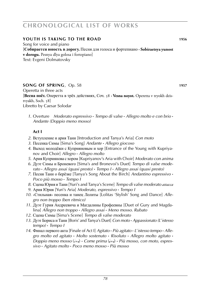### **youth is taking to the road 1956**

Song for voice and piano [**Собирается юность в дорогу.** Песня для голоса и фортепиано **· Sobiraetsya yunost v dorogu.** Pesnya dlya golosa i fortepiano] Text: Evgeni Dolmatovsky

### **song of spring**, Op. 58 **WEB 1957 1957**

Operetta in three acts [**Весна поёт.** Оперетта в трёх действиях, Соч. 58 **· Vesna noyot.** Operetta v tryokh deistvyakh, Soch. 58] Libretto by Caesar Solodar

*1*. Overture *Moderato espressivo* **·** *Tempo di valse* **·** *Allegro molto e con brio* **·** *Andante (Doppio meno mosso)*

### **Act I**

- *2*. Вступление и ария Тани [Introduction and Tanya's Aria] *Con moto*
- *3*. Песенка Симы [Sima's Song] *Andante* **·** *Allegro giocoso*
- *4*. Выход молодёжи с Куприяновым и хор [Entrance of the Young with Kupriya nov and Choir] *Allegro* **·** *Allegro molto*
- *5*. Ария Куприянова с хором [Kupriyanov's Aria with Choir] *Moderato con anima*
- *6*. Дуэт Симы и Броневого [Sima's and Bronevoi's Duet] *Tempo di valse mode rato* **·** *Allegro assai (quasi presto)* **·** *Tempo I* **·** *Allegro assai (quasi presto)*
- *7*. Песня Тани о берёзке [Tanya's Song About the Birch] *Andantino espressivo* **·** *Poco più mosso* **·** *Tempo I*
- *8*. Сцена Юрия и Тани [Yuri's and Tanya's Scene] *Tempo di valse moderato attacca*
- *9*. Ария Юрия [Yuri's Aria] *Moderato, espressivo* **·** *Tempo I*
- *10*. «Стильная» песенка и танец Лолиты [Lolitas 'Stylish' Song and Dance] *Alle gro non troppo (ben ritmico)*
- *11*. Дуэт Гурия Андреевича и Магдалины Ерофеевны [Duet of Gury and Magdalina] *Allegro non troppo* **·** *Allegro assai* **·** *Meno mosso. Rubato*
- *12*. Сцена Симы [Sima's Scene] *Tempo di valse moderato*
- *13*. Дуэт Бориса и Тани [Boris' and Tanya's Duet] *Con moto* **·** *Appassionato (L*'*istesso tempo)* **·** *Tempo I*
- *14*. Финал первого акта [Finale of Act I] *Agitato* **·** *Più agitato* **·** *L*'*istesso tempo* **·** *Allegro molto ed agitato* **·** *Molto sostenuto* **·** *Risoluto* **·** *Allegro molto agitato* **·** *Doppio meno mosso* ( $\neq$ ) • *Come prima* ( $\neq$ ) • *Più mosso, con moto, espressivo* **·** *Agitato molto* **·** *Poco meno mosso* **·** *Più mosso*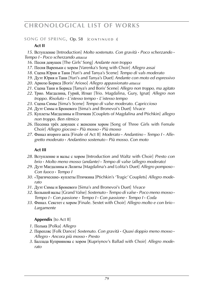#### **SONG OF SPRING, Op. 58 [CONTINUED I]**

# **Act II**

*15*. Вступление [Introduction] *Molto sostenuto. Con gravità* **·** *Poco scherzando* **·** *Tempo I* **·** *Poco scherzando attacca*

- *16*. Песня девушек [The Girls' Song] *Andante non troppo*
- *17*. Песня Вареньки с хором [Varenka's Song with Choir] *Allegro assai*
- *18*. Сцена Юрия и Тани [Yuri's and Tanya's Scene] *Tempo di vals moderato*
- *19*. Дуэт Юрия и Тани [Yuri's and Tanya's Duet] *Andante con moto ed espressivo*
- *20*. Ариозо Бориса [Boris' Arioso] *Allegro appassionato attacca*
- *21*. Сцена Тани и Бориса [Tanya's and Boris' Scene] *Allegro non troppo, ma agitato*
- *22*. Трио. Магдалина, Гурий, Игнат [Trio. Magdalina, Gury, Ignat] *Allegro non troppo. Risoluto* **·** *L*'*istesso tempo* **·** *L*'*istesso tempo*
- *23*. Сцена Симы [Sima's Scene] *Tempo di valse moderato. Capriccioso*
- *24*. Дуэт Симы и Броневого [Sima's and Bronevoi's Duet] *Vivace*
- *25*. Куплеты Магдалины и Птичкин [Couplets of Magdalina and Ptichkin] *allegro non troppo. Ben ritmico*
- *26*. Песенка трёх девушек с женским хором [Song of Three Girls with Female Choir] *Allegro giocoso* **·** *Più mosso* **·** *Più mosso*
- *27*. Финал второго акта [Finale of Act II] *Moderato* **·** *Andantino* **·** *Tempo I* **·** *Alle gretto moderato* **·** *Andantino sostenuto* **·** *Più mosso. Con moto*

# **Act III**

- *28*. Вступление и вальс с хором [Introduction and Waltz with Choir] *Presto con brio* **·** *Molto meno mosso (andante)* **·** *Tempo di valse (allegro moderato)*
- *29*. Дуэт Магдалины и Лолиты [Magdalina's and Lolita's Duet] *Allegro pomposo* **·** *Con fuoco* **·** *Tempo I*
- *30*. «Трагические» куплеты Птичкина [Ptichkin's 'Tragic' Couplets] *Allegro mode rato*
- *31*. Дуэт Симы и Броневого [Sima's and Bronevoi's Duet] *Vivace*
- *32*. Большой вальс [Grand Valse] *Sostenuto* **·** *Tempo di valse* **·** *Poco meno mosso* **·** *Tempo I* **·** *Con passione* **·** *Tempo I* **·** *Con passione* **·** *Tempo I* **·** *Coda*
- *33*. Финал. Секстет с хором [Finale. Sextet with Choir] *Allegro molto e con brio* **·** *Largamente*

# **Appendix** [to Act II]

- *1*. Полька [Polka] *Allegro*
- *2*. Перепляс [Folk Dance] *Sostenuto. Con gravità* **·** *Quasi doppio meno mosso* **·**  *Allegro* **·** *Ancora più mosso* **·** *Presto*
- *3*. Баллада Куприянова с хором [Kupriynov's Ballad with Choir] *Allegro mode rato*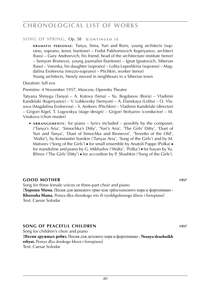#### **SONG OF SPRING, Op. 58 [CONTINUED II]**

**DRAMATIS PERSONAE: Tanya, Sima, Yuri and Boris, young architects (sop**rano, soprano, tenor, baritone) – Fedot Pakhomovich Kupriyanov, architect (bass) – Gury Andreevich, his friend, head of the architecture institute (tenor) – Semyon Bronevoi, young journalist (baritone) – Ignat Ignatovich, Siberian (bass) – Varenka, his daughter (soprano) – Lolita Lepeshkina (soprano) – Magdalina Erofeevna (mezzo-soprano) – Ptichkin, worker (tenor) Young architects, Newly moved in neighbours in a Siberian town

Duration: full eve

Première: 4 November 1957, Moscow, Operetta Theatre

Tatyana Shmyga (Tanya) – A. Kotova (Sima) – Yu. Bogdanov (Boris) – Vladimir Kandelaki (Kupriyanov) – V. Lobkovsky (Semyon) – A. Elanskaya (Lolita) – O. Vlasova (Magdalina Erofeevna) – S. Anikeev (Ptichkin) – Vladimir Kandelaki (director) – Grigori Kigel, T. Lugovskya (stage design) – Grigori Stolyarov (conductor) – M. Vnukova (choir master)

► ARRANGEMENTS: for piano – lyrics included – possibly by the composer, ('Tanya's Aria', 'Simochka's Ditty', 'Yuri's Aria', 'The Girls' Ditty', 'Duet of Yuri and Tanya', 'Duet of Simochka and Bronevoi', 'Terzetto of the Old', 'Waltz'), by Konstantin Sorokin ('Tanyas Aria', 'Song of the Girls') and by M. Matveev ('Song of the Girls') · for small ensemble by Anatoli Pappe (Polka) · for mandoline and piano by G. Mikhailov ('Waltz', 'Polka') ■ for bayan by Yu. Blinov ('The Girls' Ditty') ■ for accordion by P. Shashkin ('Song of the Girls').

### **Good mother 1957**

Song for three female voices or three-part choir and piano [**Хороша Мама.** Песня для женского трио или трёхголосного хора и фортепиано **· Khorosha Mama.** Pesnya dlya zhenskogo trio ili tryokhgolosnogo khora i fortepiano] Text: Caesar Solodar

#### **song of peaceful children 1957**

Song for children's choir and piano [**Песня дружных ребят.** Песня для детского хора и фортепиано **· Nesnya druzhnikh rebyat.** Pesnya dlya detskogo khora i fortepiano] Text: Caesar Solodar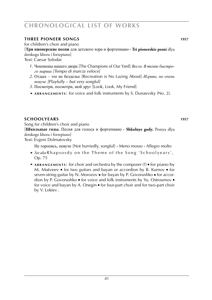### **three pioneer songs 1957**

for children's choir and piano

# [**Три пионерские песни** для детского хора и фортепиано **· Tri pionerskie pesni** dlya

detskogo khora i fortepiano]

Text: Caesar Solodar

- *1*. Чемпионы нашего двора [The Champions of Our Yard] *Весло. В темпе быстрого марша [Tempo di marcia veloce]*
- *2*. Отдых это не безделье [Recreation is No Lazing About] *Игриво, но очень певуче [Playfully – but very songful]*
- *3*. Посмотри, посмотри, мой друг [Look, Look, My Friend]
- ► **a r r a n g e m e n t s** : for voice and folk instruments by S. Dunaevsky (No. 2).

### **schoolyears 1957**

Song for children's choir and piano [**Школьные годы.** Песня для голоса и фортепиано **· Shkolnye gody.** Pesnya dlya detskogo khora i fortepiano]

Text: Evgeni Dolmatovsky

Не торопясь, певуче [Not hurriedly, songful] **·** Meno mosso **·** Allegro molto

- ► *See also* Rhapsosdy on the Theme of the Song 'Schoolyears', Op. 75
- ► **a r r a n g e m e n t s** : for choir and orchestra by the composer (?) for piano by M. Matveev  $\blacksquare$  for two guitars and bayan or accordion by B. Kurnov  $\blacksquare$  for seven-string-guitar by N. Morozov ■ for bayan by P. Govorushko ■ for accordion by P. Govorushko ■ for voice and folk instruments by Yu. Ostroumov ■ for voice and bayan by A. Onegin ■ for four-part choir and for two-part choir by V. Loktev .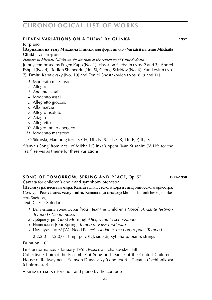# **ELEVEN VARIATIONS ON A THEME BY GLINKA 1957**

for piano

#### [**Вариации на тему Михаила Глинки** для фортепиано **· Variatsii na temu Mikhaila Glinki** dlya fortepiano]

*Homage to Mikhail Glinka on the occasion of the centenary of Glinka's death* Jointly composed by Eugen Kapp (No. 1), Vissarion Shebalin (Nos. 2 and 3), Andrei Eshpai (No. 4), Rodion Shchedrin (No. 5), Georgi Sviridov (No. 6), Yuri Levitin (No. 7), Dmitri Kabalevsky (No. 10) and Dmitri Shostakovich (Nos. 8, 9 and 11).

- *1*. Moderato maestoso
- *2*. Allegro
- *3*. Andante assai
- *4*. Moderato assai
- *5*. Allegretto giocoso
- *6*. Alla marcia
- *7*. Allegro risoluto
- *8*. Adagio
- *9*. Allegretto
- *10*. Allegro molto energico
- *11*. Moderato maestoso
- © Sikorski, Hamburg for: D, CH, DK, N, S, NL, GR, TR, E, P, IL, IS

'Vanya's Song' from Act I of Mikhail Glinka's opera 'Ivan Susanin' ('A Life for the Tsar') serves as theme for these variations.

#### **song of tomorrow, spring and peace**, Op. 57 **1957–1958**

Cantata for children's choir and symphony orchestra

[**Песня утра, весны и мира.** Кантата для детского хора и симфонического оркестра, Соч. 57 **· Pesnya utra, vesny i mira.** Kantata dlya detskogo khora i simfonicheskogo orkestra, Soch. 57]

Text: Caesar Solodar

- *1*. Вы слышите голос детей [You Hear the Children's Voice] *Andante festivo* **·** *Tempo I* **·** *Meno mosso*
- *2*. Доброе утро [Good Morning] *Allegro molto scherzando*
- *3*. Наша весна [Our Spring] *Tempo di valse moderato*
- *4*. Нам нужен мир! [We Need Peace!] *Andante, ma non troppo* **·** *Tempo I*

 $2.2.2.0 - 3.2.0.0 - \text{time}$ . perc (tgl, side dr, xyl). harp. piano. strings

Duration: 10'

First performance: 7 January 1958, Moscow, Tchaikovsky Hall Collective Choir of the Ensemble of Song and Dance of the Central Children's House of Railwaymen – Semyon Dunaevsky (conductor) – Tatyana Ovchinnikova (choir master)

► **a r r a n g e m e n t** for choir and piano by the composer.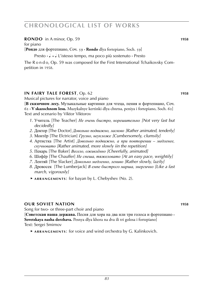#### **rondo** in A minor, Op. 59 **1958**

for piano

[**Рондо** для фортепиано, Соч. 59 **· Rondo** dlya fortepiano, Soch. 59]

Presto **·** q . = q L'istesso tempo, ma poco più sostenuto **·** Presto

The R o n d o, Op. 59 was composed for the First International Tchaikovsky Competition in 1958.

### **in fairy tale forest**, Op. 62 **1958**

Musical pictures for narrator, voice and piano

[**В сказочном лесу.** Музыкальные картинки для чтеца, пения и фортепиано, Соч. 62 **· V skazochnom lesu.** Muzykalnye kertinki dlya chtetsa, peniya i fortepiano, Soch. 62] Text and scenario by Viktor Viktorov

- *1*. Учитель [The Teacher] *Не очень быстро, норешительно [Not very fast but decidedly]*
- *2*. Доктор [The Doctor] *Довольно подвижно, ласково [Rather animated, tenderly]*
- *3*. Монтёр [The Elctrician] *Грузно, неукложе [Cumbersomely, clumsily]*
- *4*. Артистка [The Artist] *Довольно подвижно, а при повторении* – *медленее, скучновато [Rather animated, more slowly iin the repetition]*
- *5*. Пекарь [The Baker] *Весело, оживлённо [Cheerfully, animated]*
- *6*. Шофёр [The Chauffer] *Не спеша, тяжеловато [At an easy pace, weightily]*
- *7*. Лентяй [The Slacker] *Довольно медленно, лениво [Rather slowly, lazily]*
- *8*. Дровосек [The Lumberjack] *В емпе быстрого марша, энергично [Like a fast march, vigorously]*
- ► **a r r a n g e m e n t s** : for bayan by L. Chebyshev (No. 2).

#### **our soviet nation 1958**

Song for two- or three-part choir and piano [**Советская наша держава.** Песня для хора на два или три голоса и фортепиано **·**

**Sovetskaya nasha derzhava.** Pesnya dlya khora na dva ili tri golosa i fortepiano] Text: Sergei Smirnov

 ► **a r r a n g e m e n t s** : for voice and wind orchestra by G. Kalinkovich.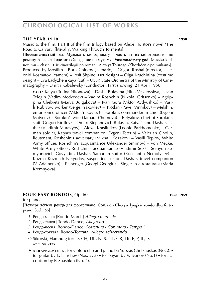#### **the year 1918 1958**

Music to the film. Part II of the film trilogy based on Alexei Tolstoi's novel 'The Road to Calvary' [literally: Walking Through Torments]

[**Восемнадцатый год.** Музыка к кинофильму – часть 11 из кинотрилогии по роману Алексея Толстого «Хождение по мукам» **· Vosemnadtsaty god.** Muzyka k kinofilmu – chast 11 iz kinotrilogii po romanu Alexeya Tolstogo «Khozhdenie po mukam»] Produced by Mosfilm – Boris Chirkov (scenario) – Grigori Roshal (director) – Leonid Kosmatov (camera) – Iosif Shpinel (set design) – Olga Kruchinina (costume design) – Eva Ladyzhenskaya (cut) – USSR State Orchestra of the Ministry of Cinematography – Dmitri Kabalevsky (conductor). First showing: 21 April 1958

**c a s t** : Katya (Rufina Nifontova) – Dasha Bulavina (Nina Veselovskya) – Ivan Telegin (Vadim Medvedev) – Vadim Roshchin (Nikolai Gritsenko) – Agrippina Chebrets (Maiya Bulgakova) – Ivan Gora (Viktor Avdyushko) – Vasili Rublyov, worker (Sergei Yakovlev) – Tyotkin (Pavel Vinnikov) – Melshin, emprisoned officer (Viktor Yakovlev) – Sorokin, commander-in-chief (Evgeni Matveev) – Sorokin's wife (Tamara Chernova) – Belyakov, chief of Sorokin's staff (Grigori Kirillov) – Dmitri Stepanovich Bulavin, Katya's and Dasha's father (Vladimir Muravyov) – Alexei Krasilnikov (Leonid Parkhomenko) – German soldier, Katya's travel companion (Evgeni Teterin) – Valerian Onolin, lieutenant, Roshchin's adversary (Mikhail Kozakov) – Vasili Teplov, White Army officer, Roshchin's acquaintance (Alexander Smirnov) – von Mecke, White Army officer, Roshchin's acquaintance (Vladimir Sez) – Semyon Semyonovich Govyadin, Dasha's Samarian suitor (Konstantin Nemolyaev) – Kuzma Kuzmich Nefyodov, suspended sexton, Dasha's travel companion (V. Adamenko) – Passenger (Georgi Georgiu) – Singer in a restaurant (Maria Kremnyova)

#### **four easy rondos**, Op. 60 **1958–1959**

for piano

[**Четыре лёгкие рондо** для фортепиано, Соч. 60 **· Chetyre lyogkie rondo** dlya fortepiano, Soch. 60]

- *1*. Рондо-марш [Rondo-March] *Allegro marciale*
- *2*. Рондо-танец [Rondo-Dance] *Allegretto*
- *3*. Рондо-песня [Rondo-Dance] *Sostenuto* **·** *Con moto* **·** *Tempo I*
- *4*. Рондо-токката [Rondo-Toccata] *Allegro scherzando*
- © Sikorski, Hamburg for: D, CH, DK, N, S, NL, GR, TR, E, P, IL, IS · *score:* **sik 2125**
- ► **a r r a n g e m e n t s** : for violoncello and piano ba Yuozas Chelkauskas (No. 2) for guitar by E. Larichev (Nos. 2, 3)  $\bullet$  for bayan by V. Ivanov (No.1)  $\bullet$  for accordion by P. Shashkin (No. 4).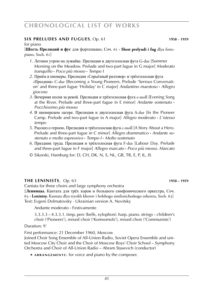### **six preludes and fugues**, Op. 61 **1958** – **1959**

#### for piano

[**Шесть Прелюдий и фуг** для фортепиано, Соч. 61 **· Shest prelyudi i fug** dlya fortepiano, Soch. 61]

- *1*. Летним утром на лужайке. Прелюдия и двухголосная фуга G-dur [Summer Morning on the Meadow. Prelude and two-part fugue in G major] *Moderato tranquillo* **·** *Poco più mosso* **·** *Tempo I*
- *2*. Приём в пионеры. Прелюдия «Серьёзный разговор» и трёхголосная фуга «Праздник» C-dur [Becoming a Young Pioneers. Prelude 'Serious Conversation' and three-part fugue 'Holiday' in C major] *Andantino maestoso* **·** *Allegro giocoso*
- *3*. Вечерняя песня за рекой. Прелюдия и трёхголосная фуга e-moll [Evening Song at the River. Prelude and three-part fugue in E minor] *Andante sostenuto* **·** *Pocchissimo più mosso*
- *4*. В пионерском лагере. Прелюдия и двухголосная фуга A-dur [In the Pioneer Camp. Prelude and two-part fugue in A major] *Allegro moderato* **·** *L*'*istesso tempo*
- *5*. Рассказ о героею. Прелюдия и трёхголосная фуга c-moll [A Story About a Hero. Prelude and three-part fugue in C minor] *Allegro drammatico* **·** *Andante sostenuto e molto espressivo* **·** *Tempo I* **·** *Molto sostenuto*
- *6*. Праздник труда. Прелюдия и трёхголосная фуга F-dur [Labour Day. Prelude and three-part fugue in F major] *Allegro marcato* **·** *Poco più mosso. Marcato*
- © Sikorski, Hamburg for: D, CH, DK, N, S, NL, GR, TR, E, P, IL, IS

#### **the LENINISTS**, Op. 63 **WEBS 1958 – 1959**

Cantata for three choirs and large symphony orchestra

[**Ленинцы.** Кантата для трёх хоров и большого симфонического оркестра, Соч. 63 **· Lenintsy.** Kantata dlya tryokh khorov i bolshogo simfonicheskogo orkestra, Soch. 63] Text: Evgeni Dolmatovsky · Ukrainian version A. Novitsky

Andante moderato **·** Festivamente

3.3.3.3 – 4.3.3.1. timp. perc (bells, xylophon). harp. piano. strings – children's choir ('Pioneers'), mixed choir ('Komsomols'), mixed choir ('Communists')

Duration: 9'

First performance: 21 December 1960, Moscow

Joined Choir Song Ensemble of All-Union Radio, Soviet Opera Ensemble and united Moscow City Choir and the Choir of Moscow Boys' Choir School – Symphony Orchestra and Choir of All-Union Radio – Abram Stasevich (conductor)

► ARRANGEMENTS: for voice and piano by the composer.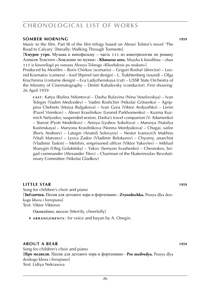#### **somber morning 1959**

Music to the film. Part III of the film trilogy based on Alexei Tolstoi's novel 'The Road to Calvary' [literally: Walking Through Torments]

[**Хмурое утро.** Музыка к кинофильму – часть 111 из кинотрилогии по роману Алексея Толстого «Хождение по мукам» **· Khmuroe utro.** Muzyka k kinofilmu – chast 111 iz kinotrilogii po romanu Alexeya Tolstogo «Khozhdenie po mukam»]

Produced by Mosfilm – Boris Chirkov (scenario) – Grigori Roshal (director) – Leonid Kosmatov (camera) – Iosif Shpinel (set design) – L. Trakhtenberg (sound) – Olga Kruchinina (costume design) – Eva Ladyzhenskaya (cut) – USSR State Orchestra of the Ministry of Cinematography – Dmitri Kabalevsky (conductor). First showing: 26 April 1959

**c a s t** : Katya (Rufina Nifontova) – Dasha Bulavina (Nina Veselovskya) – Ivan Telegin (Vadim Medvedev) – Vadim Roshchin (Nikolai Gritsenko) – Agrippina Chebrets (Maiya Bulgakova) – Ivan Gora (Viktor Avdyushko) – Lenin (Pavel Vinnikov) – Alexei Krasilnikov (Leonid Parkhomenko) – Kuzma Kuzmich Nefyodov, suspended sexton, Dasha's travel companion (V. Adamenko) – Starost (Pyotr Modnikov) – Anisya (Lyubov Sokolova) – Marusya (Natalya Kustinskaya) – Maryona Krasilnikova (Nonna Mordyukova) – Chugai, sailor (Boris Andreev) – Latugin (Anatoli Solovyov) – Nestor Ivanovich Makhno (Vitali Matveev) – Lyova Zadov (Vladimir Belokurov) – Chyorny, anarchist (Vladimir Taskin) – Melshin, emprisoned officer (Viktor Yakovlev) – Mikhail Sharygin (Oleg Golubitsky) – Yakov (Semyon Svashenko) – Chesnokov, brigad commander (Alexander Titov) – Chairman of the Ekaterinoslav Revolutionary Committee (Nikolai Gladkov)

### **little star 1959**

Song for children's choir and piano [**Звёздочка.** Песня для детского хора и фортепиано **· Zvyozdochka.** Pesnya dlya detskogo khora i fortepiano] Text: Viktor Viktorov

- Оживлённо, весело [Merrily, cheerfully]
- ► **a r r a n g e m e n t s** : for voice and bayan by A. Onegin.

#### **about a bear 1959**

Song for children's choir and piano [**Про медведя.** Песня для детского хора и фортепиано **· Pro medvedya.** Pesnya dlya detskogo khora i fortepiano] Text: Lidiya Nekrasova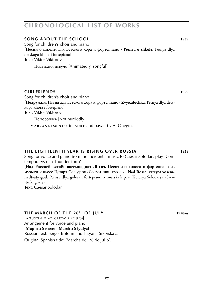### **song about the school 1959**

Song for children's choir and piano [**Песня о школе.** для детского хора и фортепиано **· Pesnya o shkole.** Pesnya dlya detskogo khora i fortepiano] Text: Viktor Viktorov

Подвихно, певуче [Animatedly, songful]

#### **girlfriends 1959**

Song for children's choir and piano [**Подружки.** Песня для детского хора и фортепиано **· Zvyozdochka.** Pesnya dlya detskogo khora i fortepiano] Text: Viktor Viktorov

Не торопясь [Not hurriedly]

 ► **a r r a n g e m e n t s** : for voice and bayan by A. Onegin.

#### **The eighteenth year is rising over russia 1959**

Song for voice and piano from the incidental music to Caesar Solodars play 'Contemporarys of a Thunderstorm'

[**Над Россией встаёт восемнадцатый год.** Песня для голоса и фортепиано из музыки к пьесе Цезаря Солодаря «Сверстники грозы» **· Nad Rossei vstayot vosemnadtsaty god.** Pesnya dlya golosa i fortepiano iz muzyki k pese Tsezarya Solodarya «Sverstniki grozy»] Text: Caesar Solodar

#### **the march of the 26th of july 1950ies**

 $[AGUSTÍN DÍAZ CARTAYA (*1925)]$ Arrangement for voice and piano [**Марш 26 июля · Marsh 26 iyulya**] Russian text: Sergei Bolotin and Tatyana Sikorskaya Original Spanish title: 'Marcha del 26 de julio'.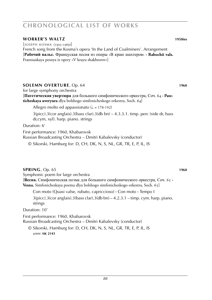#### **worker's waltz 1950ies**

 $[$ JOSEPH KOSMA (1905-1969)] French song from the Kosma's opera 'In the Land of Coalminers'. Arrangement [**Рабочий вальс.** Француская песня из оперы «В краю шахтеров» **· Rabochii vals.** Frantsuskaya pesnya iz opery «V krayu shakhterov»]

### **Solemn overture**, Op. 64 **1960**

for large symphony orchestra

[**Патетическая увертюра** для большого симфонического оркестра, Соч. 64 **· Pateticheskaya uveryura** dlya bolshogo simfonicheskogo orkestra, Soch. 64]

Allegro molto ed appassionato ( $\epsilon$  = 178-192)

3(picc).3(cor anglais).3(bass clar).3(db bn) – 4.3.3.1. timp. perc (side dr, bass dr,cym, xyl). harp. piano. strings

Duration: 6'

First performance: 1960, Khabarovsk Russian Broadcasting Orchestra – Dmitri Kabalevsky (conductor)

© Sikorski, Hamburg for: D, CH, DK, N, S, NL, GR, TR, E, P, IL, IS

#### **Spring**, Op. 65 **1960**

Symphonic poem for large orchestra [**Весна.** Симфоническая поэма для большого симфонического оркестра, Соч. 65 **· Vesna.** Simfonicheskaya poema dlya bolshogo simfonicheskogo orkestra, Soch. 65]

Con moto (Quasi valse, rubato, capriccioso) **·** Con moto **·** Tempo I

 $3(pice).3(cor$  anglais).  $3(bass$  clar).  $3(db bn) - 4.2.3.1 - timp.$  cym. harp. piano. strings

Duration: 10'

First performance: 1960, Khabarovsk Russian Broadcasting Orchestra – Dmitri Kabalevsky (conductor)

© Sikorski, Hamburg for: D, CH, DK, N, S, NL, GR, TR, E, P, IL, IS *score:* **sik 2143**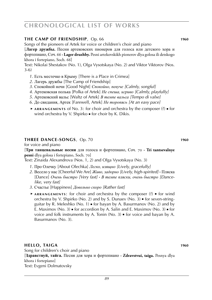### **the CAMP OF FRIENDSHIP**, Op. 66 **WEBS 1010248 1960**

Songs of the pioneers of Artek for voice or children's choir and piano

[**Лагер дружбы.** Песни артековских пионеров для голоса или детского хора и фортепиано, Соч. 66 **· Lager druzhby.** Pesni artekovskikh pionerov dlya golosa ili detskogo khora i fortepiano, Soch. 66]

Text: Nikolai Shestakov (No. 1), Olga Vysotskaya (No. 2) and Viktor Viktorov (Nos. 3-6)

- *1*. Есть местечко в Крыму [There is a Place in Crimea]
- *2*. Лагерь дружбы [The Camp of Friendship]
- *3*. Спокойной ночи [Good Night] *Спокойно, певуче [Calmly, songful]*
- *4*. Артековская полька [Polka of Artek] *Не спеша, игриво [Calmly, playfully]*
- *5*. Артековский вальс [Waltz of Artek] *В темпе вальса [Tempo di valse]*
- *6*. До свидания, Артек [Farewell, Artek] *Не торопясь [At an easy pace]*
- ► **a r r a n g e m e n t s** of No. 3: for choir and orchestra by the composer (?) for wind orchestra by V. Shpirko ■ for choir by K. Dikis.

### **three dance-songs**, Op. 70 **WEB 1010248 1960**

for voice and piano

[**Три танцевальные песни** для голоса и фортепиано, Соч. 70 **· Tri tantsevalnye pesni** dlya golosa i fortepiano, Soch. 70]

Text: Zinaida Alexandrova (Nos. 1, 2) and Olga Vysotskaya (No. 3)

- *1*. Про Олечку [About Olechka] *Легко, изящно [Lively, gracefully]*
- *2*. Весело у нас [Cheerful We Are] *Живо, задорно [Lively, high-spirited]* **·** Пляска [Dance] *Очень быстро [Very fast]* **·** *В темпе пляски, очень быстро [Dancelike, very fast]*
- *3*. Счастье [Happiness] *Довольно скоро [Rather fast]*
- ► ARRANGEMENTS: for choir and orchestra by the composer (?) for wind orchestra by V. Shpirko (No. 2) and by S. Dunaev (No. 3) ■ for seven-stringguitar by R. Meleshko (No. 1)  $\bullet$  for bayan by A. Basurmanov (No. 2) and by E. Maximov (No. 3)  $\bullet$  for accordion by A. Salin and E. Maximov (No. 3)  $\bullet$  for voice and folk instruments by A. Tonin (No. 3) ■ for voice and bayan by A. Basurmanov (No. 3).

### **hello, taiga 1960**

Song for children's choir and piano [**Здравствуй, тайга.** Песня для хора и фортепиано **· Zdravstvui, taiga.** Pesnya dlya khora i fortepiano] Text: Evgeni Dolmatovsky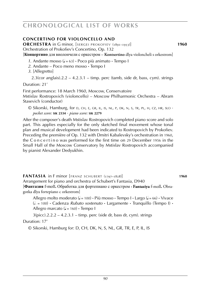### **Concertino for violoncello and**

**ORCHESTRA** in G minor, [SERGEI PROKOFIEV (1891–1953)] **1960** Orchestration of Prokofiev's Concertino, Op. 132

[**Концертино** для виолончели с оркестром – **Kontsertino** dlya violoncheli s orkestrom]

- 1. Andante mosso  $(J = 63)$  **·** Poco più animato **·** Tempo I
- *2*. Andante Poco meno mosso **·** Tempo I
- *3*. [Allegretto]

 $2.3$ (cor anglais). $2.2 - 4.2.3.1 - \text{time}$ , perc (tamb, side dr, bass, cym). strings Duration: 21'

First performance: 18 March 1960, Moscow, Conservatoire Mstislav Rostropovich (violoncello) – Moscow Philharmonic Orchestra – Abram Stasevich (conductor)

© Sikorski, Hamburg, for d, ch, e, gr, il, is, nl, p, dk, n, s, tr, pl, h, cz, hr, slo · *pocket score:* **sik 2334** · *piano score:* **sik 2279**

After the composer's death Mstislav Rostropovich completed piano score and solo part. This applies especially for the only sketched final movement whose tonal plan and musical development had been indicated to Rostropovich by Prokofiev. Preceding the première of Op. 132 with Dmitri Kabalevsky's orchestration in 1960, the C o n c e r t i n o was performed for the first time on 29 December 1956 in the Small Hall of the Moscow Conservatory by Mstislav Rostropovich accompanied by pianist Alexander Dedyukhin.

**fANTASIA** in F minor [FRANZ SCHUBERT (1797–1828)] **1960** Arrangement for piano and orchestra of Schubert's Fantasia, D940 [**Фантазия** f-moll**.** Обработка для фортепиано с оркестром **· Fantaziya** f-moll**.** Obragotka dlya fortepiano c orkestrom]

Allegro molto moderato ( $= 100$ ) **·** Più mosso · Tempo I · Largo ( $= 66$ ) · Vivace (h . = 100) **·** Cadenza *Rubato sostenuto* **·** Largamente **·** Tranquillo (Tempo I) **·** Allegro marcato (J = 160) **·** Tempo I

 $3(pice)$ .2.2.2 – 4.2.3.1 – timp. perc (side dr, bass dr, cym). strings Duration: 17'

© Sikorski, Hamburg for: D, CH, DK, N, S, NL, GR, TR, E, P, IL, IS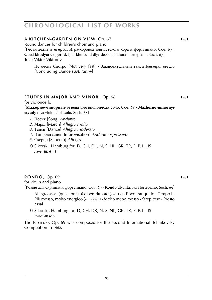### **a kitchen-garden on view**, Op. 67 **1961**

Round dances for children's choir and piano

[**Гости ходят в огород.** Игра-хоровод для детского хора и фортепиано, Соч. 67 **· Gosti khodyat v ogorod.** Igra-khorovod dlya detskogo khora i fortepiano, Soch. 67] Text: Viktor Viktorov

Не очень быстро [Not very fast] **·** Заключительный танец *Быстро, весело* [Concluding Dance *Fast, funny*]

### **etudes in major and minor**, Op. 68 **1961**

for violoncello

[**Мажорно-минорные этюды** для виолончели соло, Соч. 68 **· Mazhorno-minornye etyudy** dlya violoncheli solo, Soch. 68]

- *1*. Песня [Song] *Andante*
- *2*. Марш [March] *Allegro molto*
- *3*. Танец [Dance] *Allegro moderato*
- *4*. Импровизация [Improvisation] *Andante espressivo*
- *5*. Скерцо [Scherzo] *Allegro*
- © Sikorski, Hamburg for: D, CH, DK, N, S, NL, GR, TR, E, P, IL, IS *score:* **sik 6143**

### **rondo**, Op. 69 **1961**

for violin and piano [**Рондо** для скрипки и фортепиано, Соч. 69 **· Rondo** dlya skripki i fortepiano, Soch. 69]

 Allegro assai (quasi presto) e ben ritmato (h = 112) **·** Poco tranquillo **·** Tempo I **·** Più mosso, molto energico ( $\phi = 92-96$ ) **·** Molto meno mosso · Strepitoso · Presto assai

© Sikorski, Hamburg for: D, CH, DK, N, S, NL, GR, TR, E, P, IL, IS *score:* **sik 6150**

The R o n d o, Op. 69 was composed for the Second International Tchaikovsky Competition in 1962.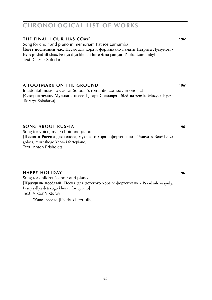# **the final hour has come 1961**

Song for choir and piano in memoriam Patrice Lumumba [**Бьёт последний час.** Песня для хора и фортепиано памяти Патриса Лумумбы **· Byot poslednii chas.** Pesnya dlya khora i fortepiano pamyati Patrisa Lumumby] Text: Caesar Solodar

### **a Footmark on the ground 1961**

Incidental music to Caesar Solodar's romantic comedy in one act [**След на земле.** Музыка к пьесе Цезаря Солодаря **· Sled na zemle.** Muzyka k pese Tserarya Solodarya]

### **song about russia 1961**

Song for voice, male choir and piano [**Песня о России** для голоса, мужского хора и фортепиано **· Pesnya o Rossii** dlya golosa, muzhskogo khora i fortepiano] Text: Anton Prishelets

#### **happy holiday 1961**

Song for children's choir and piano [**Праздник весёлый.** Песня для детского хора и фортепиано **· Prazdnik vesyoly.** Pesnya dlya detskogo khora i fortepiano] Text: Viktor Viktorov

Живо, весело [Lively, cheerfully]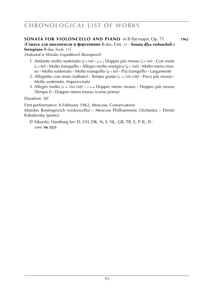#### **SONATA for violoncello and piano** in B flat major, Op. 71 **1962** [**Соната для виолончели и фортепиано** B-dur, Соч. 71 **· Sonata dlya violoncheli i**

**fortepiano** B-dur, Soch. 71] *Dedicated to Mstislav Leopoldovich Rostropovich*

- *1*. Andante molto sostenuto ( $J = 60$ ) **·**  $J = J$  Doppio più mosso ( $J = 60$ ) **·** Con moto  $(k = 80)$  **•** Molto tranguillo **•** Allegro molto energico  $(k = 160)$  • Molto meno mosso **·** Molto sostenuto **·** Molto tranquillo (q = 60) **·** Più tranquillo **·** Largamente
- 2. Allegretto con moto (rutbato)  $\cdot$  Tempo giusto ( $\ell$  = 104-108)  $\cdot$  Poco più mosso  $\cdot$ Molto sostenuto. Improvvisato
- *3*. Allegro molto ( $\epsilon = 160-168$ )  $\cdot \epsilon = \epsilon$  Doppio meno mosso  $\cdot$  Doppio più mosso (Tempo I) **·** Doppio meno mosso (come prima)

Duration: 30'

First performance: 6 February 1962, Moscow, Conservatoire Mstislav Rostropovich (violoncello) – Moscow Philharmonic Orchestra – Dmitri Kabalevsky (piano)

© Sikorski, Hamburg for: D, CH, DK, N, S, NL, GR, TR, E, P, IL, IS · *score:* **sik 2223**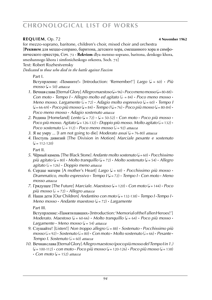### **REQUIEM**, Op. 72 **4 November 1962**

for mezzo-soprano, baritone, children's choir, mixed choir and orchestra [**Реквием** для меццо-сопрано, баритона, детского хора, смешанного хора и симфонического оркестра, Соч. 72 **· Rekviem** dlya metstso-soprano, baritona, detskogo khora, smeshannogo khora i simfonicheskogo orkestra, Soch. 72]

Text: Robert Rozhestvensky

*Dedicated to those who died in the battle against Fascism*

### Part I.

Вступрление: «Помните!» [Introduction: 'Remember!'] *Largo* (q = 60) **·** *Più*  $mosso (d = 50)$  *attacca* 

- *1*. Вечная слава [Eternal Glory] *Allegro maestoso* ( $J = 96$ ) **·** *Poco meno mosso* ( $J = 80$ -88) **·** *Con moto*  $\cdot$  *Tempo*  $I \cdot$  *Allegro molto ed agitato* ( $\ell$  = 84)  $\cdot$  *Poco meno mosso*  $\cdot$ *Meno mosso. Largamente* ( $\sqrt{ }$  = 72) **·** *Adagio molto espressivo* ( $\sqrt{ }$  = 60) **·** *Tempo I*  $(L = 66-69)$  **·**  $Poco$  più mosso  $(L = 84)$  ·  $Tempo$   $L(L = 76)$  ·  $Poco$  più mosso  $(L = 80-84)$  · *Poco meno mosso* **·** *Adagio sostenuto attacca*
- 2. Родина [Homeland] *Lento* ( $\downarrow$  = 72)  $\cdot$  ( $\downarrow$  = 50-52)  $\cdot$  *Con moto*  $\cdot$  *Poco più mosso*  $\cdot$ *Poco più mosso. Agitato* ( $J = 126-132$ ) **·** *Doppio più mosso. Molto agitato* ( $J = 132$ ) ·  $P_{QCO}$  sostenuto ( $l = 112$ ) **·**  $P_{QCO}$  meno mosso ( $l = 92$ ) *attacca*
- *3*. Я не умру ... [I am not going to die] *Moderato assai* (q = 76-80) *attacca*
- *4*. Поступь дивизий [The Division in Motion] *Marciale pesante e sostenuto*  $\mathcal{L} = 112 - 120$

Part II.

- *5*. Чёрный камень [The Black Stone] *Andante molto sostenuto* (q = 60) **·** *Pocchissimo più agitato* (q = 80) **·** *Molto tranquillo* (q = 72) **·** *Molto sostenuto* (q = 54) **·** *Allegro agitato* (h = 126) **·** *Doppio meno attacca*
- *6*. Сердце матери [A mother's Heart] *Largo* ( $J = 60$ ) **·** *Pocchissimo più mosso Drammatico, molto espressivo* **·** *Tempo I* (q = 72) **·** *Tempo I* **·** *Con moto* **·** *Meno mosso attacca*
- *7*. Грядущее [The Future] *Marciale. Maestoso* (q = 120) **·** *Con moto* (q = 144) **·** *Poco più mosso* (h . = 72) **·** *Allegro attacca*
- *8*. Наши дети [Our Children] *Andantino con moto* (q = 132-138) **·** *Tempo I* **·***Tempo I* **·**  *Meno mosso* **·** *Andante maestoso* (q = 72) **·** *Largamente* Part III.

 Вступрление: «Памяти павших» [Introduction: 'Memorial of the Fallen Heroes!']  $M$ oderato. Maestoso ( $\downarrow = 60.66$ ) **·** *Molto tranquillo* ( $\downarrow = 64$ ) **·** *Poco più mosso* · *Largamente* **·** *Meno mosso* (q = 54) *attacca*

- *9*. Слушайте! [Listen!] *Non troppo allegro* (h = 88) **·** *Sostenuto* **·** *Pocchissimo più*  $mosso (l = 92)$  **·**  $Sostenuto (l = 80)$  **·**  $Con \, moto \cdot Molto \, sostenuto (l = 66)$  **·**  $Pesante \cdot$ *Tempo I. Sostenuto* ( $= 60$ ) *attacca*
- *10*. Вечная слава [Eternal Glory] *Allegro maestoso (poco più mosso del Tempo I in 1.)* (q = 100-112) **·** *con moto* **·** *Poco più mosso* (q = 120-126) **·** *Poco più mosso* (q = 138)  $\cdot$  *Con moto* ( $\frac{1}{2}$  = 152) *attacca*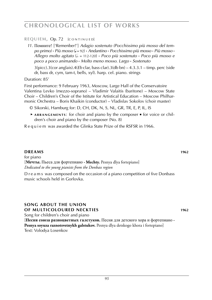**REQUIEM, Op. 72 [CONTINUED]** 

*11*. Помните! ['Remenber!'] *Adagio sostenuto (Pocchissimo più mosso del tempo primo)* **·** *Più mosso* (q = 92) **·** *Andantino* **·** *Pocchissimo più mosso* **·** *Più mosso* **·** *Allegro molto agitato* (h . = 112-120) **·** *Poco più sostenuto* **·** *Poco più mosso e poco a poco animando* **·** *Molto meno mosso. Largo* **·** *Sostenuto*

3(picc).3(cor anglais).4(*Eb* clar, bass clar).3(db bn) – 4.3.3.1 – timp. perc (side dr, bass dr, cym, tam-t, bells, xyl). harp. cel. piano. strings

Duration: 85'

First performance: 9 February 1963, Moscow, Large Hall of the Conservatoire Valentina Levko (mezzo-soprano) – Vladimir Valaitis (baritone) – Moscow State Choir – Children's Choir of the Istitute for Artistical Education – Moscow Philharmonic Orchestra – Boris Khaikin (conductor) – Vladislav Sokolov (choir master)

- © Sikorski, Hamburg for: D, CH, DK, N, S, NL, GR, TR, E, P, IL, IS
- ► ARRANGEMENTS: for choir and piano by the composer for voice or children's choir and piano by the composer (No. 8)

Requiem was awarded the Glinka State Prize of the RSFSR in 1966.

### **dreams 1962 dreams 1962**

for piano [**Мечты.** Пьеса для фортепиано **· Mechty.** Pesnya dlya fortepiano] *Dedicated to the young pianists from the Donbass region*

D r e a m s was composed on the occasion of a piano competition of five Donbass music schools held in Gorlovka.

#### **song about the union of multicoloured neckties 1962**

Song for children's choir and piano

[**Песня союза разноцветных галстуков.** Песня для детского хора и фортепиано **·** Pesnya soyuza raznotsvetnykh galstukov. Pesnya dlya detskogo khora i fortepiano] Text: Volodya Losenkov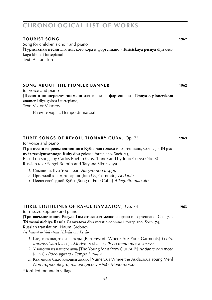#### **tourist song 1962**

Song for children's choir and piano [**Туристская песня** для детского хора и фортепиано **· Turistskaya pesnya** dlya detskogo khora i fortepiano] Text: A. Taraskin

### **song about the pioneer banner 1962**

for voice and piano

[**Песня о пионерском знамени** для голоса и фортепиано **· Pesnya o pionerskom znameni** dlya golosa i fortepiano] Text: Viktor Viktorov

В темпе марша [Tempo di marcia]

### **three songs of revolutionary cuba**, Op. 73 **1963**

for voice and piano

[**Три песни из революционного Кубы** для голоса и фортепиано, Соч. 73 **· Tri pesny iz revolyutsonnogo Kuby** dlya golosa i fortepiano, Soch. 73] Based on songs by Carlos Pueblo (Nos. 1 and) and by Julio Cueva (No. 3) Russian text: Sergei Bolotin and Tatyana Sikorskaya

- *1*. Слышишь [Do You Hear] *Allegro non troppo*
- *2*. Приезжай к нам, товарищ [Join Us, Comrade] *Andante*
- *3*. Песня свободной Кубы [Song of Free Cuba] *Allegretto marcato*

#### **three eightlines of rasul gamzatov**, Op. 74 **1963**

for mezzo-soprano and piano

[**Три восьмистишия Расула Гамзатова** для меццо-сопрано и фортепиано, Соч. 74 **· Tri vosmistichiya Rasula Gamzatova** dlya metstso-soprano i fortepiano, Soch. 74]

#### Russian translation: Naum Grebnev

*Dedicated to Valentina Nikolaevna Levko*

- *1*. Где, горянка, твои наряды [Barrenwort, Where Are Your Garments] *Lento. Improvvisato* (q = 60) **·** *Moderato* (q = 66) **·** *Poco meno mosso attacca*
- *2*. У юноши из нашего аула [The Young Men from Our Aul\*] *Andante con moto* (q = 92) **·** *Poco agitato* **·** *Tempo I attacca*
- *3*. Как много было юношей лихих [Numerous Where the Audacious Young Men] *Non troppo allegro, ma energico* ( $\downarrow$  = 96) **·** *Meno mosso*

\* fortified mountain village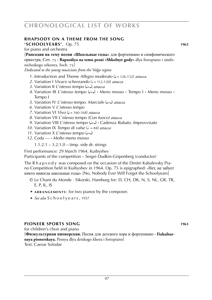### **Rhapsody on a theme from the song**

**'SCHOOLYEARS'**, Op. 75 **WEBS 1963** 

[**Рапсодия на тему песни «Школьные годы»** для фортепиано и симфонического оркестра, Соч. 75 **· Rapsodiya na temu pesni «Shkolnye gody»** dlya fortepiano i simfonicheskogo orkestra, Soch. 75]

*Dedicated to the young musicians from the Volga region*

- *1*. Introduction and Theme *Allegro moderato* ( $\sqrt{ }$  = 126-132) *attacca*
- *2.* Variation *I Vivace scherzando* ( $\frac{1}{2}$  = 112-120) *attacca*
- *3*. Variation II *L'istesso tempo* ( $J=$ ) *attacca*
- 4. Variation III *L'istesso tempo*  $\left( \frac{1}{n} \right)$  · Meno mosso · Tempo I · Meno mosso · Tempo I
- *5*. Variation IV *L'istesso tempo. Marciale* ( $J=$ ) *attacca*
- *6*. Variation V *L*'*istesso tempo*
- *7*. Variation VI *Vivo* (q = 160-168) *attacca*
- *8*. Variation VII *L*'*istesso tempo (Con fuoco) attacca*
- *9*. Variation VIII *L*'*istesso tempo* (q=q) **·** Cadenza *Rubato. Improvvisato*
- *10*. Variation IX *Tempo di valse* ( $\epsilon$  = 84) *attacca*
- *11.* Variation X *L'istesso tempo* ( $=$ )
- *12*. Coda **·** *Molto meno mosso*
	- 1.1.2.1 3.2.1.0 timp. side dr. strings

First performance: 29 March 1964, Kuibyshev

Participants of the competition – Sergei Dudkin-Gripenberg (conductor)

The R h a p s o d y was composed on the occasion of the Dmitri Kabalevsky Piano Competition held in Kuibyshev in 1964. Op. 75 is epigraphed: «Нет, не забует никто никогда школьные годы» [No, Nobody Ever Will Forget the Schoolyears]

- © Le Chant du Monde · Sikorski, Hamburg for: D, CH, DK, N, S, NL, GR, TR, E, P, IL, IS
- ► ARRANGEMENTS: for two pianos by the composer.
- ► *See also* S c h o o l y e a r s , 1957

### **pioneer sports song 1963**

for children's choir and piano [**Физкультурная пионерская.** Песня для детского хора и фортепиано **· Fizkulturnaya pionerskaya.** Pesnya dlya detskogo khora i fortepiano] Text: Caesar Solodar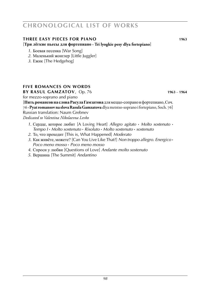### **three easy pieces for piano 1963 1963**

[**Три лёгкие пьесы для фортепиано · Tri lyogkie pesy dlya fortepiano**]

- *1*. Боевая песенка [War Song]
- *2*. Маленький жонглер [Little Juggler]
- *3*. Ежик [The Hedgehog]

# **five Romances on words**

**by RASUL GAMZATOV**, Op. 76 **WEB WAS 1963** – **1964** 

for mezzo-soprano and piano

[**Пять романсов на слова Расула Гамзатова** для меццо-сопрано и фортепиано, Соч. 76 **·Pyat romansov na slova Rasula Gamzatova** dlya metstso-soprano i fortepiano, Soch. 76] Russian translation: Naum Grebnev

*Dedicated to Valentina Nikolaevna Levko*

- *1*. Сердце, которое любит [A Loving Heart] *Allegro agitato* **·** *Molto sostenuto* **·** *Tempo I* **·** *Molto sostenuto* **·** *Risoluto* **·** *Molto sostenuto* **·** *sostenuto*
- *2*. То, что проходит [This is, What Happened] *Moderato*
- *3*. Как живёте, можете? [Can You Live Like That?] *Non troppo allegro. Energico* **·** *Poco meno mosso* **·** *Poco meno mosso*
- *4*. Спроси у любви [Questions of Love] *Andante molto sostenuto*
- *5*. Вершина [The Summit] *Andantino*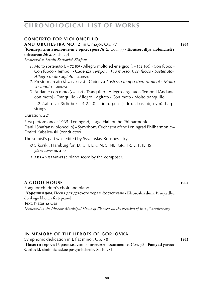# **concerto for violoncello**

**and orchestra no. 2** in C major, Op. 77 **1964**

[**Концерт для виолончели с оркестром № 2**, Соч. 77 **· Kontsert dlya violoncheli s orkestrom № 2**, Soch. 77]

*Dedicated to Daniil Borisovich Shafran*

- *1*. Molto sostenuto ( $J = 72-80$ )  $\cdot$  Allegro molto ed energico ( $J = 152-160$ )  $\cdot$  Con fuoco  $\cdot$ Con fuoco **·** Tempo I **·** Cadenza *Tempo I* **·** *Più mosso. Con fuoco* **·** *Sostenuto* **·** *Allegro molto agitato attacca*
- *2*. Presto marcato (q . = 120-126) **·** Cadenza *L*'*istesso tempo (ben ritmico)* **·** *Molto sostenuto attacca*
- *3*. Andante con moto (q = 112) **·** Tranquillo **·** Allegro **·** Agitato **·** Tempo I (Andante con moto) **·** Tranquillo **·** Allegro **·** Agitato **·** Con moto **·** Molto tranquillo

2.2.2.alto sax.3(db bn)  $-4.2.2.0 -$  timp. perc (sidr dr, bass dr, cym). harp. strings

Duration: 22'

First performance: 1965, Leningrad, Large Hall of the Philharmonic

Daniil Shafran (violoncello) – Symphony Orchestra of the Leningrad Philharmonic – Dmitri Kabalewski (conductor)

The soloist's part was edited by Svyatoslav Knushevitsky.

- © Sikorski, Hamburg for: D, CH, DK, N, S, NL, GR, TR, E, P, IL, IS · *piano score:* **sik 2138**
- ► ARRANGEMENTS: piano score by the composer.

### **a good house 1964**

Song for children's choir and piano [**Хороший дом.** Песня для детского хора и фортепиано **· Khoroshii dom.** Pesnya dlya detskogo khora i fortepiano] Text: Natasha Gai *Dedicated to the Moscow Municipal House of Pioneers on the occasion of its* 25*th anniversary*

### **in memory of the heroes of gorlovka**

Symphonic dedication in E flat minor, Op. 78 **1965** [**Памяти героев Горловки.** симфоническое посвящение, Соч. 78 **· Pamyati geroev Gorlovki.** simfonicheskoe posvyashchenie, Soch. 78]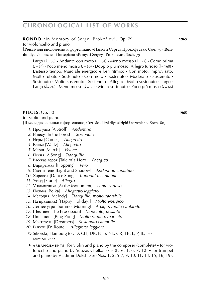**rondo** 'In Memory of Sergei Prokofiev', Op. 79 **1965** 

for violoncello and piano

[**Рондо** для виолончели и фортепиано **«**Памяти Сергея Прокофьева**»**, Соч. 79 **· Rondo** dlya violoncheli i fortepiano «Pamyati Sergeya Prokofeva», Soch. 79]

Largo ( $\downarrow$  = 50) **•** Andante con moto ( $\downarrow$  = 84) **•** Meno mosso ( $\downarrow$  = 72) **•** Come prima  $(L = 84)$  **·** Poco meno mosso  $(L = 80)$  **·** Doppio più mosso. Allegro furioso  $(L = 160)$  **·** L'istesso tempo. Marciale energico e ben ritmico **·** Con moto. improvisato. Molto rubato **·** Sostenuto **·** Con moto **·** Sostenuto **·** Moderato **·** Sostenuto **·** Sostenuto **·** Molto sostenuto **·** Sostenuto **·** Allegro **·** Molto sostenuto **·** Largo **·** Largo ( $\downarrow$  = 80) **·** Meno mosso ( $\downarrow$  = 66) **·** Molto sostenuto **·** Poco più mosso ( $\downarrow$  = 66)

#### **pieces**, Op. 80 **1965**

for violin and piano

[**Пьесы** для скрипки и фортепиано, Соч. 80 **· Pesi** dlya skripki i fortepiano, Soch. 80]

- *1*. Прогулка [A Stroll] *Andantino*
- *2*. В лесу [In the Forest] *Sostenuto*
- *3*. Игры [Games] *Allegretto*
- *4*. Вальс [Waltz] *Allegretto*
- *5*. Марш [March] *Vivace*
- *6*. Песня [A Song] *Tranquillo*
- *7*. Рассказ героя [Tale of a Hero] *Energico*
- *8*. Вприрыжку [Hopping] *Vivo*
- *9*. Свет и тени [Light and Shadow] *Andantino cantabile*
- *10*. Хоровод [Dance Song] *Tranquillo, cantabile*
- *11*. Этюд [Etude] *Allegro*
- *12*. У памятника [At the Monument] *Lento serioso*
- *13*. Полька [Polka] *Allegretto leggiero*
- *14*. Мелодия [Melody] *Tranquillo, molto cantabile*
- *15*. На праздник! [Happy Holiday!] *Molto energico*
- *16*. Летнее утро [Summer Morning] *Adagio, molto cantabile*
- *17*. Шествие [The Procession] *Moderato, pesante*
- *18*. Пинг-понг [Ping-Pong] *Molto ritmico, marcato*
- *19*. Мечтатели [Dreamers] *Sostenuto cantabile*
- *20*. В пути [En Route] *Allegretto leggiero*
	- © Sikorski, Hamburg for: D, CH, DK, N, S, NL, GR, TR, E, P, IL, IS · *score:* **sik 2372**
	- ► **a r r a n g e m e n t s** : for violin and piano by the composer (complete) for violoncello and piano by Yuozas Chelkauskas (Nos. 1, 6, 7, 12) ■ for trumpet and piano by Vladimir Dokshitser (Nos. 1, 2, 5-7, 9, 10, 11, 13, 15, 16, 19).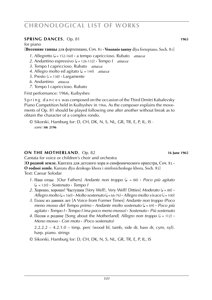### **spring dances**, Op. 81 **1965 1965**

for piano

[**Весенние танцы** для фортепиано, Соч. 81 **· Vesennie tantsy** dlya fortepiano, Soch. 81]

- *1*. Allegretto (J = 152-160) a tempo capriccioso. Rubato *attacca*
- *2*. Andantino espressivo (q = 126-132) **·** Tempo I *attacca*
- *3*. Tempo I capriccioso. Rubato *attacca*
- *4*. Allegro molto ed agitato ( $\downarrow$  = 144) *attacca*
- *5*. Presto ( $\sqrt{s}$  = 138) **·** Largamente
- *6*. Andantino *attacca*
- *7*. Tempo I capriccioso. Rubato

First performance: 1966, Kuibyshev

S p r i n g d a n c e s was composed on the occasion of the Third Dmitri Kabalevsky Piano Competition held in Kuibyshev in 1966. As the composer explains the movements of Op. 81 should be played following one after another without break as to obtain the character of a complex rondo.

© Sikorski, Hamburg for: D, CH, DK, N, S, NL, GR, TR, E, P, IL, IS · *score:* **sik 2196**

#### **ON THE MOTHERLAND**, Op. 82 **16 June 1965**

Cantata for voice or children's choir and orchestra

[**О родной земле.** Кантата для детского хора и симфонического оркестра, Соч. 82 **· O rodnoi zemle.** Kantata dlya detskogo khora i simfonicheskogo khora, Soch. 82] Text: Caesar Solodar

- *1*. Наш отцы [Our Fathers] *Andante non troppo* (q . = 88) **·** *Poco più agitato* (q . = 120) **·** *Sostenuto* **·** *Tempo I*
- 2. Хорошо, хорошо! Частушки [Very Well!, Very Well! Ditties] *Moderato* ( $= 88$ ) *Allegro molto* ( $J = 160$ ) **·** *Molto sostenuto* ( $J = 66-76$ ) · *Allegro molto vivace* ( $J = 100$ )
- *3*. Голос из давних лет [A Voice from Former Times] *Andante non troppo (Poco meno mosso del Tempo primo* **·** *Andante molto sostenuto* (q = 69) **·** *Poco più agitato* **·** *Tempo I* **·** *Tempo I (ma poco meno mosso)* **·** *Sostenuto* **·** *Più sostenuto*
- 4. Песня о родине [Song about the Motherland] *Allegro non troppo*  $(1 = 112)$  *Meno mosso* **·** *Con moto* **·** *(Poco sostenuto)*

 $2.2.2.2 - 4.2.1.0 - \text{time}$ , perc (wood bl, tamb, side dr, bass dr, cym, xyl). harp. piano. strings

© Sikorski, Hamburg for: D, CH, DK, N, S, NL, GR, TR, E, P, IL, IS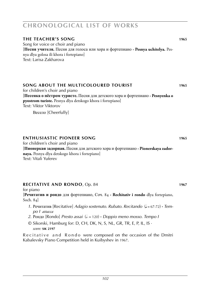# **the teacher's song 1965**

Song for voice or choir and piano [**Песня учителя.** Песня для голоса или хора и фортепиано **· Pesnya uchitelya.** Pesnya dlya golosa ili khora i fortepiano] Text: Larisa Zakharova

# **song about the multicoloured tourist 1965**

for children's choir and piano [**Песенка о пёстром туристе.** Песня для детского хора и фортепиано **· Pesnyenka o pyostrom turiste.** Pesnya dlya detskogo khora i fortepiano] Text: Viktor Viktorov

Весело [Cheerfully]

### **enthusiastic pioneer song 1965**

for children's choir and piano

[**Пионеркая задорная.** Песня для детского хора и фортепиано **· Pionerskaya zadornaya.** Pesnya dlya detskogo khora i fortepiano] Text: Vitali Yuferev

### **recitative and rondo**, Op. 84 **1967**

for piano

[**Речитатив и рондо** для фортепиано, Соч. 84 **· Rechitativ i rondo** dlya fortepiano, Soch. 84]

- *1*. Речитатив [Recitative] *Adagio sostenuto. Rubato. Recitando* (q = 67-72) **·** *Tem po I attacca*
- *2*. Рондо [Rondo] *Presto assai* (h . = 120) **·** *Doppio meno mosso. Tempo I*
- © Sikorski, Hamburg for: D, CH, DK, N, S, NL, GR, TR, E, P, IL, IS · *score:* **sik 2197**

Recitative and Rondo were composed on the occasion of the Dmitri Kabalevsky Piano Competition held in Kuibyshev in 1967.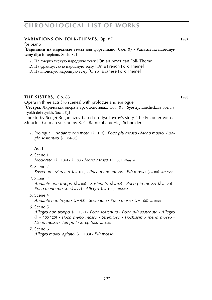### **variations on folk-themes**, Op. 87 **1967**

#### for piano

[**Вариации на народные темы** для фортепиано, Соч. 87 **· Variatsii na narodnye temy** dlya fortepiano, Soch. 87]

- *1*. На американскую народную тему [On an American Folk Theme]
- *2*. На французскую народную тему [On a French Folk Theme]
- *3*. На японскую народную тему [On a Japanese Folk Theme]

### **the sisters**, Op. 83 **1968**

Opera in three acts (18 scenes) with prologue and epilogue

[**Сёстры.** Лирическая опера в трёх действиях, Соч. 83 **· Syostry.** Liricheskaya opera v tryokh deistvyakh, Soch. 83]

Libretto by Sergei Bogomazov based on Ilya Lavrov's story 'The Encouter with a Miracle'. German version by K. C. Barnikol and H.-J. Schneider

*1*. Prologue *Andante con moto* (q = 112) **·** *Poco più mosso* **·** *Meno mosso. Ada-*  $\pi$  *gio sostenuto* ( $\sqrt{ }$  = 84-88)

# **Act I**

- *2*. Scene 1 *Moderato*  $(J = 104) \cdot J = 80 \cdot \text{ Meno mosso}$   $(J = 60)$  *attacca*
- *3*. Scene 2

*Sostenuto. Marcato* (q = 100) **·** *Poco meno mosso* **·** *Più mosso* (h = 80) *attacca*

*4*. Scene 3

*Andante non troppo*  $(J = 80)$  **·** *Sostenuto*  $(J = 92)$  **·** *Poco più mosso*  $(J = 120)$  **·** *Poco meno mosso*  $(d = 72) \cdot$  *Allegro*  $(d = 100)$  *attacca* 

*5*. Scene 4

*Andante non troppo* (q = 92) **·** *Sostenuto* **·** *Poco mosso* (q = 100) *attacca*

*6*. Scene 5

*Allegro non troppo* (q = 132) **·** *Poco sostenuto* **·** *Poco più sostenuto* **·** *Allegro* (h . = 100-120) **·** *Poco meno mosso* **·** *Strepitoso* **·** *Pochissimo meno mosso* **·** *Meno mosso* **·** *Tempo I* **·** *Strepitoso attacca*

*7*. Scene 6

*Allegro molto, agitato* (h . = 100) **·** *Più mosso*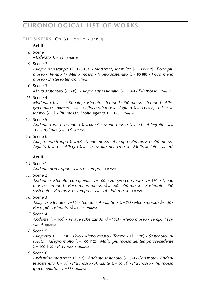THE SISTERS, Op. 83 [CONTINUED I]

### **Act II**

*8*. Scene 1 *Moderato* ( $= 92$ ) *attacca* 

*9*. Scene 2

*Allegro non troppo* (q = 176-184) **·** *Moderato, semplice* (q = 108-112) **·** *Poco più mosso* **·** *Tempo I* **·** *Meno mosso* **·** *Molto sostenuto* (q = 80-88) **·** *Poco meno mosso* **·** *L*'*istesso tempo attacca*

*10*. Scene 3

*Molto sostenuto*  $(l = 60)$  **·** *Allegro appassionato*  $(l = 104)$  **·** *Più mosso attacca* 

*11*. Scene 4

*Moderato* ( $\sqrt{ }$  = 72) **·** *Rubato, sostenuto* · *Tempo I* · *Più mosso* · *Tempo I* · *Alle* $g$ ro molto e marcato  $(l = 96)$  · *Poco più mosso. Agitato*  $(l = 160-168)$  · *L'istesso tempo* ( $d = d$ ) **·** *Più mosso. Molto agitato* ( $d = 176$ ) *attacca* 

### *12*. Scene 5

*Andante molto sostenuto* ( $J = 66-72$ ) **·** *Meno mosso* ( $J = 54$ ) **·** *Allegretto* ( $J = 54$ ) 112) **·** *Agitato* (q = 132) *attacca*

### *13*. Scene 6

*Allegro non troppo*  $\left( \frac{1}{2} - 92 \right)$  • *Meno mossp* • *A tempo* • *Più mosso* • *Più mosso. Agitato* (q . = 112) **·** *Allegro* (q = 132) **·** *Molto meno mosso* **·** *Molto agitato* (h . = 126)

# **Act III**

*14*. Scene 1

*Andante non troppo* (q = 92) **·** *Tempo I attacca*

*15*. Scene 2

*Andante sostenuto. con gravità*  $(J = 100) \cdot$ *Allegro con moto*  $(J = 160) \cdot$ *Meno mosso* **·** *Tempo I* **·** *Poco meno mosso* (q = 120) **·** *Più mosso* **·** *Sostenuto* **·** *Più sostenuto* **·** *Più mosso* **·** *Tempo I* (q = 160) **·** *Più mosso attacca*

*16*. Scene 3

*Adagio sostenuto*  $(J = 52)$  **·** *Tempo I* **·** *Andantino*  $(J = 76)$  **·** *Meno mosso* ·  $J = 120$  · *Poco più sostenuto* ( $\sqrt{ }$  = 120) *attacca* 

*17*. Scene 4

*Andante*  $(L = 100)$  **·** *Vivace scherzando*  $(L = 152)$  **·** *Meno mosso* · *Tempo I (Vivace) attacca*

*18*. Scene 5

 $\Lambda$ llegretto ( $\downarrow$  = 120) • *Vivo* • *Meno* mosso • *Tempo I* ( $\downarrow$  = 120) • *Sostenuto, risoluto* **·** *Allegro molto* (h = 100-112) **·** *Molto più mosso del tempo precedente* (h = 100-112) **·** *Più mosso attacca*

*19*. Scene 6

*Andantino moderato* (q = 92) **·** *Andante sostenuto* (q = 54) **·** *Con moto* **·** *Andante sostenuto* (q = 80) **·** *Più mosso* **·** *Andante* (q = 80-84) **·** *Più mosso* **·** *Più mosso*   $(poco \text{ a}gitato)$   $(l = 88)$  *attacca*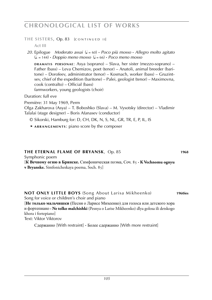THE SISTERS, Op. 83 [CONTINUED II]

**Act III**

*20*. Epilogue *Moderato assai* (q = 60) **·** *Poco più mosso* **·** *Allegro molto agitato*  $(L = 144)$  **·** *Doppio meno mosso*  $(L = 66)$  **·** *Poco meno mosso* 

**DRAMATIS PERSONAE:** Asya (soprano) – Slava, her sister (mezzo-soprano) – Father (bass) – Leva Chemizov, poet (tenor) – Anatoli, animal breeder (baritone) – Dorofeev, administrator (tenor) – Kosmach, worker (bass) – Gruzintsev, chief of the expedition (baritone) – Palei, geologist (tenor) – Maximovna, cook (contralto) – Official (bass) farmworkers, young geologists (choir)

Duration: full eve

Première: 31 May 1969, Perm Olga Zakharova (Asya) – T. Boboshko (Slava) – M. Vysotsky (director) – Vladimir Talalai (stage designer) – Boris Afanasev (conductor)

- © Sikorski, Hamburg for: D, CH, DK, N, S, NL, GR, TR, E, P, IL, IS
- ► **a r r a n g e m e n t s** : piano score by the composer

### **the eternal flame of bryansk**, Op. 85 **WS 1010248 1968**

Symphonic poem

[**К Вечному огню в Брянске.** Симфоническая поэма, Соч. 85 **· K Vechnomu ognyu v Bryanske.** Simfonicheskaya poema, Soch. 85]

**not only little boys** (Song About Larisa Mikheenko) **1960ies** Song for voice or children's choir and piano [**Не только мальчишки** (Песня о Ларисе Михеенко) для голоса или детского хора и фортепиано **· Ne tolko malchishki** (Pesnya o Larise Mikheenko) dlya golosa ili detskogo khora i fortepiano] Text: Viktor Viktorov

Сдержанно [With restraint] **·** Более сдержанно [With more restraint]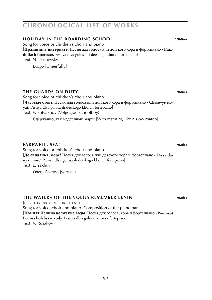### **holiday in the boarding school 1960ies**

Song for voice or children's choir and piano [**Праздник в интернате.** Песня для голоса или детского хора и фортепиано **· Prazdnike b internate.** Pesnya dlya golosa ili detskogo khora i fortepiano] Text: N. Dashevsky

Бодро [Cheerfully]

# **the guards on duty 1960ies**

Song for voice or children's choir and piano [**Часовые стоят.** Песня для голоса или детского хора и фортепиано **· Chasovye stoyat.** Pesnya dlya golosa ili detskogo khora i fortepiano] Text: V. Shlyakhov (Volgograd schoolboy)

Сдержанно, как медленный марш [With restraint, like a slow march]

### **farewell, sea! 1960ies**

Song for voice or children's choir and piano [**До свиданья, море!** Песня для голоса или детского хора и фортепиано **· Do svidanya, more!** Pesnya dlya golosa ili detskogo khora i fortepiano] Text: L. Yakhin

Очень быстро [very fast]

### **the waters of the volga remember Lenin 1960ies**

 $E.$  SIDORENKO  $\cdot$  V. KIRICHENKO Song for voice, choir and piano. Composition of the piano part [**Помнят Ленина волжские воды.** Песня для голоса, хора и фортепиано **· Pomnyat Lenina bolzhskie vody.** Pesnya dlya golosa, khora i fortepiano] Text: V. Rusakov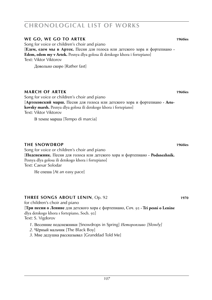# **we go, we go to artek 1960ies**

Song for voice or children's choir and piano [**Едем, едем мы в Артек.** Песня для голоса или детского хора и фортепиано **· Edem, edem my v Artek.** Pesnya dlya golosa ili detskogo khora i fortepiano] Text: Viktor Viktorov

Довольно скоро [Rather fast]

#### **March of artek 1960ies**

Song for voice or children's choir and piano [**Артековский марш.** Песня для голоса или детского хора и фортепиано **· Artekovsky marsh.** Pesnya dlya golosa ili detskogo khora i fortepiano] Text: Viktor Viktorov

В темпе марша [Tempo di marcia]

#### **the snowdrop 1960ies**

Song for voice or children's choir and piano [**Подснежник.** Песня для голоса или детского хора и фортепиано **· Podsnezhnik.** Pesnya dlya golosa ili detskogo khora i fortepiano] Text: Caesar Solodar

Не спеша [At an easy pace]

#### **three songs about lenin**, Op. 92 **1970**

for children's choir and piano [**Три песни о Ленине** для детского хора с фортепиано, Соч. 92 **· Tri pesni o Lenine** dlya detskogo khora s fortepiano, Soch. 92] Text: S. Vigdorov

- *1*. Весенние подснежники [Snowdrops in Spring] *Неторопливо [Slowly]*
- *2*. Чёрный мальчик [The Black Boy]
- *3*. Мне дедушка рассказывал [Granddad Told Me]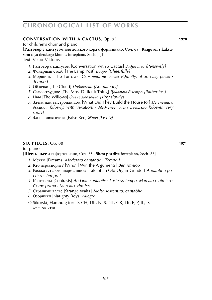# **conversation with a cactus**, Op. 93 **1970**

for children's choir and piano

# [**Разговор с кактусом** для детского хора с фортепиано, Соч. 93 **· Razgovor s kaktu-**

**som** dlya detskogo khora s fortepiano, Soch. 93]

Text: Viktor Viktorov

- *1*. Разговор с кактусом [Conversation with a Cactus] *Задумчиво [Pensively]*
- *2*. Фонарный столб [The Lamp Post] *Бодро [Cheerfully]*
- *3*. Морщины [The Furrows] *Спокойно, не спеша [Quietly, at an easy pace]* **·** *Tempo I*
- *4*. Облачко [The Cloud] *Подвижно [Animatedly]*
- *5*. Самое трудное [The Most Difficult Thing] *Довольно быстро [Rather fast]*
- *6*. Ивы [The Willows] *Очень медленно [Very slowly]*
- *7*. Зачем нам выстроили дом [What Did They Build the House for] *Не спеша, с досадой [Slowly, with vexation]* **·** *Медленее, очень печально [Slower, very sadly]*
- *8*. Фальшивая пчела [False Bee] *Живо [Lively]*

### **six pieces**, Op. 88 **1971 1971**

for piano

[**Шесть пьес** для фортепиано, Соч. 88 **· Shest pes** dlya fortepiano, Soch. 88]

- *1*. Мечты [Dreams] *Moderato cantando* **·** *Tempo I*
- *2*. Кто переспорит? [Who'll Win the Argument?] *Ben ritmico*
- *3*. Рассказ старого шарманщика [Tale of an Old Organ-Grinder] *Andantino po etico* **·** *Tempo I*
- *4*. Контрасты [Contrasts] *Andante cantabile* **·** *L*'*istesso tempo. Marcato e ritmico* **·** *Come prima* **·** *Marcato, ritmico*
- *5*. Странный вальс [Strange Waltz] *Molto sostenuto, cantabile*
- *6*. Озорники [Naughty Boys] *Allegro*
- © Sikorski, Hamburg for: D, CH, DK, N, S, NL, GR, TR, E, P, IL, IS · *score:* **sik 2198**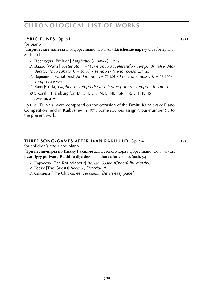### **lyric TUNES**, Op. 91 **1971**

for piano

[**Лирические напевы** для фортепиано, Соч. 91 **· Liricheskie napevy** dlya fortepiano, Soch. 91]

- *1*. Прелюдия [Prelude] *Larghetto* (q = 60-66) *attacca*
- *2*. Вальс [Waltz] *Sostenuto* (q = 112) *e poco accelerando* **·** *Tempo di valse. Mo derato. Poco rubato* (h . = 50-60) **·** *Tempo I* **·** *Meno mosso attacca*
- 3. Вариации [Variations] *Andantino* ( $J = 72-80$ ) **·** *Poco più mosso* ( $J = 96-100$ ) **·**  *Tempo I attacca*
- *4*. Кода [Coda] *Larghetto* **·** *Tempo di valse (come prima)* **·** *Tempo I. Risoluto*
- © Sikorski, Hamburg for: D, CH, DK, N, S, NL, GR, TR, E, P, IL, IS · *score:* **sik 2199**

Lyric Tunes were composed on the occasion of the Dmitri Kabalevsky Piano Competition held in Kuibyshev in 1971. Some sources assign Opus-number 93 to the present work.

### **three song-games after Ivan rakhillo**, Op. 94 **1973**

for children's choir and piano

[**Три песни-игры по Ивану Рахилло** для детского хора с фортепиано, Соч. 94 **· Tri pesni-igry po Ivanu Rakhillo** dlya detskogo khora s fortepiano, Soch. 94]

- *1*. Карусель [The Roundabout] *Весело, бодро [Cheerfully, merrily]*
- *2*. Гости [The Guests] *Весело [Cheerfully]*
- *3*. Синичка [The Chickadee] *Не спеша [At an easy pace]*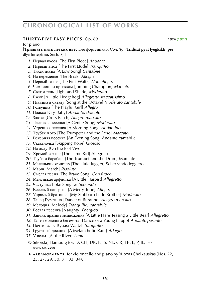### **thirty-five easy pieces**, Op. 89 **1974 (1972)**

for piano

[**Тридцать пять лёгких пьес** для фортепиано, Соч. 89 **· Tridtsat pyat lyogkikh pes** dlya fortepiano, Soch. 89]

- . Первая пьеса [The First Piece] *Andante*
- . Первый этюд [The First Etude] *Tranquillo*
- . Тихая песня [A Low Song] *Cantabile*
- . На переменке [The Break] *Allegro*
- . Первый вальс [The First Waltz] *Non allegro*
- . Чемпион по прыжкам [Jumping Champion] *Marcato*
- . Свет и тень [Light and Shade] *Moderato*
- . Ежик [A Little Hedgehog] *Allegretto staccatissimo*
- . Песенка в октаву [Song at the Octave] *Moderato cantabile*
- . Резвушка [The Playful Girl] *Allegro*
- . Плакса [Cry-Baby] *Andante, dolente*
- . Злюка [Cross Patch] *Allegro marcato*
- . Ласковая песенка [A Gentle Song] *Moderato*
- . Утренняя песенка [A Morning Song] *Andantino*
- . Трубач и эхо [The Trumpeter and the Echo] *Marcato*
- . Вечерняя песенка [An Evening Song] Andante cantabile
- . Скакалочка [Skipping Rope] Gioioso
- . На льду [On the Ice] Vivo
- . Хромой козлик [The Lame Kid] Allegretto
- . Труба и барабан [The Trumpet and the Drum] Marciale
- . Маленький жонглер [The Little Juggler] Scherzando leggiero
- . Марш [March] *Risoluto*
- . Смелая песня [The Brave Song] *Con fuoco*
- . Маленькая арфистка [A Little Harpist] *Allegretto*
- . Частушка [Joke Song] *Scherzando*
- . Веселый наигрыш [A Merry Tune] *Allegro*
- . Упрямый братишка [My Stubborn Little Brother] *Moderato*
- . Танец Буратино [Dance of Buratino] *Allegro marcato*
- . Мелодия [Melody] *Tranquillo, cantabile*
- . Боевая песенка [Naughty] *Energico*
- . Зайчик дразнит медвежонка [A Little Hare Teasing a Little Bear] *Allegretto*
- . Танец молодого бегемота [Dance of a Young Hippo] *Andante pesante*
- . Почти вальс [Quasi-Waltz] *Tranquillo*
- . Грустный дождик [A Melancholic Rain] *Adagio*
- . У воды [At the River] *Lento*
	- © Sikorski, Hamburg for: D, CH, DK, N, S, NL, GR, TR, E, P, IL, IS · *score:* **sik 2200**
	- ► **a r r a n g e m e n t s** : for violoncello and piano by Yuozas Chelkauskas (Nos. 22, 25, 27, 29, 30, 31, 33, 34).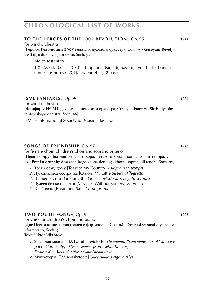### **TO THE HEROES OF THE 1905 REVOLUTION.** Op. 95 **WEB** 1974

for wind orchestra

[**Героям Революции 1905 года** для духового оркестра, Соч. 95 **· Geroyam Revolyutsii** dlya dukhovogo orkestra, Soch. 95]

Molto sostenuto

1.0.4(*Eb* clar).0 – 2.3.3.0 – timp. perc (side dr, bass dr, cym, bells). banda: 2 cornets, 6 horns (2,3,1[alto/tenor/bar], 2 basses

### **iSME FANFARES**, Op. 96 **WEBS 1974**

for wind orchestra

[**Фанфары ИСМЕ** для симфонического оркестра, Соч. 96 **· Fanfary ISME** dlya simfonicheskogo orkestra, Soch. 96]

ISME = International Society for Music Education

### **songs of friendship**, Op. 97 **1975**

for female choir, children's choir and soprano or tenor [**Песни о дружбы** для женского хора, детского хора и сопрано или тенора, Соч. 97 **· Pesni o druzhby** dlya zhenskogo khora, detskogo khora i soprano ili tenora, Soch. 97]

- *1*. Тост моему дому [Toast to my Country] *Allegro non troppo*
- *2*. Луковка, моя сестричка [Onion, My Little Sister] *Allegretto*
- *3*. Привет гостям [Greating the Guests] *Moderato, Legato sempre*
- *4*. Чудеса без колдовства [Miracles Without Sorcery] *Energico*
- *5*. Хлеб-соль [Bread and Salt] *Come prima*

### **two youth songs**, Op. 98 **1975**

for voice or children's choir and piano [**Две Песни юности** для голоса с фортепиано, Соч. 98 **· Dve pesi yunosti** dlya golosa s fortepiano, Soch. 98] Text: Viktor Viktorov

- *1*. Знакомая мелодия [A Familiar Melody] *Не спеша. Выразительно [At an easy pace. Concisely]* **·** *Чуть живее [Somewhat brisker] Dedicated to Alexandra Nikolaevna Pakhmutova*
- *2*. Мушкетёры [The Musketeers] *Энергично [Vigorously]*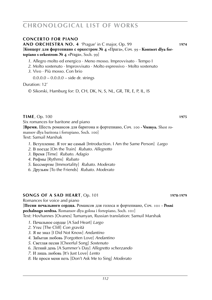### **concerto for piano**

**AND ORCHESTRA NO. 4** 'Prague' in C major, Op. 99 **1974** [**Концерт для фортепиано с оркестром № 4 «**Прага**»**, Соч. 99 **· Kontsert dlya fortepiano s orkestrom № 4 «**Praga**»**, Soch. 99]

*1*. Allegro molto ed energico · Meno mosso. Improvvisato · Tempo I

- *2*. Molto sostenuto · Improvvisato · Molto espressivo · Molto sostenuto
- *3*. Vivo · Più mosso. Con brio
	- $0.0.0.0 0.0.0.0 side$  dr. strings

### Duration: 12'

© Sikorski, Hamburg for: D, CH, DK, N, S, NL, GR, TR, E, P, IL, IS

### **time**, Op. 100 **1975**

Six romances for baritone and piano

[**Время.** Шесть романсов для баритона и фортепиано, Соч. 100 **· Vremya.** Shest romansov dlya baritona i fortepiano, Soch. 100] Text: Samuil Marshak

- *1*. Вступление. Я тот же самый [Introduction. I Am the Same Person] *Largo*
- *2*. В поезде [On the Train] *Rubato. Allegretto*
- *3*. Время [Time] *Rubato. Adagio*
- *4*. Рифмы [Rythms] *Rubato*
- *5*. Бессмертие [Immortality] *Rubato. Moderato*
- *6*. Друзьям [To the Friends] *Rubato. Moderato*

### **songs of a sad heart**, Op. 101 **1978-1979**

Romances for voice and piano [**Песни печального сердца.** Романсов для голоса и фортепиано, Соч. 101 **· Pesni pechalnogo serdtsa.** Romansov dlya golosa i fortepiano, Soch. 101] Text: Hovhannes [Ovanes] Tumanyan, Russian translation: Samuil Marshak

- *1*. Печальное сердце [A Sad Heart] *Largo*
- *2*. Утес [The Cliff] *Con gravità*
- *3*. Я не знал [I Did Not Know] *Andantino*
- *4*. Забытая любовь [Forgotten Love] *Andantino*
- *5*. Светлая песня [Cheerful Song] *Sostenuto*
- *6*. Летний день [A Summer's Day] *Allegretto scherzando*
- *7*. И лишь любовь [It's Just Love] *Lento*
- *8*. Не проси меня петь [Don't Ask Me to Sing] *Moderato*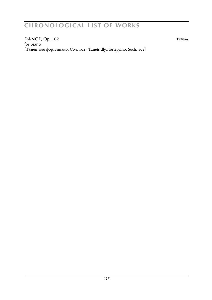**dance**, Op. 102 **1970ies** for piano [**Танец** для фортепиано, Соч. 102 **· Tanets** dlya fortepiano, Soch. 102]

*113*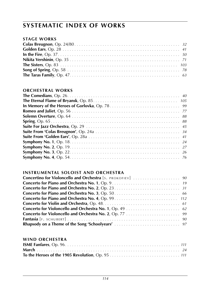### **stage works**

### **orchestral works**

### **instrumental soloist and orchestra**

### **wind orchestra**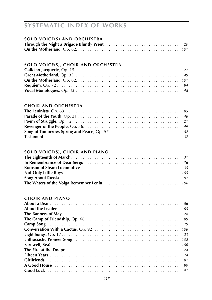## **solo voice(s) and orchestra**

### **solo voice**(**s**)**, choir and orchestra**

### **choir and orchestra**

### **solo voice**(**s**)**, choir and piano**

### **choir and piano**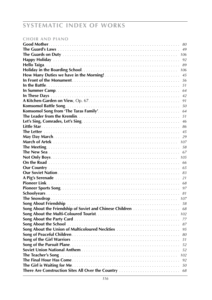## **choir and piano**

|                                                          | 80  |
|----------------------------------------------------------|-----|
|                                                          | 49  |
|                                                          | 106 |
|                                                          | 92  |
|                                                          | 89  |
|                                                          | 106 |
|                                                          | 45  |
|                                                          | 56  |
|                                                          | 51  |
|                                                          | 64  |
|                                                          | 42  |
|                                                          | 91  |
|                                                          | 50  |
|                                                          | 64  |
|                                                          | 51  |
|                                                          | 46  |
|                                                          | 86  |
|                                                          | 45  |
|                                                          | 29  |
|                                                          | 107 |
|                                                          | 58  |
|                                                          | 67  |
|                                                          | 105 |
|                                                          | 66  |
|                                                          | 65  |
|                                                          | 83  |
|                                                          | 21  |
|                                                          | 68  |
|                                                          | 97  |
|                                                          | 81  |
|                                                          | 107 |
|                                                          | 58  |
| Song About the Friendship of Soviet and Chinese Children | 68  |
|                                                          | 102 |
|                                                          | 77  |
|                                                          | 87  |
| Song About the Union of Multicoloured Neckties           | 95  |
|                                                          | 80  |
|                                                          | 51  |
|                                                          | 52  |
|                                                          | 52  |
|                                                          | 102 |
|                                                          | 92  |
|                                                          | 50  |
|                                                          |     |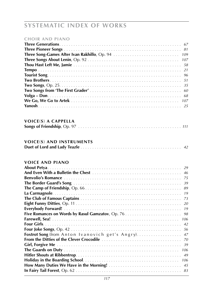### **choir and piano**

### **voice**(**s**) **a cappella Songs of Friendship**, Op. 97 . . . . . . . . . . . . . . . . . . . . . . . . . . . . . . . . . . . . . . . . . . . . *111*

### **voice**(**s**) **and instruments**

|--|--|

### **voice and piano**

| 29                                                 |  |
|----------------------------------------------------|--|
| 46                                                 |  |
| 75                                                 |  |
| 39                                                 |  |
|                                                    |  |
| 19                                                 |  |
| 73                                                 |  |
|                                                    |  |
|                                                    |  |
|                                                    |  |
| 106                                                |  |
| 42                                                 |  |
|                                                    |  |
| Foxtrot Song (from Anton Ivanovich get's Angry) 47 |  |
|                                                    |  |
| -39                                                |  |
| 106                                                |  |
| 49                                                 |  |
| 106                                                |  |
| 45                                                 |  |
|                                                    |  |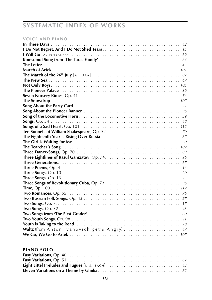## **voice and piano**

| 42                                           |
|----------------------------------------------|
| 15                                           |
| 69                                           |
| 64                                           |
| 45                                           |
| 107                                          |
| 87                                           |
| 67                                           |
| 105                                          |
| 39                                           |
|                                              |
| 107                                          |
|                                              |
| 96                                           |
|                                              |
|                                              |
| 112                                          |
| 70                                           |
| 87                                           |
| 50                                           |
| 102                                          |
| 89                                           |
| 96                                           |
| 67                                           |
| 16                                           |
| 20                                           |
| 23                                           |
| 96                                           |
| 112                                          |
| 76                                           |
| 57                                           |
| 17                                           |
| 48                                           |
| 60                                           |
|                                              |
|                                              |
| Waltz (from Anton Ivanovich get's Angry)  47 |
|                                              |

### **piano solo**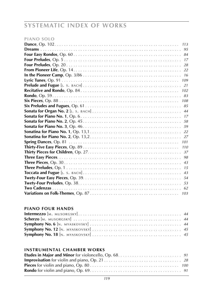### **piano solo**

| 113 |
|-----|
| 95  |
|     |
| 17  |
| 28  |
|     |
|     |
| 109 |
| 21  |
| 102 |
| 83  |
| 108 |
|     |
|     |
|     |
| 58  |
| .59 |
|     |
|     |
| 101 |
| 110 |
|     |
| 98  |
| 43  |
| 15  |
| 43  |
|     |
| 53  |
| 62  |
| 103 |

### **piano four hands**

## **instrumental chamber works**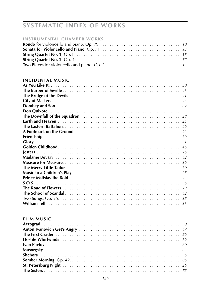# **SYSTEMATIC INDEX OF WORKS**

### **INSTRUMENTAL CHAMBER WORKS**

### **INCIDENTAL MUSIC**

| 30  |
|-----|
| 46  |
| 41  |
| 46  |
| 62  |
| 55  |
|     |
|     |
|     |
|     |
|     |
|     |
| 46  |
| -26 |
| 42  |
|     |
| 30  |
|     |
|     |
| -36 |
|     |
| 42  |
|     |
|     |

### **FILM MUSIC**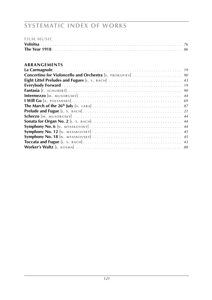# **SYSTEMATIC INDEX OF WORKS**

|  | <b>FILM MUSIC</b> |  |  |  |
|--|-------------------|--|--|--|
|  |                   |  |  |  |

### ARRANGEMENTS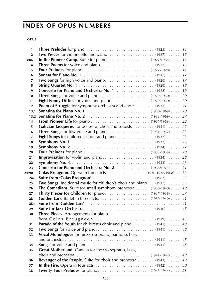# **index of OPUS NUMBERS**

### **o p u s**

| 1                |                                                                   |    |
|------------------|-------------------------------------------------------------------|----|
| $\overline{2}$   |                                                                   | 15 |
| 3/86             | In the Pioneer Camp. Suite for piano (1927/1968)                  | 16 |
| 4                |                                                                   | 16 |
| 5                |                                                                   | 17 |
| 6                |                                                                   | 17 |
| 7                |                                                                   | 17 |
| 8                |                                                                   | 18 |
| $\boldsymbol{9}$ | Concerto for Piano and Orchestra No. 1. (1928)                    | 19 |
| 10               |                                                                   | 20 |
| 11               |                                                                   | 20 |
| 12               | Poem of Struggle for symphony orchestra and choir  (1931)         | 21 |
| 13,1             |                                                                   | 20 |
|                  |                                                                   | 27 |
| 14               |                                                                   | 22 |
| 15               | Galician Jacquerie. for ochestra, choir and soloists  (1931)      | 22 |
| 16               |                                                                   | 23 |
| 17               |                                                                   |    |
| 18               |                                                                   |    |
| 19               |                                                                   | 27 |
| 20               |                                                                   | 28 |
| 21               |                                                                   | 28 |
| 22               |                                                                   | 26 |
| 23               | Concerto for Piano and Orchestra No. 2. (1935/1973)               | 31 |
| 24/90            | <b>Colas Breugnon.</b> Opera in three acts (1936-1938/1968)       | 32 |
| 24a              |                                                                   | 35 |
| 25               | Two Songs. Incidental music for children's choir and piano (1937) | 35 |
| 26               | The Comedians. Suite for small symphony orchestra (1938-1940)     | 40 |
| 27               |                                                                   | 37 |
| 28               |                                                                   | 41 |
| 28a              |                                                                   |    |
| 29               |                                                                   |    |
| 30               | Three Pieces. Arrangements for piano                              |    |
|                  |                                                                   |    |
| 31               | Parade of the Youth for children's choir and piano  (1941)  48    |    |
| 32               |                                                                   |    |
| 33               | Vocal Monologues for mezzo-soprano, baritone, bass                |    |
|                  |                                                                   |    |
| 34               |                                                                   |    |
| 35               | Great Motherland. Cantata for mezzo-soprano, bass,                |    |
|                  |                                                                   |    |
| 36               | Revenger of the People. Suite for choir and orchestra (1942) 49   |    |
| 37               |                                                                   |    |
| 38               |                                                                   |    |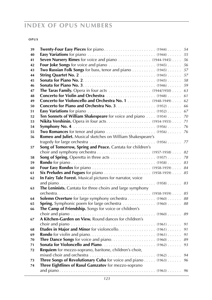# **index of OPUS NUMBERS**

### **o p u s**

| 39 |                                                                |    |
|----|----------------------------------------------------------------|----|
| 40 |                                                                |    |
| 41 |                                                                |    |
| 42 |                                                                |    |
| 43 | Two Russian Folk Songs for bass, tenor and piano (1945)        | 57 |
| 44 |                                                                |    |
| 45 |                                                                |    |
| 46 |                                                                |    |
| 47 | The Taras Family. Opera in four acts (1944/1950) 63            |    |
| 48 |                                                                | 61 |
| 49 | Concerto for Violoncello and Orchestra No. 1 (1948-1949) 62    |    |
| 50 |                                                                | 66 |
| 51 |                                                                | 67 |
| 52 | Ten Sonnets of William Shakespeare for voice and piano  (1954) | 70 |
| 53 |                                                                |    |
| 54 |                                                                |    |
| 55 |                                                                |    |
| 56 | Romeo and Juliet. Musical sketches on William Shakespeare's    |    |
|    |                                                                |    |
| 57 | Song of Tomorrow, Spring and Peace. Cantata for children's     |    |
|    |                                                                |    |
| 58 |                                                                | 78 |
| 59 |                                                                |    |
| 60 |                                                                |    |
| 61 |                                                                |    |
| 62 | In Fairy Tale Forest. Musical pictures for narrator, voice     |    |
|    |                                                                |    |
| 63 | The Leninists. Cantata for three choirs and large symphony     |    |
|    |                                                                |    |
| 64 |                                                                |    |
| 65 |                                                                |    |
| 66 | The Camp of Friendship. Songs for voice or children's          |    |
|    |                                                                |    |
| 67 | A Kitchen-Garden on View. Round dances for children's          |    |
|    |                                                                | 91 |
| 68 | Etudes in Major and Minor for violoncello. (1961)              | 91 |
| 69 |                                                                | 91 |
| 70 |                                                                | 89 |
| 71 |                                                                |    |
| 72 | Requiem for mezzo-soprano, baritone, children's choir,         |    |
|    |                                                                |    |
| 73 | Three Songs of Revolutionary Cuba for voice and piano (1963)   | 96 |
| 74 | Three Eightlines of Rasul Gamzatov for mezzo-soprano           |    |
|    |                                                                |    |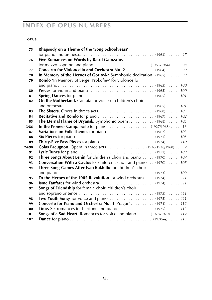# **index of OPUS NUMBERS**

### **o p u s**

| 75    | Rhapsody on a Theme of the 'Song Schoolyears'                                                                           |
|-------|-------------------------------------------------------------------------------------------------------------------------|
|       | 97                                                                                                                      |
| 76    | Five Romances on Words by Rasul Gamzatov                                                                                |
|       | 98                                                                                                                      |
| 77    | Concerto for Violoncello and Orchestra No. 2 (1964)<br>99                                                               |
| 78    | In Memory of the Heroes of Gorlovka Symphonic dedication. (1965)<br>99                                                  |
| 79    | Rondo 'In Memory of Sergei Prokofiev' for violoncello                                                                   |
|       | 100                                                                                                                     |
| 80    | 100                                                                                                                     |
| 81    | 101                                                                                                                     |
| 82    | <b>On the Motherland.</b> Cantata for voice or children's choir                                                         |
|       | 101                                                                                                                     |
| 83    | 103                                                                                                                     |
| 84    | 102                                                                                                                     |
| 85    | The Eternal Flame of Bryansk. Symphonic poem (1968)<br>105                                                              |
| 3/86  |                                                                                                                         |
| 87    | 103                                                                                                                     |
| 88    | 108                                                                                                                     |
| 89    | 110                                                                                                                     |
| 24/90 | Colas Breugnon. Opera in three acts (1936-1938/1968) 32                                                                 |
| 91    | 109                                                                                                                     |
| 92    | Three Songs About Lenin for children's choir and piano  (1970)<br>107                                                   |
| 93    | <b>Conversation With a Cactus</b> for children's choir and piano (1970)<br>108                                          |
| 94    | Three Song-Games After Ivan Rakhillo for children's choir                                                               |
|       |                                                                                                                         |
| 95    | To the Heroes of the 1905 Revolution for wind orchestra (1974) 111                                                      |
| 96    |                                                                                                                         |
| 97    | Songs of Friendship for female choir, children's choir                                                                  |
|       | and soprano or tenor $\dots \dots \dots \dots \dots \dots \dots \dots \dots \dots \dots \dots$ (1975) $\dots \dots 111$ |
| 98    |                                                                                                                         |
| 99    | Concerto for Piano and Orchestra No. 4 'Prague' (1974)<br>112                                                           |
| 100   | <b>Time.</b> Six romances for baritone and piano $\ldots \ldots \ldots \ldots \ldots$ (1975) $\ldots$<br>112            |
| 101   | Songs of a Sad Heart. Romances for voice and piano  (1978-1979)<br>112                                                  |
| 102   | 113                                                                                                                     |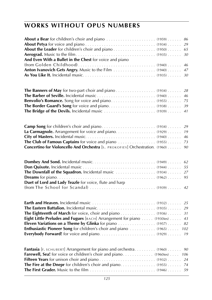|                                                                               | 29 |
|-------------------------------------------------------------------------------|----|
|                                                                               | 65 |
|                                                                               | 30 |
| And Even With a Bullet in the Chest for voice and piano                       |    |
|                                                                               | 46 |
| Anton Ivanovich Gets Angry. Music to the Film (1940)                          | 47 |
|                                                                               |    |
|                                                                               |    |
|                                                                               |    |
|                                                                               | 28 |
|                                                                               | 46 |
|                                                                               |    |
|                                                                               |    |
|                                                                               |    |
|                                                                               |    |
|                                                                               |    |
|                                                                               | 29 |
| La Carmagnole. Arrangement for voice and piano. (1929)                        | 19 |
|                                                                               | 46 |
|                                                                               | 73 |
| Concertino for Violoncello And Orchestra [S. PROKOFIEV] Orchestration. (1960) | 90 |
|                                                                               |    |
|                                                                               | 62 |
|                                                                               | 55 |
|                                                                               |    |
|                                                                               |    |
| Duet of Lord and Lady Teazle for voice, flute and harp                        |    |
|                                                                               |    |
|                                                                               |    |
|                                                                               |    |
|                                                                               | 25 |
|                                                                               | 29 |
|                                                                               | 31 |
| Eight Little Preludes and Fugues [BACH] Arrangement for piano (1930ies)       | 43 |
|                                                                               | 82 |
| <b>Enthusiastic Pioneer Song</b> for children's choir and piano 102           |    |
|                                                                               |    |
|                                                                               |    |
|                                                                               |    |
| <b>Fantasia</b> [F. SCHUBERT] Arrangement for piano and orchestra (1960)      | 90 |
|                                                                               |    |
|                                                                               |    |
|                                                                               |    |
|                                                                               |    |
|                                                                               |    |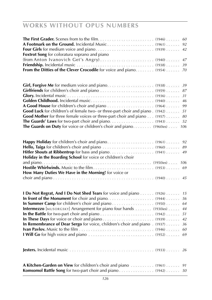| Foxtrot Song for coloratura soprano and piano                                 | 60<br>92<br>42 |
|-------------------------------------------------------------------------------|----------------|
|                                                                               | 47             |
|                                                                               | 39             |
| From the Ditties of the Clever Crocodile for voice and piano. (1954) 70       |                |
|                                                                               | 39             |
|                                                                               | 87             |
|                                                                               | 31             |
|                                                                               | 46             |
|                                                                               | 99             |
| Good Luck for children's of female two- or three-part choir and piano. (1942) | 51             |
| Good Mother for three female voices or three-part choir and piano (1957)      | 80             |
|                                                                               | 52             |
|                                                                               |                |
| The Guards on Duty for voice or children's choir and piano. (1960ies)         | 106            |
|                                                                               | 92             |
|                                                                               | 89             |
|                                                                               | 49             |
| Holiday in the Boarding School for voice or children's choir                  |                |
|                                                                               | 106            |
|                                                                               |                |
| How Many Duties We Have in the Morning! for voice or                          |                |
|                                                                               |                |
| I Do Not Regrat, And I Do Not Shed Tears for voice and piano (1926)           | 15             |
|                                                                               | 56             |
|                                                                               | 64             |
| <b>Intermezzo</b> [MUSORGSKY] Arrangement for piano four hands (1930ies)      | 44             |
|                                                                               | 51             |
|                                                                               | 42             |
| In Remembrance of Dear Sergo for voice, children's choir and piano (1937).    | 36             |
|                                                                               |                |
|                                                                               | 60             |
|                                                                               | 69             |
|                                                                               |                |
| A Kitchen-Garden on View for children's choir and piano  (1961)  91           |                |
|                                                                               |                |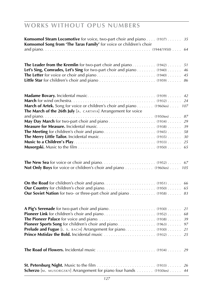| Komsomol Steam Locomotive for voice, two-part choir and piano (1937) 35<br>Komsomol Song from 'The Taras Family' for voice or children's choir |    |
|------------------------------------------------------------------------------------------------------------------------------------------------|----|
|                                                                                                                                                |    |
| The Leader from the Kremlin for two-part choir and piano (1942)                                                                                | 51 |
| Let's Sing, Comrades, Let's Sing for two-part choir and piano (1940)                                                                           | 46 |
|                                                                                                                                                | 45 |
|                                                                                                                                                |    |
|                                                                                                                                                | 42 |
|                                                                                                                                                | 24 |
| March of Artek. Song for voice or children's choir and piano (1960ies) 107<br>The March of the 26th July [A. CARTAYA] Arrangement for voice    |    |
|                                                                                                                                                |    |
|                                                                                                                                                | 29 |
|                                                                                                                                                |    |
|                                                                                                                                                |    |
|                                                                                                                                                |    |
|                                                                                                                                                |    |
|                                                                                                                                                |    |
| Not Only Boys for voice or children's choir and piano 105                                                                                      |    |
|                                                                                                                                                |    |
|                                                                                                                                                |    |
| Our Soviet Nation for two- or three-part choir and piano (1958) 83                                                                             |    |
|                                                                                                                                                | 21 |
|                                                                                                                                                |    |
|                                                                                                                                                |    |
|                                                                                                                                                | 97 |
| Prelude and Fugue [J. s. BACH] Arrangement for piano. (1930) 21                                                                                |    |
|                                                                                                                                                |    |
|                                                                                                                                                |    |
| Scherzo [M. MUSORGSKY] Arrangement for piano four hands  (1930ies)  44                                                                         |    |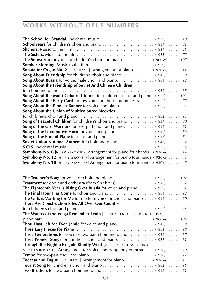| The Eighteenth Year is Rising Over Russia for voice and piano (1959) 87                                       |
|---------------------------------------------------------------------------------------------------------------|
|                                                                                                               |
| The Girls is Waiting for Me for medium voice or choir and piano. (1942) 50                                    |
| There Are Construction Sites All Over Our Country                                                             |
|                                                                                                               |
| The Waters of the Volga Remember Lenin $\left[\epsilon, \sin\theta \cos\theta + \cos\theta \cos\theta\right]$ |
| 106                                                                                                           |
|                                                                                                               |
|                                                                                                               |
| Three Generations for voice or two-part choir and piano (1952) 67                                             |
| Three Pioneer Songs for children's choir and piano. (1957) 81                                                 |
| <b>Through the Night a Brigade Bluntly Went</b> $[\vee]$ . BELY $(A, BAY)$ DAVIDENKO $(B, B)$                 |
| N. CHEMBERDZHI]. Arrangement for voice and symphony orchestra  (1930)  20                                     |
|                                                                                                               |
| <b>Toccata and Fugue</b> [J. s. BACH] Arrangement for piano. (1930ies) 43                                     |
|                                                                                                               |
|                                                                                                               |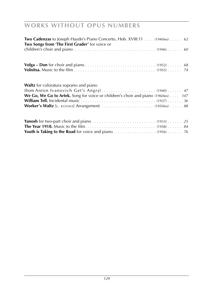| <b>Two Cadenzas</b> to Joseph Haydn's Piano Concerto, Hob. XVIII:11 (1940ies) 62<br>Two Songs from 'The First Grader' for voice or |  |
|------------------------------------------------------------------------------------------------------------------------------------|--|
|                                                                                                                                    |  |
|                                                                                                                                    |  |
|                                                                                                                                    |  |
| <b>Waltz</b> for coloratura soprano and piano                                                                                      |  |
|                                                                                                                                    |  |
| We Go, We Go to Artek. Song for voice or children's choir and piano (1960ies) 107                                                  |  |
|                                                                                                                                    |  |
|                                                                                                                                    |  |
|                                                                                                                                    |  |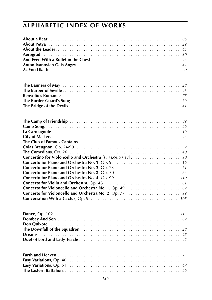# **alphabetic index of works**

|                                                         |  | 86  |
|---------------------------------------------------------|--|-----|
|                                                         |  | 29  |
|                                                         |  | 65  |
|                                                         |  | 30  |
|                                                         |  | 46  |
|                                                         |  | 47  |
|                                                         |  | 30  |
|                                                         |  |     |
|                                                         |  | 28  |
|                                                         |  | 46  |
|                                                         |  |     |
|                                                         |  | 39  |
|                                                         |  | 41  |
|                                                         |  |     |
|                                                         |  | 89  |
|                                                         |  | 29  |
|                                                         |  | 19  |
|                                                         |  | 46  |
|                                                         |  | 73  |
|                                                         |  | 32  |
|                                                         |  | 40  |
| Concertino for Violoncello and Orchestra [S. PROKOFIEV] |  | 90  |
|                                                         |  | 19  |
|                                                         |  | 31  |
|                                                         |  | 66  |
|                                                         |  | 110 |
|                                                         |  | 61  |
|                                                         |  | 62  |
| Concerto for Violoncello and Orchestra No. 2, Op. 77    |  | 99  |
|                                                         |  | 108 |
|                                                         |  |     |
|                                                         |  | 113 |
|                                                         |  |     |
|                                                         |  | 55  |
|                                                         |  |     |
|                                                         |  | 95  |
|                                                         |  |     |
|                                                         |  | 42  |
|                                                         |  |     |
|                                                         |  |     |
|                                                         |  |     |
|                                                         |  |     |
|                                                         |  |     |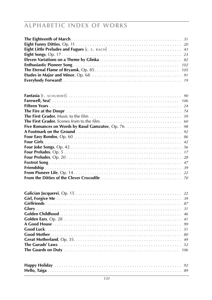| Eight Little Preludes and Fugues [J. S. BACH]<br>43    |
|--------------------------------------------------------|
| 23                                                     |
| 82                                                     |
| 102                                                    |
| 105                                                    |
| 91                                                     |
| 19                                                     |
|                                                        |
| 90                                                     |
| 106                                                    |
| 24                                                     |
| 74                                                     |
| 59                                                     |
| 60                                                     |
| Five Romances on Words by Rasul Gamzatov, Op. 76<br>98 |
| 92                                                     |
| 86                                                     |
| 42                                                     |
| 56                                                     |
| 17                                                     |
|                                                        |
| 28                                                     |
| 47                                                     |
| 39                                                     |
| 22                                                     |
| 70                                                     |
| 22                                                     |
| 39                                                     |
| 87                                                     |
| 31                                                     |
| 46                                                     |
| 41                                                     |
| 99                                                     |
| 51                                                     |
|                                                        |
| 80                                                     |
| 49                                                     |
| 52                                                     |
| 106                                                    |
|                                                        |
|                                                        |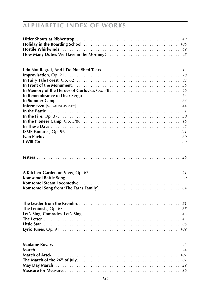|  |  | 15  |
|--|--|-----|
|  |  | 28  |
|  |  | 83  |
|  |  | 56  |
|  |  | 99  |
|  |  | 36  |
|  |  | 64  |
|  |  | 44  |
|  |  | 51  |
|  |  | 50  |
|  |  | 16  |
|  |  | 42  |
|  |  |     |
|  |  | 60  |
|  |  | 69  |
|  |  |     |
|  |  | 26  |
|  |  | 91  |
|  |  |     |
|  |  | 35  |
|  |  |     |
|  |  |     |
|  |  | 51  |
|  |  | 85  |
|  |  | 46  |
|  |  | 45  |
|  |  | 86  |
|  |  | 109 |
|  |  |     |
|  |  |     |
|  |  |     |
|  |  |     |
|  |  |     |
|  |  |     |
|  |  |     |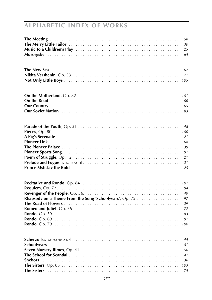|                                                         |  |  |  | 105      |
|---------------------------------------------------------|--|--|--|----------|
|                                                         |  |  |  |          |
|                                                         |  |  |  | 101      |
|                                                         |  |  |  | 66       |
|                                                         |  |  |  |          |
|                                                         |  |  |  |          |
|                                                         |  |  |  |          |
|                                                         |  |  |  |          |
|                                                         |  |  |  |          |
|                                                         |  |  |  |          |
|                                                         |  |  |  | 68<br>39 |
|                                                         |  |  |  | 97       |
|                                                         |  |  |  | 21       |
|                                                         |  |  |  | 21       |
|                                                         |  |  |  |          |
|                                                         |  |  |  |          |
|                                                         |  |  |  | 102      |
|                                                         |  |  |  | 94       |
|                                                         |  |  |  | 49       |
| Rhapsody on a Theme From the Song 'Schoolyears', Op. 75 |  |  |  | 97       |
|                                                         |  |  |  | 29       |
|                                                         |  |  |  | 77       |
|                                                         |  |  |  | 83       |
|                                                         |  |  |  | 91       |
|                                                         |  |  |  | 100      |
|                                                         |  |  |  |          |
|                                                         |  |  |  |          |
|                                                         |  |  |  | 81       |
|                                                         |  |  |  | 56       |
|                                                         |  |  |  | 42       |
|                                                         |  |  |  | 36       |
|                                                         |  |  |  |          |
|                                                         |  |  |  |          |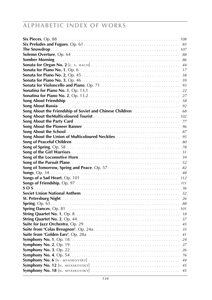# **alphabetic index of works**

|                                                          | 108 |
|----------------------------------------------------------|-----|
|                                                          | 85  |
|                                                          | 107 |
|                                                          | 88  |
|                                                          | 86  |
|                                                          | 44  |
|                                                          | 17  |
|                                                          | 58  |
|                                                          | 59  |
|                                                          | 93  |
|                                                          | 22  |
|                                                          | 27  |
|                                                          | 58  |
|                                                          | 92  |
| Song About the Friendship of Soviet and Chinese Children | 68  |
|                                                          | 102 |
|                                                          | 77  |
|                                                          | 96  |
|                                                          | 87  |
| Song About the Union of Multicoloured Neckties           | 95  |
|                                                          | 80  |
|                                                          | 78  |
|                                                          | 51  |
|                                                          | 59  |
|                                                          |     |
|                                                          | 82  |
|                                                          | 48  |
|                                                          | 112 |
|                                                          |     |
|                                                          |     |
|                                                          |     |
|                                                          | 26  |
|                                                          | 88  |
|                                                          | 101 |
|                                                          | 18  |
|                                                          | 57  |
|                                                          | 45  |
|                                                          | 35  |
|                                                          | 41  |
|                                                          | 24  |
|                                                          | 27  |
|                                                          | 26  |
|                                                          |     |
|                                                          |     |
|                                                          |     |
|                                                          | 45  |
|                                                          |     |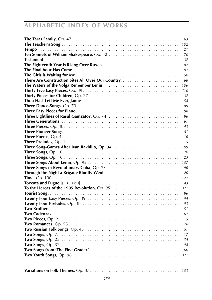# **alphabetic index of works**

| 63  |
|-----|
| 102 |
| 21  |
| 70  |
| 37  |
| 87  |
| 92  |
| 50  |
| 68  |
| 106 |
| 110 |
| 37  |
| 58  |
| 89  |
| 98  |
| 96  |
| 67  |
| 43  |
| 81  |
| 16  |
| 15  |
| 109 |
| 20  |
| 23  |
| 107 |
| 96  |
| 20  |
| 122 |
| 43  |
|     |
| 96  |
| 54  |
| 53  |
| 51  |
| 62  |
| 15  |
| 76  |
| 57  |
| 17  |
| 35  |
| 48  |
| 60  |
|     |
|     |
|     |
| 103 |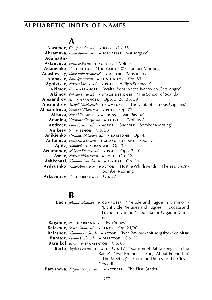# **A**

 **Abramov**, *Georgi Andreevich* ► **BASS** Op. 35  **Abramova**, *Anna Abramovna* ► **s c e n a r i s t** 'Musorgsky'  **Adamaitis- Astangova**, *Elena Iosifovna* ► **a c t r e s s** 'Volnitsa' **Adamenko**, *V.* ► ACTOR The Year 1918' · 'Somber Morning'  **Adashevsky**, *Konstantin Ignatievich* ► **a c t o r** 'Musorgsky' **Afanasev**, *Boris Ignatievich* ► **cONDUCTOR** Op. 83  **Agnivtsev**, *Nikolai Yakovlevich* ► **p o e t** 'A Pig's Serenade' **Akimov**, *F.* ► ARRANGER 'Waltz' from 'Anton Ivanovich Gets Angry' **Akimov**, *Nikolai Pavlovich* ► **sTAGE DESIGNER** 'The School of Scandal' **Alexandrov**, *A.* ► ARRANGER Opp. 5, 28, 38, 39 **Alexandrov**, *Anatoli Nikolaevich* ► **COMPOSER** 'The Club of Famous Captains'  **Alexandrova**, *Zinaida Nikolaevna* ► **p o e t** Op. 77  **Alisova**, *Nina Ulyanovna* ► **a c t r e s s** 'Ivan Pavlov'  **Ananina**, *Valentina Georgievna* ► **a c t r e s s** 'Volnitsa'  **Andreev**, *Boris Fyodorovich* ► **a c t o r** 'Shchors' · 'Somber Morning'  **Anikeev**, *S.* ► **TENOR** Op. 58 **Anikienko**, *alexander Nikanorovich* ► **BARITONE** Op. 47  **Antonova**, *Elizaveta Ivanovna* ► **m e z z o - s o p r a n o** Op. 37 **Apitz**, *Manfred* ► **ARRANGER** Op. 39 **Artamonov**, *Mikhail Dmitrievich* ► **POET** Opp. 7, 10  **Aseev**, *Nikolai Nikolaevich* ► **p o e t** Op. 22 **Ashkenazi**, *Vladimir Davidovich* ► **PIANIST** Op. 50 **Avdyushko**, *Viktor Antonovich* ► ACTOR Hostile Whirlswinds' · 'The Year 1918' · 'Somber Morning'  **Avksentiev**, *V.* ► ARRANGER Op. 27

# **B**

**Bach**, *Johann Sebastian* ► **cOMPOSER** 'Prelude and Fugue in C minor' · 'Eight Little Preludes and Fugues' · 'Toccata and Fugue in D minor' · 'Sonata for Organ in C minor' **Baganov**, *N.* ► ARRANGER 'Two Songs' **Balashov**, *Stepan Vasilievich* ► **tENOR** Op. 24/90 **Balashov**, *Vladimir Pavlovich* ► **a c t o r** 'Ivan Pavlov' · 'Musorgsky' · 'Volnitsa' **Baratov**, *Leonid Vasilievich* ► **DIRECTOR** Op. 53 **Barnikol**, *K. C.* ► **TRANSLATOR** Op. 83 **Barto**, *Agniva Lvovna* ► **POET** Op. 17 · 'Komsomol Battle Song' · 'In the Battle' · 'Two Brothers' · 'Song About Friendship' · 'The Meeting' · 'From the Ditties or the Clever Crocodile' **Barysheva**, *Tatyana Semyonovna* ▶ ACTRESS 'The First Grader'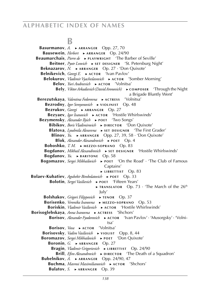## **B**

**Basurmanov**, *A.* ► ARRANGER Opp. 27, 70 **Bausewein**, *Herbert* ► **ARRANGER** Op. 24/90 **Beaumarchais**, *Pierre de* ► **PLAYWRIGHT** 'The Barber of Seville' **Beitner**, *Pyotr Lvovich* ► **sET DESIGNER** 'St. Petersburg Night' **Beknazarov**, *N.* ► ARRANGER Op. 27 · 'Don Quixote' **Belnikevich**, *Georgi E.* ► **ACTOR** 'Ivan Pavlov' **Belokurov**, *Vladimir Vyacheslavovich* ► **ACTOR** 'Somber Morning' **Belov**, *Yuri Andreevich* ► **ACTOR** 'Volnitsa' **Bely**, *Viktor Arkadievich* (*David Aronovich*) ► **c omPOSER** 'Through the Night a Brigade Bluntly Went' **Berezutskaya**, *Valentina Fedorovna* ► **a c t r e s s** 'Volnitsa' **Bezrodny**, *Igor Semyonovich* ► **v1OLINIST** Op. 48 **Bezrukov**, *Georgi* ► ARRANGER Op. 27 **Bezvaev**, *Igor Ivanovich* ► **aCTOR** 'Hostile Whirlswinds' **Bezymensky**, *Alexander Ilyich* ► **POET** 'Two Songs' **Bibikov**, *Boris Vladimirovich* ► **DIRECTOR** 'Don Quixote' **Blatova**, *Lyudmila Alexeevna* ► **sET DESIGNER** 'The First Grader' **Blinov**,  $Y_u$ .  $\rightarrow$  **ARRANGER** Opp. 27, 39, 58 · 'Don Quixote' **Blok**, *Alexander Alexandrovich* ► **POET** Op. 4 **Boboshko**, *T. M.* ► **m e z z o - s o p r a n o** Op. 83 **Bogdanov**, *Mikhail Alexandrovich* ► **sET DESIGNER** 'Hostile Whirlswinds' **Bogdanov**, *Yu.* ► **BARITONE** Op. 58 **Bogomazov**, *Sergei Mikhailovich* ► **POET** 'On the Road' · 'The Club of Famous Captains' ► LIBRETTIST Op. 83 **Bolaev-Kubatiev**, *Agubekir Bimbolatovich* ► **POET** Op. 33 **Bolotin**, *Sergei Vasilievich* ► **POET** 'Fifteen Years' ► **TRANSLATOR** Op. 73 · 'The March of the 26<sup>th</sup> July' **Bolshakov**, *Grigori Filippovich* ► **tenor** Op. 37 **Borisenko**, *Veronika Ivanovna* ► **m e z z o - s o p r a n o** Op. 53 **Boriskin**, *Vladimir Vasilievich* ► **a c t o r** 'Hostile Whirlswinds' **Borisoglebskaya**, *Anna Ivanovna* ► **ACTRESS** 'Shchors' **Borisov**, *Alexander Fyodorovich* ► **a c t o r** 'Ivan Pavlov' · 'Musorgsky' · 'Volnitsa' **Borisov**, *Vova* ► **ACTOR** 'Volnitsa' **Borisovsky**, *Vadim Vasilievich* ► **v10L1ST** Opp. 8, 44 **Boromazov**, *Sergei Mikhailovich* ► **POET** 'Don Quixote' **Boronin**, *G.* ► ARRANGER Op. 27 **Bragin**, *Vladimir Grigorievich* ► **LIBRETTIST** Op. 24/90 **Brill**, *Efim Alexandrovich* ► **DIRECTOR** 'The Death of a Squadron' **Bubelnikov**, *A.* ► ARRANGER Opp. 24/90, 47 **Buchma**, *Mavrosi Maximilianovich* ► **a c t o R** 'Shchors' **Bulatov**, *S.* ► ARRANGER Op. 39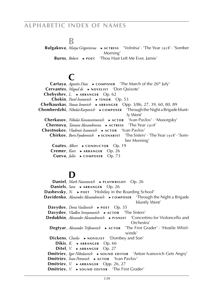**B**<br>**Bulgakova**, *Maiya Grigorievna* **Bulgaries** Actribution **Bulgaries** <sup>'</sup>Volnitsa' · 'The Year 1918' · 'Somber Morning' **Burns**, *Robert* ► **POET** 'Thou Hast Left Me Ever, Jamie'

# **C**

Cartaya, *Agustín Díaz* ► **composer** 'The March of the 26<sup>th</sup> July' **Cervantes**, *Miguel de* ► **NOVELIST** 'Don Quixote' **Chebyshev**, *L.* ► ARRANGER Op. 62  **Chekin**, *Pavel Ivanovich* ► **t e n o r** Op. 53  **Chelkauskas**, *Yuosas Ionovich* ► **a r r a n g e r** Opp. 3/86, 27, 39, 60, 80, 89  **Chemberdzhi**, *Nikolai Karpovich* ► **c o m p o s e r** 'Through the Night a Brigade bluntly Went'  **Cherkasov**, *Nikolai Konstantinovich* ► **a c t o r** 'Ivan Pavlov' · 'Musorgsky'  **Chernova**, *Tamara Alexandrovna* ► **a c t r e s s** 'The Year 1918'  **Chestnokov**, *Vladimir Ivanovich* ► **a c t o r** 'Ivan Pavlov'  **Chirkov**, *Boris Fyodorovich* ► **s c e n a r i s t** 'The Sisters' · 'The Year 1918' · 'Somber Morning'  **Coates**, *Albert* ► **cONDUCTOR** Op. 19  **Cremer**, *Kurt* ► **a r r a n g e r** Op. 26  **Cueva**, *Julio* ► **c o m p o s e r** Op. 73

# **D**

**Daniel**, *Mark Naumovich* ► **PLAYWRIGHT** Op. 26 **Daniels**, *Sam* ► ARRANGER Op. 26 **Dashevsky**, *N.* ► **POET** 'Holiday in the Boarding School'<br>**Davidenko**, *Alexander Alexandrovich* ► COMPOSER 'Through the Night a Brigade **Davidenko**, *Alexander Alexandrovich* ► **cOMPOSER** bluntly Went' **Davydov**, *Denis Vasilievich* ► **POET** Op. 35 **Davydov**, *Vladlen Semyonovich* ► **ACTOR** 'The Sisters' **Dedukhin**, *Alexander Alexandrovich* ► **PIANIST** 'Concertino for Violoncello and Orchestra' **Degtyar**, *Alexander Trifonovich* ► AСТОR 'The First Grader' · 'Hostile Whirlwinds' **Dickens**, *Charles* ► NOVELIST 'Dombey and Son' **Dikis,** *K.* **► ARRANGER Op. 66 Ditel**, *V.* ► ARRANGER Op. 27 **Dmitriev**, *Igor Nikolaevich* ► **sOUND EDITOR** 'Anton Ivanovich Gets Angry' **Dmitriev**, *Ivan Petrovich* ► **ACTOR** 'Ivan Pavlov' **Dmitriev**, *V.* ► ARRANGER Opp. 26, 27 **Dmitriev**, *V.* ► **sound EDITOR** 'The First Grader'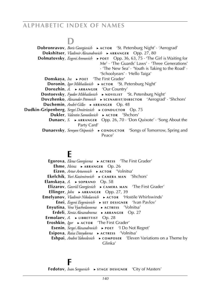# **D**

**Dobronravov**, *Boris Georgievich* ► **ACTOR** 'St. Petersburg Night' · 'Aerograd'  **Dokshitser**, *Vladimir Alexandrovich* ► **ARRANGER** Opp. 27, 80  **Dolmatovsky**, *Evgeni Aronovich* ► **POET** Opp. 36, 63, 75 · 'The Girl is Waiting for Me' · 'The Guards' Laws' · 'Three Generations' · 'The New Sea' · 'Youth is Taking to the Road' · 'Schoolyears' · 'Hello Taiga' **Donskaya**, *Ira* ► **POET** 'The First Grader'  **Doronin**, *Igor Mikhailovich* ► **ACTOR** 'St. Petersburg Night' **Dorozhin**, *A.* ► ARRANGER 'Our Country'  **Dostoevsky**, *Fyodor Mikhailovich* ► **NOVELIST** 'St. Petersburg Night'  **Dovzhenko**, *Alexander Petrovich* ► **scenarist/DIRECTOR** 'Aerograd' · 'Shchors' **Duchemin**, *André-Gilles* ► **ARRANGER** Op. 48 **Dudkin-Gripenberg**, *Sergei Dmitrievich* ► **cONDUCTOR** Op. 75 **Dukler**, *Valentin Samoilovich* ► **ACTOR** 'Shchors' **Dunaev**, *S.* ► ARRANGER Opp. 26, 70 · 'Don Quixote' · 'Song About the Party Card' **Dunaevsky**, *Semyon Osipovich* ► **c on DUCTOR** 'Songs of Tomorrow, Spring and Peace'

# **E**

**Egorova**, *Elena Georgievna* ► **ACTRESS** 'The First Grader' **Ehme**, *Heinz* ► ARRANGER Op. 26 **Eizen**, *Artur Arturovich* ► **ACTOR** 'Volnitsa'  **Ekelchik**, *Yuri Kazimirovich* ► **c a m e r a m a n** 'Shchors'  **Elanskaya**, *A.* ► **s o p r a n o** Op. 58  **Elizarov**, *Gavriil Georgievich* ► **cAMERA MAN** 'The First Grader' **Ellinger**, *John* ► ARRANGER Opp. 27, 39  **Emelyanov**, *Vladimir Nikolaevich* ► **a c t o r** 'Hostile Whirlswinds' **Enei**, *Evgeni Evgenievich* ► **sET DESIGNER** 'Ivan Pavlov'  **Enyutina**, *Vera Vyacheslavovna* ► **a c t r e s s** 'Volnitsa' **Erdeli**, *Xenia Alexandrovna* ► **ARRANGER** Op. 27 **Ermolaev**, *A.* ► LIBRETTIST Op. 28 **Eroshkin**, *Igor* ► **ACTOR** 'The First Grader' **Esenin**, *Sergei Alexandrovich* ► **POET** 'I Do Not Regret'  **Esipova**, *Raisa Davydovna* ► **a c t r e s s** 'Volnitsa' **Eshpai**, *Andrei Yakovlevich* ► **cOMPOSER** 'Eleven Variations on a Theme by Glinka'

### **F**

**Fedotov**, *Ivan Sergeevich* ► **stage** DESIGNER 'City of Masters'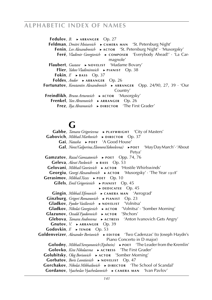**Fedulov**, *B.* ► ARRANGER Op. 27 **Feldman**, *Dmitri Moiseevich* ► **cAMERA MAN** 'St. Petersburg Night'  **Fenin**, *Lev Alexandrovich* ► **a c t o r** 'St. Petersburg Night' · 'Musorgsky'  **Feré**, *Vladimir Georgievich* ► **c o m p o s e r** 'Everybody Ahead!' · 'La Carmagnole' **Flaubert**, *Gustave* ► **NOVELIST** 'Madame Bovary' **Flier**, *Yakov Vladimirovich* ► **PIANIST** Op. 38 **Fokin**,  $F \rightarrow \text{BASS}$  Op. 37 **Foldes**, *Andor* ► **ARRANGER** Op. 26  **Fortunatov**, *Konstantin Alexandrovich* ▶ ARRANGER Opp. 24/90, 27, 39 · 'Our Country' **Freindlikh**, *Bruno Arturovich* ► **ACTOR** 'Musorgsky' **Frenkel**, *Yan Abramovich* ► **ARRANGER** Op. 26 **Frez**, *Ilya Abramovich* ► **DIRECTOR** 'The First Grader'

# $\mathbf{G}_{\mathbf{I}}$

Gabbe, *Tamara Grigorievna* ► **PLAYWRIGHT** 'City of Masters' Gabovich, Mikhail Markovich ► DIRECTOR Op. 37  **Gai**, *Natasha* ► **p o e t** 'A Good House'  **Gal**, *Nora (Galperina, Eleonora Yakovlevna)* ► **p o e t** 'May Day March' · 'About Petya' Gamzatov, *Razul Gamzatovich* ► **POET** Opp. 74, 76 Geleva, *Alexei Pavlovich* ► **BASS** Op. 53 **Gelovani**, *Mikhail Georievich* ► **ACTOR** 'Hostile Whirlswinds' Georgiu, *Georgi Alexandrovich* ► ACTOR 'Musorgsky' · 'The Year 1918' Gerasimov, Mikhail Xxxx ► **POET** Op. 10 Gilels, *Emil Grigorievich* ► **PIANIST** Op. 45 ► **d e d i c at e e** Op. 45 **Gingin**, *Mikhail Efimovich* ► **CAMERA MAN** 'Aerograd' Ginzburg, *Grigori Romanovich* ► **PIANIST** Op. 23  **Gladkov**, *Fyodor Vasilievich* ► **n o v e l i s t** 'Volnitsa'  **Gladkov**, *Nikolai Georgievich* ► **a c t o r** 'Volnitsa' · 'Somber Morning' Glazunov, *Osvald Fyodorovich* ► **ACTOR** 'Shchors'  **Glebova**, *Tamara Andreevna* ► **a c t r e s s** 'Anton Ivanovich Gets Angry' **Gnutov**, *V.* ► ARRANGER Op. 39 **Godovkin,** *F.* **► <b>TENOR** Op. 53 Goldenveizer, *Alexander Borisovich* ► **EDITOR** 'Two Cadenzas' (to Joseph Haydn's Piano Concerto in D major)  **Golodny**, *Mikhail Semyonovich (Epshtein)* ► **p o e t** 'The Leader from the Kremlin'  **Golovko**, *Kira Nikolaevna* ► **a c t r e s s** 'The First Grader' Golubitsky, *Oleg Borisovich* ► **ACTOR** 'Somber Morning' **Gorbatov**, *Boris Leontievich* ► NOVELIST Op. 47 Gorchakov, *Nikolai Mikhailovich* ► **DIRECTOR** 'The School of Scandal'  **Gordanov**, *Vyacheslav Vyacheslavovich* ► **cAMERA MAN** 'Ivan Pavlov'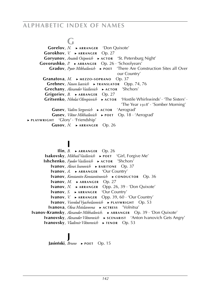# **G**

 **Gorelov**, *N.* ► **a r r a n g e r** 'Don Quixote' **Gorokhov**, *V.* ► ARRANGER Op. 27  **Goryunov**, *Anatoli Osipovich* ► **a c t o r** 'St. Petersburg Night'  **Govorushko**, *P.* ► **a r r a n g e r** Op. 26 · 'Schoolyears' Gradov, *Pyotr Mikhailovich* ► **POET** 'There Are Construction Sites all Over our Country'  **Granatova**, *M.* ► **m e z z o - s o p r a n o** Op. 37  **Grebnev**, *Naum Isaevich* ► **t r a n s l at o r** Opp. 74, 76 Grechany, *Alexander Vasilievich* ► **ACTOR** 'Shchors' **Grigoriev**, *B.* ► ARRANGER Op. 27 Gritsenko, *Nikolai Olimpievich* ► ACTOR 'Hostile Whirlswinds' · 'The Sisters' · 'The Year 1918' · 'Somber Morning' Gusev, *Vadim Sergeevich* ► ACTOR 'Aerograd'  **Gusev**, *Viktor Mikhailovich* ► **p o e t** Op. 18 · 'Aerograd' ► **p l ay w r i g h t** 'Glory' · 'Friendship'  **Gusov**, *N.* ► **a r r a n g e r** Op. 26

# **I**

**Ilin**,  $B. \rightarrow ARRANGER$  Op. 26 **Isakovsky**, *Mikhail Vasilievich* ► **POET** 'Girl, Forgive Me' **Ishchenko**, *Fyodor Vasilievich* ► **ACTOR** 'Shchors' **Ivanov**, *Alexei Ivanovich* ► **BARITONE** Op. 37 **Ivanov**, *A.* ► ARRANGER 'Our Country' **Ivanov**, *Konstantin Konstantinovich* ► **cONDUCTOR** Op. 36 **Ivanov**,  $M. \rightarrow$  **ARRANGER** Op. 27 **Ivanov**, *N.* ► ARRANGER Opp. 26, 39 · 'Don Quixote' **Ivanov**, *S.* ► ARRANGER 'Our Country' **Ivanov**, *V.* ► ARRANGER Opp. 39, 60 · 'Our Country' **Ivanov**, *Vsevolod Vyacheslavovich* ► **PLAYWRIGHT** Op. 53  **Ivanova**, *Olesa Mstislavovna* ► **a c t r e s s** 'Volnitsa' **Ivanov-Kramsky**, *Alexander Mikhailovich.* ► **ARRANGER** Op. 39 · 'Don Quixote' **Ivanovsky**, *Alexander Viktorovich* ► **scENARIST** 'Anton Ivanovich Gets Angry' **Ivanovsky**, *Vladimir Viktorovich* ► **tenor** Op. 53

## **J Jasien´ski**, *Bruno* ► **p o e t** Op. 15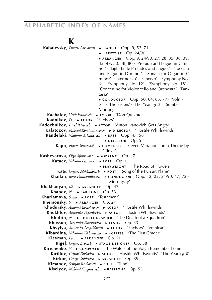# **K**

| Kabalevsky, <i>Dmitri Borisovich</i> ▶ PIANIST Opp. 9, 52, 71                      |                                                                                                              |
|------------------------------------------------------------------------------------|--------------------------------------------------------------------------------------------------------------|
|                                                                                    | $\blacktriangleright$ LIBRETTIST Op. 24/90                                                                   |
|                                                                                    | Opp. 9, 24/90, 27, 28, 35, 36, 39,<br>$\triangleright$ ARRANGER                                              |
|                                                                                    | 43, 49, 50, 58, 80 · 'Prelude and Fugue in C mi-                                                             |
|                                                                                    | nor' · 'Eight Little Preludes and Fugues' · 'Toccata                                                         |
|                                                                                    | and Fugue in D minor' · 'Sonata for Organ in C                                                               |
|                                                                                    | minor' · 'Intermezzo' · 'Scherzo' · 'Symphony No.                                                            |
|                                                                                    | 6' · 'Symphony No. 12' · 'Symphony No. 18' ·                                                                 |
|                                                                                    | 'Concertino for Violoncello and Orchestra' · 'Fan-                                                           |
| tasia'                                                                             |                                                                                                              |
|                                                                                    | $\triangleright$ CONDUCTOR Opp. 50, 64, 65, 77 · 'Volni-<br>tsa' · 'The Sisters' · 'The Year 1918' · 'Somber |
|                                                                                    | Morning'                                                                                                     |
| Kachalov, Vasili Ivanovich                                                         | ACTOR 'Don Quixote'                                                                                          |
| Kadnikov, D. ▶ ACTOR 'Shchors'                                                     |                                                                                                              |
| Kadochnikov, Pavel Petrovich ▶ ACTOR                                               | 'Anton Ivanovich Gets Angry'                                                                                 |
| Kalatozov, Mikhail Konstantinovich ▶ DIRECTOR                                      | 'Hostile Whirlswinds'                                                                                        |
| Kandelaki, Vladimir Arkadievich > BASS                                             | Opp. 47, 58                                                                                                  |
|                                                                                    | $\triangleright$ DIRECTOR Op. 58                                                                             |
| <b>Kapp</b> , <i>Eugen Arturovich</i> $\rightarrow$ COMPOSER                       | 'Eleven Variations on a Theme by                                                                             |
|                                                                                    | Glinka'                                                                                                      |
| <b>Kashevarova</b> , <i>Olga Afansievna</i> ▶ s <b>oprano</b> Op. 47               |                                                                                                              |
| Kataev, Valentin Petrovich > POET Op. 11                                           |                                                                                                              |
|                                                                                    | • PLAYWRIGHT 'The Road of Flowers'                                                                           |
|                                                                                    | Kats, Grigori Mikhailovich > POET 'Song of the Pursuit Plane'                                                |
| Khaikin, Boris Emmanuilovich                                                       | $\triangleright$ CONDUCTOR Opp. 12, 22, 24/90, 47, 72.                                                       |
| Khakhanyan, Kh. > ARRANGER Op. 47                                                  | 'Musorgsky'                                                                                                  |
| <b>Khapov, N.</b> $\triangleright$ BARITONE                                        | Op. 53                                                                                                       |
| Kharlamova, Sonia ▶ POET 'Testament'                                               |                                                                                                              |
| <b>Khersonsky, S.</b> $\triangleright$ ARRANGER Op. 27                             |                                                                                                              |
| Khodursky, Antoni Martselievich > ACTOR 'Hostile Whirlswinds'                      |                                                                                                              |
|                                                                                    | Khokhlov, Alexander Evgenievich > ACTOR 'Hostile Whirlswinds'                                                |
|                                                                                    | Kholfin, $N. \rightarrow \text{CHOREOGRAPHER}$ The Death of a Squadron'                                      |
| Khosson, Alexander Robertovich $\rightarrow$ TENOR                                 | Op. 53                                                                                                       |
| Khvylya, Alexander Leopoldovich $\rightarrow$ ACTOR                                | 'Shchors' · 'Volnitsa'                                                                                       |
| Kibardina, Valentina Tikhonovna > ACTRESS                                          | 'The First Grader'                                                                                           |
| <b>Kievman</b> , Louis $\triangleright$ ARRANGER Op. 21                            |                                                                                                              |
| Kigel, Grigori Lvovich > STAGE DESIGNER Op. 58                                     |                                                                                                              |
|                                                                                    | <b>Kirichenko</b> , $V \rightarrow \text{COMPOSER}$ The Waters of the Volga Remember Lenin'                  |
|                                                                                    | Kirillov, Grigori Pavlovich > ACTOR 'Hostile Whirlswinds' · 'The Year 1918'                                  |
| Kirkor, Georgi Vasilievich ▶ ARRANGER Op. 39<br>Kirsanov, Semyon Isaakovich ▶ POET | 'Time'                                                                                                       |
| Kiselyov, Mikhail Grigorievich > BARITONE Op. 53                                   |                                                                                                              |
|                                                                                    |                                                                                                              |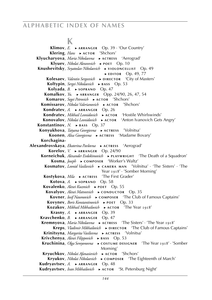## **K**

**Klimov**,  $E \rightarrow \text{ARRANGER}$  Op. 39 · 'Our Country' **Klering**, *Hans* ► ACTOR 'Shchors'  **Klyucharyova**, *Maria Nikolaevna* ► **a c t r e s s** 'Aerograd'  **Klyuev**, *Nikolai Alexeeevich* ► **p o e t** Op. 10 **Knushevitsky**, *Svyatoslav Nikolaevich* ► **v**10LONCELL1ST Op. 49 ► **EDITOR** Op. 49, 77 **Kolesaev**, *Valentin Sergeevich* ► **DIRECTOR** 'City of Masters'  **Koltypin**, *Sergei Nikolaevich* ► **b a s s** Op. 53  **Kolyada**, *B.* ► **s o p r a n o** Op. 47  **Komalkov**, *Yu.* ► ARRANGER Opp. 24/90, 26, 47, 54  **Komarov**, *Segei Petrovich* ► ACTOR 'Shchors'  **Komissarov**, *Nikolai Valerianovich* ► **ACTOR** 'Shchors'  **Kondratev**, *A.* ► ARRANGER Op. 26  **Kondratev**, *Mikhail Leonidovich* ► **a c t o r** 'Hostile Whirlswinds' Konovalov, *Nikolai Leonidovich* ► ACTOR 'Anton Ivanovich Gets Angry'  **Konstantinov**, *N.* ► **b** ass Op. 37  **Konyukhova**, *Tatyana Georgievna* ► **a c t r e s s** 'Volnitsa'  **Koonen**, *Alisa Georgievna* ► **a c t r e s s** 'Madame Bovary'  **Korchagina- Alexandrovskaya**, *Ekaterina Pavlovna* ► **a c t r e s s** 'Aerograd'  **Korelov**, *V.* ► ARRANGER Op. 24/90  **Korneichuk**, *Alexander Evdokimovich* ► **PLAYWRIGHT** 'The Death of a Squadron' **Kosma**, *Joseph* ► **c o m p o s e r** 'Worker's Waltz' Kosmatov, *Leonid Vasilievich* ► **cAMERA MAN** 'Volnitsa' · 'The Sisters' · 'The Year 1918' · 'Somber Morning'  **Kostykova**, *Mila* ► **a c t r e s s** 'The First Grader'  **Kotova**, *A.* ► **s o p r a n o** Op. 58  **Kovalenko**, *Alexei Kuzmich* ► **p o e t** Op. 55 **Kovalyov**, *Alexei Matveevich* ► **cONDUCTOR** Op. 35  **Kovner**, *Iosif Naumovich* ► **c o m p o s e r** 'The Club of Famous Captains'  **Kovynev**, *Boris Konstantinovich* ► **p o e t** Op. 33  **Kozakov**, *Mikhail Mikhailovich* ► **a c t o r** 'The Year 1918' **Krasny,** *A.* ► ARRANGER Op. 39 **Kravchenko**, *B.* ► ARRANGER Op. 47 **Kremnyova**, *Maria Nikolaevna* ► **ACTRESS** 'The Sisters' · 'The Year 1918' **Kreps**, *Vladimir Mikhailovich* ► **DIRECTOR** 'The Club of Famous Captains'  **Krinitsyna**, *Margarita Vasilievna* ► **a c t r e s s** 'Volnitsa'  **Krivchenya**, *Alexei Filippovich* ► **b a s s** Op. 53 Kruchinina, *Olga Semyonovna* ▶ COSTUME DESIGNER 'The Year 1918' · 'Somber Morning'  **Kryuchkov**, *Nikolai Afanasievich* ► **a c t o r** 'Shchors'  **Kryukov**, *Nikolai Nikolaevich* ► **c o m p o s e r** 'The Eighteenth of March' **Kudryavtsev**, *A.* ► ARRANGER Op. 48 **Kudryavtsev**, *Ivan Mikhailovich* ► **ACTOR** 'St. Petersburg Night'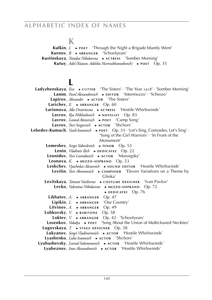#### **K**

**Kulkin**, *I.* ► **POET** 'Through the Night a Brigade bluntly Went'  **Kurnov**, *B* ► **a r r a n g e r** 'Schoolyears'  **Kustinskaya**, *Natalya Nikolaevna* ► **a c t r e s s** 'Somber Morning'  **Kutuy**, *Adel (Kutuev, Adelsha Nurmukhamedovich)* ► **p o e t** Op. 35

## **L**

**Ladyzhenskaya**, *Eva* ► **c**UTTER 'The Sisters' · 'The Year 1918' · 'Somber Morning' Lamm, *Pavel Alexandrovich* ► **EDITOR** 'Intermezzo' · 'Scherzo' **Lapirov**, *Alexander* ► **aCTOR** 'The Sisters'  **Larichev**,  $E. \rightarrow ARRANGER$  Op. 60  **Larionova**, *Alla Dmitrievna* ► **a c t r e s s** 'Hostile Whirlswinds' **Lavrov**, *Ilya Mikhailovich* ► **NOVELIST** Op. 83 **Lavrov**, *Leonid Alexeevich* ► **POET** 'Camp Song' Lavrov, *Yuri Sergeevich* ► ACTOR 'Shchors' Lebedev-Kumach, *Vasili Ivanovich* ► **POET** Op. 33 · 'Let's Sing, Comrades, Let's Sing' · 'Song of the Girl Warriors' · 'In Front of the Monument' **Lemeshev**, *Sergei Yakovlevich* ► **tENOR** Op. 53 Lenin, *Vladimir Ilich* ► **DEDICATEE** Op. 22 Leonidov, *Yuri Leonidovich* ► **ACTOR** 'Musorgsky'  **Leonova**, *K.* ► **m e z z o - s o p r a n o** Op. 53 Leshchev, *Vyacheslav Alexeevich* ► **sound EDITOR** 'Hostile Whirlswinds' Levitin, *Yuri Abramovich* ► **composer** 'Eleven Variations on a Theme by Glinka' Levitskaya, *Tamara Vasilievna* ▶ COSTUME DESIGNER 'Ivan Pavlov'  **Levko**, *Valentina Nikolaevna* ► **m e z z o - s o p r a n o** Op. 72 ► **d e d i c at e e** Op. 76 **Likhatov**, *A.* ► ARRANGER Op. 47 **Lipikin**, *L.* ► ARRANGER 'Our Country' **Litvinov**, *A.* ► ARRANGER Op. 49 **Lobkovsky**, *V.* ► **BARITONE** Op. 58  **Loktev**, *V.* ► **a r r a n g e r** Op. 42 · 'Schoolyears' **Losenkov**, *Volodya* ► **POET** 'Song About the Union of Multicloured Neckties' **Lugovskaya**, *T.* ► **stage** DESIGNER Op. 58 Lukyanov, *Sergei Vladimirovich* ▶ ACTOR 'Hostile Whirlswinds' Lyashenko, *Luka Ivanovich* ► **ACTOR** 'Shchors' Lyubashevsky, *Leonid Solomonovich* ► ACTOR 'Hostile Whirlswinds'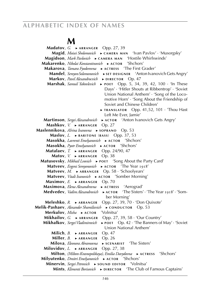### **M**

**Madatov**, *G.* ► ARRANGER Opp. 27, 39 **Magid**, *Moisei Sholomovich* ► **cAMERA MAN** 'Ivan Pavlov' · 'Musorgsky' **Magidson**, Mark Pavlovich ► CAMERA MAN 'Hostile Whirlswinds' **Makarenko**, *Nikolai Konstantinovich* ► **ACTOR** 'Shchors' **Makarova**, *Tamara Fyodorovna* ► **ACTRESS** 'The First Grader' **Mandel**, *Semyon Solomonovich* ► **SET DESIGNER** 'Anton Ivanovich Gets Angry' **Markov**, *Pavel Alexandrocvich* ► **DIRECTOR** Op. 47 **Marshak**, *Samuil Yakovlevich* ► **POET** Opp. 5, 34, 39, 42, 100 · 'In These Days' · 'Hitler Shouts at Ribbentrop' · 'Soviet Union National Anthem' · 'Song of the Locomotive Horn' · 'Song About the Friendship of Soviet and Chinese Children' ► **t r a n s l at o r** Opp. 41,52, 101 · 'Thou Hast Left Me Ever, Jamie'  **Martinson**, *Sergei Alexandrovich* ► **a c t o r** 'Anton Ivanovich Gets Angry' **Mashkov**, *V.* ► ARRANGER Op. 27 **Maslennikova**, *AIrina Ivanovna* ▶ **sOPRANO** Op. 53 **Maslov**, *L.* ► **bARITONE** (**bASS**) Opp. 37, 53 **Masokha**, *Lavrenti Emelyanovich* ► AСТОR 'Shchors' **Masokha**, *Pyotr Emelyanovich* ► ACTOR 'Shchors' **Matalaev**, *T.* ► ARRANGER Opp. 24/90, 47 **Matov**, *V.* ► ARRANGER Op. 38  **Matusovsky**, *Mikhail Lvovich* ► **p o e t** 'Song About the Party Card' **Matveev**, *Evgeni Semyonovich* ► **ACTOR** 'The Year 1918' **Matveev**, *M.* ► ARRANGER Op. 58 · 'Schoolyears' **Matveev**, *Vitali Ivanovich* ► **ACTOR** 'Somber Morning' **Maximov**, *E.* ► ARRANGER Op. 70  **Maximova**, *Elena Alexandrovna* ► **a c t r e s s** 'Aerograd' **Medvedev**, *Vadim Alexandrovich* ► **ACTOR** 'The Sisters' · 'The Year 1918' · 'Somber Morning' **Meleshko**, *R.* ► ARRANGER Opp. 27, 39, 70 · 'Don Quixote' **Melik-Pashaev**, *Alexander Shamilievich* ► **cONDUCTOR** Op. 53 **Merkulov**, *Misha* ► **ACTOR** 'Volnitsa' **Mikhailov**, *G.* ► ARRANGER Opp. 27, 39, 58 · 'Our Country'  **Mikhalkov**, *Sergei Vladimirovich* ► **p o e t** Op. 42 · 'The Banners of May' · 'Soviet Union National Anthem' **Milich**, *B.* ► ARRANGER Op. 47 **Miller**, *B.* ► ARRANGER Op. 26 **Milova**, *Eleonora Abramovna* ► **scENARIST** 'The Sisters' **Milovidov**, *L.* ► ARRANGER Opp. 27, 38  **Milton**, *(Milton-Krasnopolskaya), Emilia Davydovna* ► **a c t r e s s** 'Shchors'  **Milyutenko**, *Dmitri Emelyanovich* ► **a c t o r** 'Shchors'  **Minervin**, *Sergei Petrovich* ► **sOUND EDITOR** 'Volnitsa' **Mints**, *Klimenti Borisovich* ► **DIRECTOR** 'The Club of Famous Captains'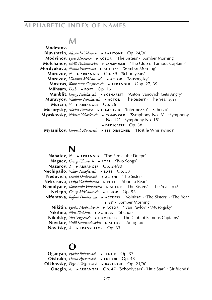## **M**

 **Modestov-Bluvshtein**, *Alexander Yulievich* ► **BARITONE** Op. 24/90 **Modvinov**, *Pyotr Alexeevich* ► **ACTOR** 'The Sisters' · 'Somber Morning' **Molchanov**, *Kirill Vladimirovich* ► **cOMPOSER** 'The Club of Famous Captains'  **Mordyukova**, *Nonna Viktorovna* ► **a c t r e s s** 'Somber Morning' **Morozov**, *N.* ► ARRANGER Op. 39 · 'Schoolyears' **Morozov**, *Vladimir Mikhailovich* ► **ACTOR** 'Musorgsky'  **Mostras**, *Konstantin Gregorievich* ► **ARRANGER** Opp. 27, 39  **Mühsam**, *Erich* ► **p o e t** Op. 16  **Munblit**, *Georgi Nikolaevich* ► **sCENARIST** 'Anton Ivanovich Gets Angry'  **Muravyov**, *Vladimir Nikolaevich* ► **a c t o r** 'The Sisters' · 'The Year 1918'  **Murzin**, *V.* ► ARRANGER Op. 26  **Musorgsky**, *Modest Petrovich* ► **c o m p o s e r** 'Intermezzo' · 'Scherzo' **Myaskovsky**, *Nikolai Yakovlevich* ► **cOMPOSER** 'Symphony No. 6' · 'Symphony No. 12' · 'Symphony No. 18' ► **d e d i c at e e** Op. 38  **Myasnikov**, *Gennadi Alexeevich* ► **SET DESIGNER** 'Hostile Whirlswinds'

## **N**

**Nabatov**, *N.* ► ARRANGER 7 The Fire at the Dnepr **Nagaev**, *Georgi Efimovich* ► **POET** 'Two Songs' **Nazarov**, *T.* ► ARRANGER Op. 24/90 **Nechipailo**, *Viktor Timofeevich* ► **b b a s** Op. 53 **Nedovich**, *Leonid Dmitrievich* ► **ACTOR** 'The Sisters' **Nekrasova**, *Lidiya Vladimirovna* ► **p o e t** 'About a Bear' **Nemolyaev**, *Konstantin Viktorovich* ► **ACTOR** 'The Sisters' · 'The Year 1918' **Nelepp**, *Georgi Mikhailovich* ► **TENOR** Op. 53 **Nifontova**, *Rufina Dmitrievna* ► **ACTRESS** 'Volnitsa' · 'The Sisters' · 'The Year 1918' · 'Somber Morning'  **Nikitin**, *Fyodor Mikhailovich* ► **a c t o r** 'Ivan Pavlov' · 'Musorgsky'  **Nikitina**, *Nina Ilinichna* ► **a c t r e s s** 'Shchors' **Nikolsky**, *Yuri Sergeevich* ► **cOMPOSER** 'The Club of Famous Captains' **Novikov**, *Vasili Konstantinovich* ► **ACTOR** 'Aerograd' **Novitsky, A. ► TRANSLATOR** Op. 63

## **O**

**Oganyan**, *Fyodor Rubenovich* ► **tenor** Op. 37  **Oistrakh**, *David Fyodorovich* ► **EDITOR** Op. 48  **Olkhovsky**, *Evgeni Grigorievich* ► **BARITONE** Op. 24/90 **Onegin**, *A.* ► ARRANGER Op. 47 · 'Schoolyears' · 'Little Star' · 'Girlfriends'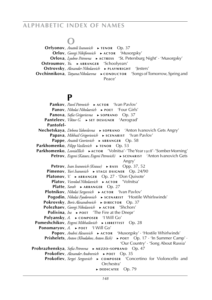## **O**

**Orfyonov**, *Anatoli Ivanovich* ► **tenor** Op. 37 **Orlov**, *Georgi Nikiforovich* ► **ACTOR** 'Musorgsky'  **Orlova**, *Lyubov Petrovna* ► **a c t r e s s** 'St. Petersburg Night' · 'Musorgsky' **Ostroumov**, *Yu.* ► ARRANGER 'Schoolyears'  **Ostrovsky**, *Alexander Nikolaevich* ► **PLAYWRIGHT** 'lesters' **Ovchinnikova**, *Tatyana Nikolaevna* ► **c**ONDUCTOR 'Songs of Tomorrow, Spring and Peace'

### **P**

 **Pankov**, *Pavel Petrovich* ► **ACTOR** 'Ivan Pavlov'  **Panov**, *Nikolai Nikolaevich* ► **POET** 'Four Girls' **Panova**, *Sofia Grigorievna* ► **sOPRANO** Op. 37  **Panteleev**, *Viktor G.* ► **sET DESIGNER** 'Aerograd'  **Pantofel- Nechetskaya**, *Debora Yakovlevna* ► **sOPRANO** 'Anton Ivanovich Gets Angry'  **Papava**, *Mikhail Grigorievich* ► **sCENARIST** 'Ivan Pavlov' **Pappe**, *Anatoli Georievich* ► **ARRANGER** Op. 58 **Parkhomenko**, *Filipp Vasilievich* ► **TENOR** Op. 53  **Parkhomenko**, *Leonid Ilich* ► **a c t o r** 'Volnitsa' · 'The Year 1918' · 'Somber Morning'  **Petrov**, *Evgeni (Kataev, Evgeni Petrovich)* ► **scENARIST** 'Anton Ivanovich Gets Angry' **Petrov**, *Ivan Ivanovich* (*Krause*) ► **b b a** ss Opp. 37, 52  **Pimenov**, *Yuri Ivanovich* ► **sTAGE DSIGNER** Op. 24/90 **Platonov**, *V.* ► ARRANGER Op. 27 · 'Don Quixote' **Platov**, *Vsevolod Nikolaevich* ► **ACTOR** 'Volnitsa'  **Platte**, *Sarah* ► **ARRANGER** Op. 27  **Plotnikov**, *Nikolai Sergeevich* ► **ACTOR** 'Ivan Pavlov'  **Pogodin**, *Nikolai Fyodorovich* ► **scenarist** 'Hostile Whirlswinds'  **Pokrovsky**, *Boris Alexandrovich* ► DIRECTOR Op. 37 **Polezhaev**, *Georgi Nikolaevich* ► **ACTOR** 'Shchors'  **Polivina**, *Ira* ► **POET** 'The Fire at the Dnepr'  **Polyansky**, *A.* ► **cOMPOSER** 'I Will Go'  **Pomeshchikov**, *Evgeni Mikhailovich* ► LIBRETTIST Op. 28  **Ponomaryov**, *A*. ► **POET** 'I Will Go'  **Popov**, *Andrei Alexeevich* ► **ACTOR** 'Musorgsky' · 'Hostile Whirlwinds'  **Prishelets**, *Anton (Khodakov, Anton Ilich)* ► **POET** Op. 17 · 'In Summer Camp' · 'Our Country' · 'Song About Russia'  **Probrazhenskya**, *Sofia Petrovna* ► **m e z z o - s o p r a n o** Op. 47  **Prokofiev**, *Alexander Andreevich* ► **POET** Op. 35  **Prokofiev**, *Sergei Sergeevich* ► **cOMPOSER** 'Concertino for Violoncello and Orchestra' ► **d e d i c at e e** Op. 79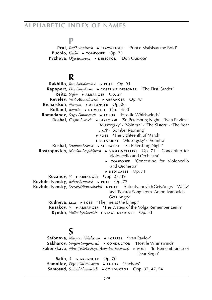#### **P**

 **Prut**, *Iosif Leonidovich* ► **PLAYWRIGHT** 'Prince Mstislsav the Bold' **Pueblo**, *Carlos* ► **cOMPOSER** Op. 73  **Pyzhova**, *Olga Ivanovna* ► **DIRECTOR** 'Don Quixote'

### **R**

 **Rakhillo**, *Ivan Spiridonovich* ► **p o e t** Op. 94 **Rapoport**, *Elza Davydovna* ► **cOSTUME DESIGNER** 'The First Grader' **Reitz**, *Stefan* ► **ARRANGER** Op. 27 **Revelev**, *Vasili Alexandrovich* ► **ARRANGER** Op. 47 **Richardson**, *Norman* ► ARRANGER Op. 26 **Rolland**, *Romain* ► NOVELIST Op. 24/90 **Romodanov**, *Sergei Dmitrievich* ► **actor** 'Hostile Whirlswinds' **Roshal**, *Grigori Lvovich* ► DIRECTOR 'St. Petersburg Night' · 'Ivan Pavlov'· 'Musorgsky' · 'Volnitsa' · 'The Sisters' · 'The Year 1918' · 'Somber Morning' ► **p o e t** 'The Eighteenth of March' ► **s c e n a r i s t** 'Musorgsky' · 'Volnitsa' **Roshal**, *Serafima Lvovna* ► **sCENATIST** 'St. Petersburg Night' Rostropovich, *Mstislav Leopoldovich* ▶ **v10LONCELLIST** Op. 71 · 'Concertino for Violoncello and Orchestra' ► **c o m p o s e r** 'Concertino for Violoncello and Orchestra' ► **d e d i c at e e** Op. 71 **Rozanov**, *V.* ► ARRANGER Opp. 27, 39 **Rozhdestvensky**, *Robert Ivanovich* ► **POET** Op. 72  **Rozhdestvensky**, *Svevolod Alexandrovich* ►**p o e t** 'Anton Ivanovich Gets Angry' · 'Waltz' and 'Foxtrot Song' from 'Anton Ivanovich Gets Angry' **Rudneva**, *Lena* ► **POET** 'The Fire at the Dnepr' **Rusakov**, *V.* ► ARRANGER The Waters of the Volga Remember Lenin'  **Ryndin**, *Vadim Fyodorovich* ► **sTAGE DESIGNER** Op. 53

### **S**

 **Safonova**, *Maryana Nikolaevna* ► **a c t r e s s** 'Ivan Pavlov' Sakharov, *Semyon Semyonovich* ► **conductor** 'Hostile Whirlswinds' Sakonskaya, *Nina (Sokolovskaya, Antonina Pavlovna)* ► **POET** 'In Remembrance of Dear Sergo'  $Salin, A.$  ► ARRANGER Op. 70 Samoilov, *Evgeni Valerianovich* ► **ACTOR** 'Shchors' Samosud, *Samuil Abramovich* ► **cONDUCTOR** Opp. 37, 47, 54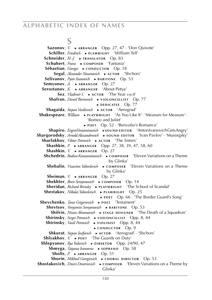## **S**

**Sazonov**, *V.* ► ARRANGER Opp. 27, 47 · 'Don Quixote'  **Schiller**, *Friedrich* ► **p l aw r i g h t** 'William Tell' Schneider, *H.-I.* ► **TRANSLATOR** Op. 83  **Schubert**, *Franz* ► **c o m p o s e r** 'Fantasia' Sébastian, *Georges* ► CONDUCTOR Op. 18 Segal, *Alexander Naumovich* ► **ACTOR** 'Shchors' **Selivanov**, *Pyotr Ivanovich* ► **BARITONE** Op. 53 **Semyonov**, *A.* ► ARRANGER Op. 27 **Serostanov**, *K.* ► ARRANGER 'About Petya'  **Sez**, *Vladimir I.* ► **a c t o r** 'The Year 1918' **Shafran**, *Daniil Borisovich* ► **v1OLONCELL1ST** Op. 77 ► **d e d i c at e e** Op. 77  **Shagaida**, *Stepan Vasilievich* ► **a c t o r** 'Aerograd' Shakespeare, *William* ► **PLAYWRIGHT** 'As You Like It' · 'Measure for Measure' · 'Romeo and Juliet' ► **p o e t** Op. 52 · 'Benvolio's Romance'  **Shapiro**, *Evgeni Veniaminovich* ►**sound editor** 'Anton Ivanovich Gets Angry' **Shargorodsky**, *Arnold Alexandrovich* ► **sOUND EDITOR** 'Ivan Pavlov' · 'Musorgsky' Sharlakhov, *Viktor Petrovich* ► **ACTOR** 'The Sisters' **Shashkin**, *P.* ► ARRANGER Opp. 27, 38, 39, 47, 58, 60 **Shashkin**, *V.* ► ARRANGER Op. 27 **Shchedrin**, *Rodion Konstantinovich* ► **c om POSER** 'Eleven Variations on a Theme by Glinka' **Shebalin**, *Vissarion Yakovlevich* ► **c омроѕвк** 'Eleven Variations on a Theme by Glinka' **Sheiman**, *V.* ► ARRANGER Op. 27 **Shekhter**, *Boris Semyonovich* ► **cOMPOSER** Op. 14 **Sheridan**, *Richard Brinsley* ► **PLAYWRIGHT** 'The School of Scandal' Shestakov, *Nikolai Yakovlevich* ► **PLAWRIGHT** Op. 25 ► **p o e t** Op. 66 · 'The Border Guard's Song'  **Shevchenko**, *Taras Grigorievich* ► **p o e t** 'Testament' **Shevtsov**, *Venyamin Semyonovich* ► **BARITONE** Op. 53 **Shifrin**, *Nisson Abramovich* ► **stage DESIGNER** 'The Death of a Squadron' Shirinsky, *Sergei Petrovich* ► VIOLONCELLIST Opp. 8, 44 **Shirinsky**, *Vasili Petrovich* ► **v1OLINIST** Opp. 8, 44 ► **c o n d u c t o r** Op. 9  **Shkurat**, *Stepan Iosifovich* ► **a c t o r** 'Aerograd' · 'Shchors' **Shlyakhov**, *V.* ► **POET** 'The Guards on Duty' **Shlepyanov**, *Ilya Yulievich* ► **DIREKTOR** Opp. 24/90, 47  **Shmyga**, *Tatyana Ivanovna* ► **s o p r a n o** Op. 58  **Sholts**, *P.* ► ARRANGER Op. 51 **Shorin**, *Mikhail Georgievich* ► **cHORAL DIRECTOR** Op. 53  **Shostakovich**, *Dmiri Dmitrievich* ► **cOMPOSER** 'Eleven Variations on a Theme by Glinka'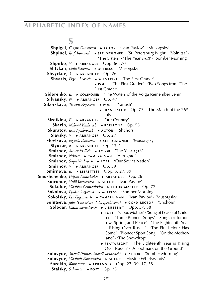**S Shpigel**, *Grigori Oizerovich* ► **a c t o r** 'Ivan Pavlov' · 'Musorgsky' **Shpinel**, *Iosif Aronovich* ► **SET DESIGNER** 'St. Petersburg Night' · 'Volnitsa' · 'The Sisters' · 'The Year 1918' · 'Somber Morning' **Shpirko**, *V.* ► ARRANGER Opp. 66, 70  **Shtykan**, *Lidia Petrovna* ► **a c t r e s s** 'Musorgsky' **Shvyrkov**, *A.* ► ARRANGER Op. 26  **Shvarts**, *Evgeni Lvovich* ► **sCENARIST** 'The First Grader' ► **p o e t** 'The First Grader' · 'Two Songs from 'The First Grader' **Sidorenko**, *E.* ► **composer** The Waters of the Volga Remember Lenin' **Silvansky**, *N.* ► ARRANGER Op. 47  **Sikorskaya**, *Tatyana Sergeevna* ► **p o e t** 'Yanosh' ► **t r a n s l at o r** Op. 73 · 'The March of the 26th July' **Sirotkina**, *E.* ► ARRANGER 'Our Country'  **Skazin**, *Mikhail Vasilievich* ► **b a r i t o n e** Op. 53 Skuratov, *Ivan Fyodorovich* ► **ACTOR** 'Shchors' **Slavsky**, *V.* ► ARRANGER Op. 27 **Slovtsova**, *Evgenia Borisovna* ▶ SET DESIGNER 'Musorgsky'  $Slyuzar, B. \rightarrow ARRANGER$  Op. 13, 1  **Smirnov**, *Alexander Ilich* ► **a c t o r** 'The Year 1918'  **Smirnov**, *Nikolai* ► **c a m e r a m a n** 'Aerograd'  **Smirnov**, *Sergei Vasilievich* ► **p o e t** 'Our Soviet Nation' **Smirnov**, *V.* ► ARRANGER Op. 39 **Smirnova**, *K.* ► **LIBRETTIST** Opp. 5, 27, 39 **Smushchenko**, *Grigori Dmitrievich* ► **ARRANGER** Op. 26 **Sofronov**, *Vasili Yakovlevich* ► **ACTOR** 'Ivan Pavlov' **Sokolov**, *Vladislav Gennadievich* ► **CHOIR MASTER** Op. 72  **Sokolova**, *Lyubov Sergeevna* ► **a c t r e s s** 'Somber Morning' **Sokolsky**, *Lev Evgenievich* ► CAMERA MAN 'Ivan Pavlov' · 'Musorgsky' **Solntseva**, *Julia (Peresvetova, Julia Ippolitovna)* ► **co-DIRECTOR** 'Shchors' **Solodar**, *Caesar Samoilovich* ► **LIBRETTIST** Opp. 37, 58 ► **p o e t** 'Good Mother' · 'Song of Peaceful Children' · 'Three Pioneer Songs' · 'Songs of Tomorrow, Spring and Peace' · 'The Eighteenth Year is Rising Over Russia' · 'The Final Hour Has Come' · 'Pioneer Sport Song' · 'On the Motherland' · 'The Snowdrop' ► **PLAYWRIGHT** 'The Eighteenth Year is Rising Over Russia' · 'A Footmark on the Ground'  **Solovyov**, *Anatoli (Ivanov, Anatoli Vasilievich)* ► **a c t o r** 'Somber Morning' Solovyov, *Vladimir Romanovich* ► ACTOR 'Hostile Whirlswinds' **Sorokin**, *Konstantin* ► ARRANGER Opp. 27, 39, 47, 58  **Stalsky**, *Suleiman* ► **p o e t** Op. 35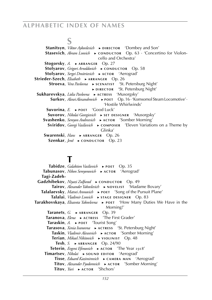### **S**

**Stanitsyn**, *Viktor Aykovlevich* ► **DIRECTOR** 'Dombey and Son' **Stasevich**, *Abram Lvovich* ► **c c** on DUCTOR Op. 63 · 'Concertino for Violoncello and Orchestra' **Stogorsky, A. ► ARRANGER** Op. 27 **Stolyarov**, *Grigori Arnoldovich* ► **cONDUCTOR** Op. 58 **Stolyarov**, *Sergei Dmitrievich* ► **ACTOR** 'Aerograd' **Strieder-Szech**, *Elisabeth* ► **ARRANGER** Op. 26 Stroeva, *Vera Pavlovna* ► **scENATIST** 'St. Petersburg Night' ► **d i r e c t o r** 'St. Petersburg Night'  **Sukharevskya**, *Lidia Pavlovna* ► **a c t r e s s** 'Musorgsky'  **Surkov**, *Alexei Alexandrovich* ► **p o e t** Op. 16 · 'Komsomol Steam Locomotive' · 'Hostile Whirlwinds'  **Suvorina**, *E.* ► **p o e t** 'Good Luck' **Suvorov**, *Nikolai Georgievich* ▶ SET DESIGNER 'Musorgsky' **Svashenko**, *Semyon Andreevich* ► **ACTOR** 'Somber Morning' **Sviridov**, *Georgi Vasilievich* ► **cOMPOSER** 'Eleven Variations on a Theme by Glinka' **Swarenski**, *Hans* ► ARRANGER Op. 26 **Szenkar**, *Jenő* ► **c** о NDUCTOR Op. 23

### **T**

Tabidze, *Galaktion Vasilievich* ► **POET** Op. 35 Tabunasov, *Nikon Semyonovich* ► ACTOR 'Aerograd'  **Tagi-Zadeh-** Gadzhibekov, *Nivazi Zulfurad* ► **cONDUCTOR** Op. 49  **Tairov**, *Alexander Yakovlevich* ► **n o v e l i s t** 'Madame Bovary' Talalaevsky, Matvei Aronovich ► POET 'Song of the Pursuit Plane'  **Talalai**, *Vladimir Lvovich* ► **s ta g e d e s i g n e r** Op. 83 **Tarakhovskaya**, *Elisaveta Yakovlevna* ► **POET** 'How Many Duties We Have in the Morning!' **Taranets**, *G.* ► ARRANGER Op. 39  **Taranova**, *Elena* ► **a c t r e s s** 'The First Grader'  **Taraskin**, *A.* ► **p o e t** 'Tourist Song'  **Tarasova**, *Xenia Ivanovna* ► **a c t r e s s** 'St. Petersburg Night' Taskin, *Vladimir Alexeevich* ► **ACTOR** 'Somber Morning' **Terian**, *Mikael Nikitovich* ► **v1OLINIST** Op. 48 **Tesh**, *S.* ► **ARRANGER** Op. 24/90 **Teterin**, *Evgeni Efimovich* ► **ACTOR** 'The Year 1918' **Timartsev**, *Nikolai* ► **sOUND EDITOR** 'Aerograd' **Tisse**, *Eduard Kazimirovich* ► **cAMERA MAN** 'Aerograd' Titov, *Alexander Fyodorovich* ► **ACTOR** 'Somber Morning' **Titov**, *Yuri* ► **ACTOR** 'Shchors'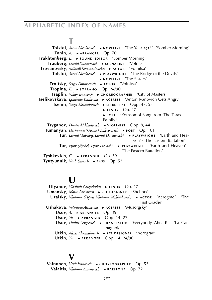## **T**

 **Tolstoi**, *Alexei Nikolaevich* ► **n o v e l i s t** 'The Year 1918' · 'Somber Morning'  **Tonin**, *A.* ► ARRANGER Op. 70  **Trakhtenberg**, *L.* ► **sound EDITOR** 'Somber Morning'  **Trauberg**, *Leonid Sakharovich* ► **s c e n a r i s t** 'Volnitsa' **Troyanovsky**, *Mikhail Konstantinovich* ► **ACTOR** 'Volnitsa'  **Tolstoi**, *Alexei Nikolaevich* ► **p l ay w r i g h t** 'The Bridge of the Devils' ► **n o v e l i s t** 'The Sisters'  **Troitsky**, *Sergei Dmitrievich* ► **ACTOR** 'Volnitsa' **Tropina**,  $E. \rightarrow$ **soprano** Op. 24/90  **Tsaplin**, *Viktor Ivanovich* ► **c HOREOGRAPHER** 'City of Masters'  **Tselikovskaya**, *Lyudmila Vasilievna* ► **a c t r e s s** 'Anton Ivanovich Gets Angry'  **Tsenin**, *Sergei Alexandrovich* ► **LIBRETTIST** Opp. 47, 53 ► **t e n o r** Op. 47 ► **p o e t** 'Komsomol Song from 'The Taras Family''  **Tsyganov**, *Dmitri Mikhailovich* ► **v i o l i n i s t** Opp. 8, 44 **Tumanyan**, *Hovhannes (Ovanes) Tadevosovich* ► **POET** Op. 101  **Tur**, *Leonid (Tubelsky, Leonid Davidovich).* ► **PLAYWRIGHT** 'Earth and Heaven' · 'The Eastern Battalion' **Tur**, *Pyotr (Ryzhei, Pyotr Lvovich).* ► **PLAYWRIGHT** 'Earth and Heaven' · 'The Eastern Battalion'  **Tyshkevich**, *G.* ► ARRANGER Op. 39  **Tyutyunnik**, *Vasili Savvich* ► **b a s s** Op. 53

### **U**

 **Ulyanov**, *Vladimir Grigorievich* ► **t e n o r** Op. 47  **Umansky**, *Morits Borisovich* ► **sET DESIGNER** 'Shchors'  **Uralsky**, *Vladimir (Popov, Vladimir Mikhailovich)* ► **a c t o r** 'Aerograd' · 'The First Grader'  **Ushakova**, *Valentina Alexeevna* ► **a c t r e s s** 'Musorgsky' Usov, *A.* ► ARRANGER Op. 39  **Usov**, *Yu.* ► **ARRANGER** Opp. 14, 27  **Usov**, *Dmitri Sergeevich* ► **t r a n s l at o r** 'Everybody Ahead!' · 'La Carmagnole' Utkin, *Alexei Alexandrovich* ► **sET DESIGNER** 'Aerograd' Utkin, *Yu.* ► ARRANGER Opp. 14, 24/90

## **V**

 **Vainonen**, *Vasili Ivanovich* ► **c h o r e o g r a p h e r** Op. 53 **Valaitis**, *Vladimir Antonovich* ► **BARITONE** Op. 72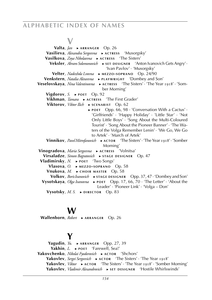## **V**

**Valta**, *Jan* ► **ARRANGER** Op. 26  **Vasilieva**, *Alexandra Sergeevna* ► **a c t r e s s** 'Musorgsky' **Vasilkova**, *Zoya Nikolaevna* ► **ACTRESS** 'The Sisters' Veksler, *Abram Solomonovich* ► SET DESIGNER 'Anton Ivanovich Gets Angry' · 'Ivan Pavlov' · 'Musorgsky'  **Velter**, *Nadezhda Lvovna* ► **m e z z o - s o p r a n o** Op. 24/90 **Venkstern**, *Natalia Alexeevna* ► **PLAYWRIGHT** 'Dombey and Son'  **Veselovskaya**, *Nina Valentinovna* ► **ACTRESS** 'The Sisters' · 'The Year 1918' · 'Somber Morning' **Vigdorov**,  $S. \rightarrow$  **POET** Op. 92  **Vikhman**, *Tamara* ► **a c t r e s s** 'The First Grader' **Viktorov**, *Viktor Ilich* ► **sCENARIST** Op. 62 ► **p o e t** Opp. 66, 98 · 'Conversation With a Cactus' · 'Girlfriends' · 'Happy Holiday' · 'Little Star' · 'Not Only Little Boys' · 'Song About the Multi-Coloured Tourist' · 'Song About the Pioneer Banner' · 'The Waters of the Volga Remember Lenin' · 'We Go, We Go to Artek' · 'March of Artek' **Vinnikov**, *Pavel Mitrofanovich* ► **ACTOR** 'The Sisters' · 'The Year 1918' · 'Somber Morning'  **Vinogradova**, *Maria Sergeevna* ► **a c t r e s s** 'Volnitsa'  **Virsaladze**, *Simon Bagratovich* ► **sTAGE DESIGNER** Op. 47  **Vladimirsky**, *N.* ► **POET** 'Two Songs'  **Vlasova**, *O.* ► **m e z z o - s o p r a n o** Op. 58  **Vnukova**, *M.* ► **c h o i r m a s t e r** Op. 58  **Volkov**, *Boris Ivanovich* ► **sTAGE DESIGNER** Opp. 37, 47 · 'Dombey and Son'  **Vysotskaya**, *Olga Ivanovna* ► **POET** Opp. 17, 66, 70 · 'The Letter' · 'About the Leader' · 'Pioneer Link' · 'Volga – Don'  **Vysotsky**, *M. S.* ► DIRECTOR Op. 83

## **W**

 **Wallenborn**, *Robert* ► ARRANGER Op. 26

### **Y**

 **Yagudin**, *Yu.* ► ARRANGER Opp. 27, 39  **Yakhin**, *L.* ► **p o e t** 'Farewell, Sea!'  **Yakovchenko**, *Nikolai Fyodorovich* ► AСТОR 'Shchors'  **Yakovlev**, *Sergei Sergeevich* ► **ACTOR** 'The Sisters' · 'The Year 1918'  **Yakovlev**, *Viktor* ► ACTOR The Sisters' · 'The Year 1918' · 'Somber Morning'  **Yakovlev**, *Vladimir Alexandrovich* ► **SET DESIGNER** 'Hostile Whirlswinds'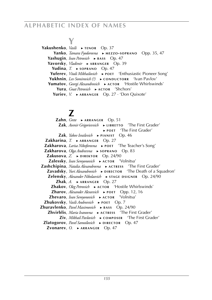# **Y**

**Yakushenko**, *Vasili* ► **те**NOR Op. 37  **Yanko**, *Tamara Fyodorovna* ► **m e z z o - s o p r a n o** Opp. 35, 47  **Yashugin**, *Ivan Petrovich* ► **BASS** Op. 47  **Yavorsky**, *Vladimir* ► ARRANGER Op. 39 **Yudina**,  $T_r \rightarrow$  **soprand** Op. 47  **Yuferev**, *Vitali Mikhailovich* ▶ **POET** 'Enthusiastic Pioneer Song'  **Yukhnin**, *Lev Somirovich* (?) ► **c**ONDUCTORR 'Ivan Pavlov'  **Yumatov**, *Georgi Alexandrovich* ► **ACTOR** 'Hostile Whirlswinds' **Yura**, *Gnat Petrovich* ► **ACTOR** 'Shchors'  **Yuriev**, *V.* ► ARRANGER Op. 27 · 'Don Quixote'

## **Z**

 **Zahn**, *Grete* ► ARRANGER Op. 51  **Zak**, *Avenir Grigorievvich* ► **LIBRETTO** 'The First Grader' ► **p o e t** 'The First Grader'  **Zak**, *Yakov Israilevich* ► **p i a n i s t** Op. 46  **Zakharina**,  $T \rightharpoonup$  **ARRANGER** Op. 27  **Zakharova**, *Larisa Nikoforovna* ► **p o e t** 'The Teacher's Song'  **Zakharova**, *Olga Andreevna* ► **s o p r a n o** Op. 83  **Zakusova**,  $Z \rightarrow$  **DIREKTOR** Op. 24/90  **Zalessky**, *Ivan Semyonovich* ► **ACTOR** 'Volnitsa'  **Zashchipina**, *Natalia Alexandrovna* ▶ ACTRESS 'The First Grader'  **Zavadsky**, *Yuri Alexandrovich* ► **DIRECTOR** 'The Death of a Squadron'  **Zelensky**, *Alexander Nikolaevich* ► **sTAGE DSIGNER** Op. 24/90  $\mathsf{Zhak}, A. \rightarrow \mathsf{ARRANGER}$  Op. 27  **Zhakov**, *Oleg Petrovich* ► **a c t o r** 'Hostile Whirlswinds'  **Zharov**, *Alexander Alexeevich* ► **p o e t** Opp. 12, 16  **Zhevaro**, *Ivan Semyonovich* ► **a c t o r** 'Volnitsa'  **Zhukovsky**, *Vasili Andreevich* ► **p o e t** Op. 7  **Zhuravlenko**, *Pavel Maximovich* ► **b a s s** Op. 24/90  **Zhvirblis**, *Maria Ivanovna* ► **a c t r e s s** 'The First Grader'  **Ziv**, *Mikhail Pavlovich* ► **c o m p o s e r** 'The First Grader'  **Zlatogorov**, *Pavel Samoilovich* ► DIRECTOR Op. 47  **Zvonarev**, *O.* ► ARRANGER Op. 47